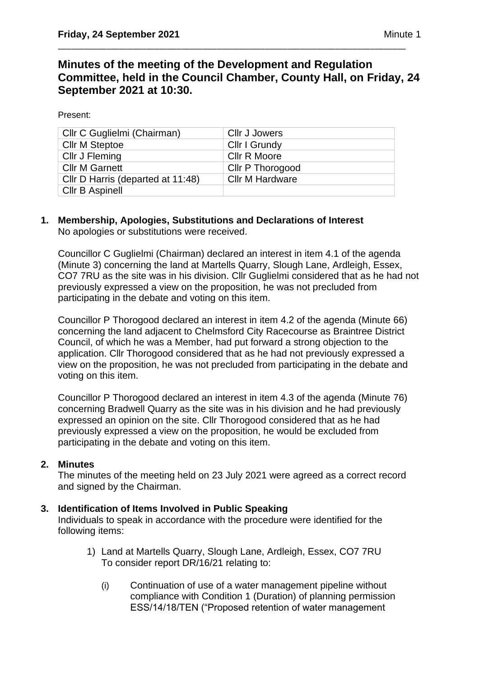# **Minutes of the meeting of the Development and Regulation Committee, held in the Council Chamber, County Hall, on Friday, 24 September 2021 at 10:30.**

\_\_\_\_\_\_\_\_\_\_\_\_\_\_\_\_\_\_\_\_\_\_\_\_\_\_\_\_\_\_\_\_\_\_\_\_\_\_\_\_\_\_\_\_\_\_\_\_\_\_\_\_\_\_\_\_\_\_\_\_\_\_\_\_\_\_\_\_\_\_\_\_\_\_\_\_\_\_\_

Present:

| Cllr C Guglielmi (Chairman)       | Cllr J Jowers           |
|-----------------------------------|-------------------------|
| <b>Cllr M Steptoe</b>             | Cllr I Grundy           |
| Cllr J Fleming                    | Cllr R Moore            |
| <b>CIIr M Garnett</b>             | <b>Cllr P Thorogood</b> |
| Cllr D Harris (departed at 11:48) | <b>Cllr M Hardware</b>  |
| <b>CIIr B Aspinell</b>            |                         |

### **1. Membership, Apologies, Substitutions and Declarations of Interest**  No apologies or substitutions were received.

Councillor C Guglielmi (Chairman) declared an interest in item 4.1 of the agenda (Minute 3) concerning the land at Martells Quarry, Slough Lane, Ardleigh, Essex, CO7 7RU as the site was in his division. Cllr Guglielmi considered that as he had not previously expressed a view on the proposition, he was not precluded from participating in the debate and voting on this item.

Councillor P Thorogood declared an interest in item 4.2 of the agenda (Minute 66) concerning the land adjacent to Chelmsford City Racecourse as Braintree District Council, of which he was a Member, had put forward a strong objection to the application. Cllr Thorogood considered that as he had not previously expressed a view on the proposition, he was not precluded from participating in the debate and voting on this item.

Councillor P Thorogood declared an interest in item 4.3 of the agenda (Minute 76) concerning Bradwell Quarry as the site was in his division and he had previously expressed an opinion on the site. Cllr Thorogood considered that as he had previously expressed a view on the proposition, he would be excluded from participating in the debate and voting on this item.

## **2. Minutes**

The minutes of the meeting held on 23 July 2021 were agreed as a correct record and signed by the Chairman.

## **3. Identification of Items Involved in Public Speaking**

Individuals to speak in accordance with the procedure were identified for the following items:

- 1) Land at Martells Quarry, Slough Lane, Ardleigh, Essex, CO7 7RU To consider report DR/16/21 relating to:
	- (i) Continuation of use of a water management pipeline without compliance with Condition 1 (Duration) of planning permission ESS/14/18/TEN ("Proposed retention of water management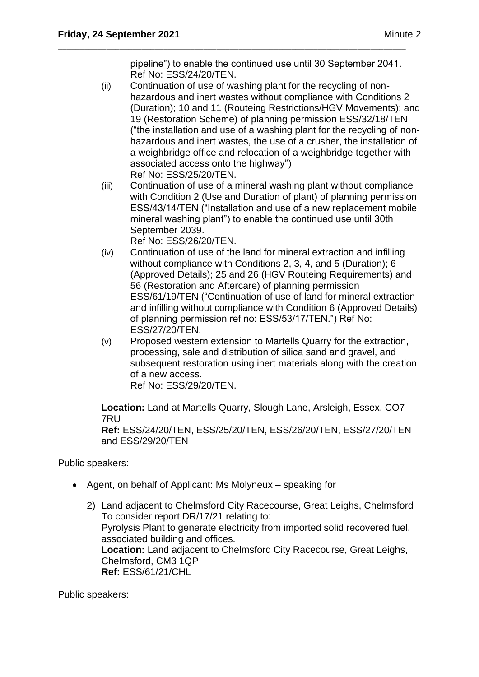pipeline") to enable the continued use until 30 September 2041. Ref No: ESS/24/20/TEN.

\_\_\_\_\_\_\_\_\_\_\_\_\_\_\_\_\_\_\_\_\_\_\_\_\_\_\_\_\_\_\_\_\_\_\_\_\_\_\_\_\_\_\_\_\_\_\_\_\_\_\_\_\_\_\_\_\_\_\_\_\_\_\_\_\_\_\_\_\_\_\_\_\_\_\_\_\_\_\_

- (ii) Continuation of use of washing plant for the recycling of nonhazardous and inert wastes without compliance with Conditions 2 (Duration); 10 and 11 (Routeing Restrictions/HGV Movements); and 19 (Restoration Scheme) of planning permission ESS/32/18/TEN ("the installation and use of a washing plant for the recycling of nonhazardous and inert wastes, the use of a crusher, the installation of a weighbridge office and relocation of a weighbridge together with associated access onto the highway") Ref No: ESS/25/20/TEN.
- (iii) Continuation of use of a mineral washing plant without compliance with Condition 2 (Use and Duration of plant) of planning permission ESS/43/14/TEN ("Installation and use of a new replacement mobile mineral washing plant") to enable the continued use until 30th September 2039.

Ref No: ESS/26/20/TEN.

- (iv) Continuation of use of the land for mineral extraction and infilling without compliance with Conditions 2, 3, 4, and 5 (Duration); 6 (Approved Details); 25 and 26 (HGV Routeing Requirements) and 56 (Restoration and Aftercare) of planning permission ESS/61/19/TEN ("Continuation of use of land for mineral extraction and infilling without compliance with Condition 6 (Approved Details) of planning permission ref no: ESS/53/17/TEN.") Ref No: ESS/27/20/TEN.
- (v) Proposed western extension to Martells Quarry for the extraction, processing, sale and distribution of silica sand and gravel, and subsequent restoration using inert materials along with the creation of a new access. Ref No: ESS/29/20/TEN.

**Location:** Land at Martells Quarry, Slough Lane, Arsleigh, Essex, CO7 7RU

**Ref:** ESS/24/20/TEN, ESS/25/20/TEN, ESS/26/20/TEN, ESS/27/20/TEN and ESS/29/20/TEN

Public speakers:

- Agent, on behalf of Applicant: Ms Molyneux speaking for
	- 2) Land adjacent to Chelmsford City Racecourse, Great Leighs, Chelmsford To consider report DR/17/21 relating to: Pyrolysis Plant to generate electricity from imported solid recovered fuel, associated building and offices. **Location:** Land adjacent to Chelmsford City Racecourse, Great Leighs, Chelmsford, CM3 1QP **Ref:** ESS/61/21/CHL

Public speakers: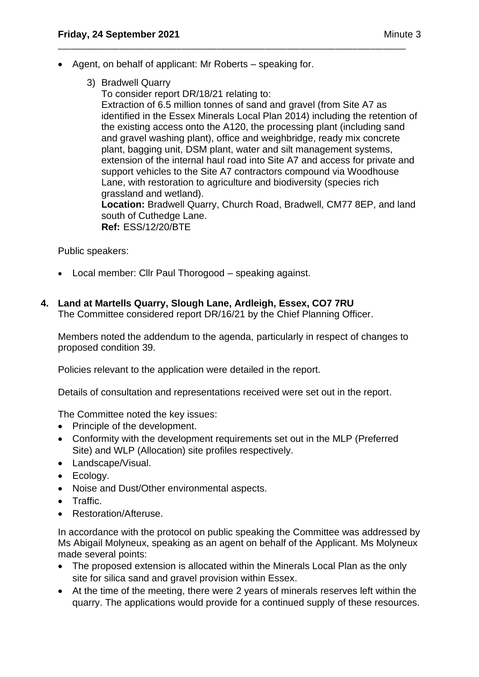• Agent, on behalf of applicant: Mr Roberts – speaking for.

\_\_\_\_\_\_\_\_\_\_\_\_\_\_\_\_\_\_\_\_\_\_\_\_\_\_\_\_\_\_\_\_\_\_\_\_\_\_\_\_\_\_\_\_\_\_\_\_\_\_\_\_\_\_\_\_\_\_\_\_\_\_\_\_\_\_\_\_\_\_\_\_\_\_\_\_\_\_\_

3) Bradwell Quarry

To consider report DR/18/21 relating to: Extraction of 6.5 million tonnes of sand and gravel (from Site A7 as identified in the Essex Minerals Local Plan 2014) including the retention of the existing access onto the A120, the processing plant (including sand and gravel washing plant), office and weighbridge, ready mix concrete plant, bagging unit, DSM plant, water and silt management systems, extension of the internal haul road into Site A7 and access for private and support vehicles to the Site A7 contractors compound via Woodhouse Lane, with restoration to agriculture and biodiversity (species rich grassland and wetland). **Location:** Bradwell Quarry, Church Road, Bradwell, CM77 8EP, and land south of Cuthedge Lane. **Ref:** ESS/12/20/BTE

Public speakers:

• Local member: Cllr Paul Thorogood – speaking against.

## **4. Land at Martells Quarry, Slough Lane, Ardleigh, Essex, CO7 7RU**

The Committee considered report DR/16/21 by the Chief Planning Officer.

Members noted the addendum to the agenda, particularly in respect of changes to proposed condition 39.

Policies relevant to the application were detailed in the report.

Details of consultation and representations received were set out in the report.

The Committee noted the key issues:

- Principle of the development.
- Conformity with the development requirements set out in the MLP (Preferred Site) and WLP (Allocation) site profiles respectively.
- Landscape/Visual.
- Ecology.
- Noise and Dust/Other environmental aspects.
- Traffic.
- Restoration/Afteruse.

In accordance with the protocol on public speaking the Committee was addressed by Ms Abigail Molyneux, speaking as an agent on behalf of the Applicant. Ms Molyneux made several points:

- The proposed extension is allocated within the Minerals Local Plan as the only site for silica sand and gravel provision within Essex.
- At the time of the meeting, there were 2 years of minerals reserves left within the quarry. The applications would provide for a continued supply of these resources.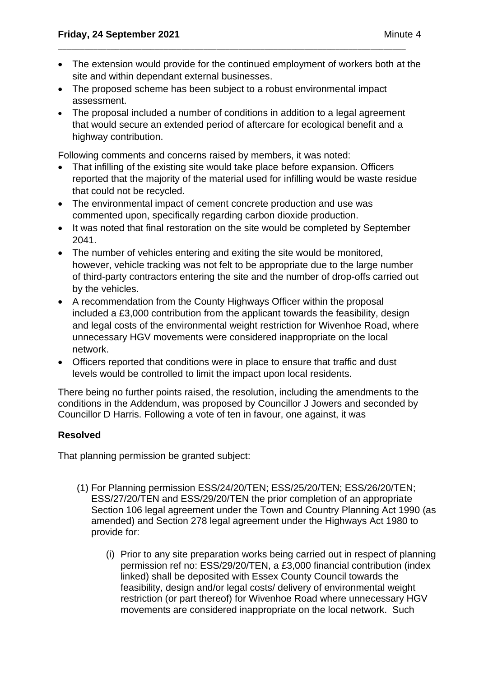• The extension would provide for the continued employment of workers both at the site and within dependant external businesses.

\_\_\_\_\_\_\_\_\_\_\_\_\_\_\_\_\_\_\_\_\_\_\_\_\_\_\_\_\_\_\_\_\_\_\_\_\_\_\_\_\_\_\_\_\_\_\_\_\_\_\_\_\_\_\_\_\_\_\_\_\_\_\_\_\_\_\_\_\_\_\_\_\_\_\_\_\_\_\_

- The proposed scheme has been subject to a robust environmental impact assessment.
- The proposal included a number of conditions in addition to a legal agreement that would secure an extended period of aftercare for ecological benefit and a highway contribution.

Following comments and concerns raised by members, it was noted:

- That infilling of the existing site would take place before expansion. Officers reported that the majority of the material used for infilling would be waste residue that could not be recycled.
- The environmental impact of cement concrete production and use was commented upon, specifically regarding carbon dioxide production.
- It was noted that final restoration on the site would be completed by September 2041.
- The number of vehicles entering and exiting the site would be monitored, however, vehicle tracking was not felt to be appropriate due to the large number of third-party contractors entering the site and the number of drop-offs carried out by the vehicles.
- A recommendation from the County Highways Officer within the proposal included a £3,000 contribution from the applicant towards the feasibility, design and legal costs of the environmental weight restriction for Wivenhoe Road, where unnecessary HGV movements were considered inappropriate on the local network.
- Officers reported that conditions were in place to ensure that traffic and dust levels would be controlled to limit the impact upon local residents.

There being no further points raised, the resolution, including the amendments to the conditions in the Addendum, was proposed by Councillor J Jowers and seconded by Councillor D Harris. Following a vote of ten in favour, one against, it was

## **Resolved**

That planning permission be granted subject:

- (1) For Planning permission ESS/24/20/TEN; ESS/25/20/TEN; ESS/26/20/TEN; ESS/27/20/TEN and ESS/29/20/TEN the prior completion of an appropriate Section 106 legal agreement under the Town and Country Planning Act 1990 (as amended) and Section 278 legal agreement under the Highways Act 1980 to provide for:
	- (i) Prior to any site preparation works being carried out in respect of planning permission ref no: ESS/29/20/TEN, a £3,000 financial contribution (index linked) shall be deposited with Essex County Council towards the feasibility, design and/or legal costs/ delivery of environmental weight restriction (or part thereof) for Wivenhoe Road where unnecessary HGV movements are considered inappropriate on the local network. Such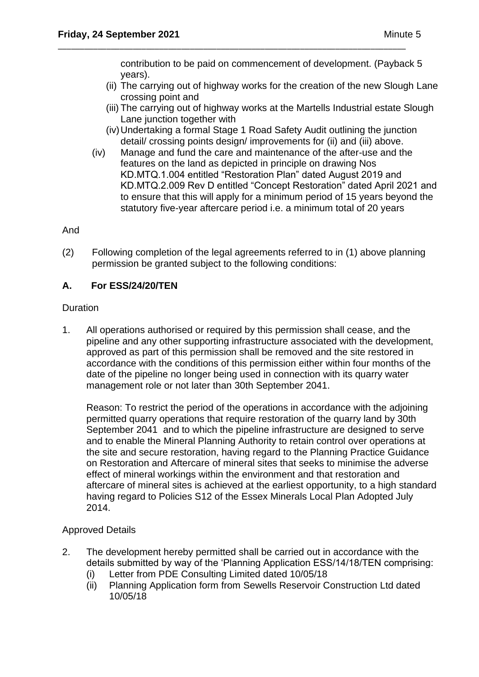contribution to be paid on commencement of development. (Payback 5 years).

\_\_\_\_\_\_\_\_\_\_\_\_\_\_\_\_\_\_\_\_\_\_\_\_\_\_\_\_\_\_\_\_\_\_\_\_\_\_\_\_\_\_\_\_\_\_\_\_\_\_\_\_\_\_\_\_\_\_\_\_\_\_\_\_\_\_\_\_\_\_\_\_\_\_\_\_\_\_\_

- (ii) The carrying out of highway works for the creation of the new Slough Lane crossing point and
- (iii) The carrying out of highway works at the Martells Industrial estate Slough Lane junction together with
- (iv)Undertaking a formal Stage 1 Road Safety Audit outlining the junction detail/ crossing points design/ improvements for (ii) and (iii) above.
- (iv) Manage and fund the care and maintenance of the after-use and the features on the land as depicted in principle on drawing Nos KD.MTQ.1.004 entitled "Restoration Plan" dated August 2019 and KD.MTQ.2.009 Rev D entitled "Concept Restoration" dated April 2021 and to ensure that this will apply for a minimum period of 15 years beyond the statutory five-year aftercare period i.e. a minimum total of 20 years

## And

(2) Following completion of the legal agreements referred to in (1) above planning permission be granted subject to the following conditions:

## **A. For ESS/24/20/TEN**

## Duration

1. All operations authorised or required by this permission shall cease, and the pipeline and any other supporting infrastructure associated with the development, approved as part of this permission shall be removed and the site restored in accordance with the conditions of this permission either within four months of the date of the pipeline no longer being used in connection with its quarry water management role or not later than 30th September 2041.

Reason: To restrict the period of the operations in accordance with the adjoining permitted quarry operations that require restoration of the quarry land by 30th September 2041 and to which the pipeline infrastructure are designed to serve and to enable the Mineral Planning Authority to retain control over operations at the site and secure restoration, having regard to the Planning Practice Guidance on Restoration and Aftercare of mineral sites that seeks to minimise the adverse effect of mineral workings within the environment and that restoration and aftercare of mineral sites is achieved at the earliest opportunity, to a high standard having regard to Policies S12 of the Essex Minerals Local Plan Adopted July 2014.

## Approved Details

- 2. The development hereby permitted shall be carried out in accordance with the details submitted by way of the 'Planning Application ESS/14/18/TEN comprising:
	- (i) Letter from PDE Consulting Limited dated 10/05/18
	- (ii) Planning Application form from Sewells Reservoir Construction Ltd dated 10/05/18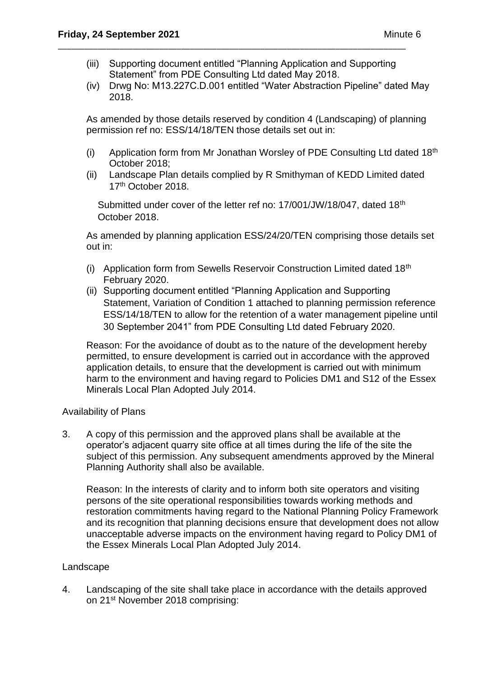(iii) Supporting document entitled "Planning Application and Supporting Statement" from PDE Consulting Ltd dated May 2018.

\_\_\_\_\_\_\_\_\_\_\_\_\_\_\_\_\_\_\_\_\_\_\_\_\_\_\_\_\_\_\_\_\_\_\_\_\_\_\_\_\_\_\_\_\_\_\_\_\_\_\_\_\_\_\_\_\_\_\_\_\_\_\_\_\_\_\_\_\_\_\_\_\_\_\_\_\_\_\_

(iv) Drwg No: M13.227C.D.001 entitled "Water Abstraction Pipeline" dated May 2018.

As amended by those details reserved by condition 4 (Landscaping) of planning permission ref no: ESS/14/18/TEN those details set out in:

- (i) Application form from Mr Jonathan Worsley of PDE Consulting Ltd dated  $18<sup>th</sup>$ October 2018;
- (ii) Landscape Plan details complied by R Smithyman of KEDD Limited dated 17<sup>th</sup> October 2018.

Submitted under cover of the letter ref no: 17/001/JW/18/047, dated 18<sup>th</sup> October 2018.

As amended by planning application ESS/24/20/TEN comprising those details set out in:

- (i) Application form from Sewells Reservoir Construction Limited dated 18th February 2020.
- (ii) Supporting document entitled "Planning Application and Supporting Statement, Variation of Condition 1 attached to planning permission reference ESS/14/18/TEN to allow for the retention of a water management pipeline until 30 September 2041" from PDE Consulting Ltd dated February 2020.

Reason: For the avoidance of doubt as to the nature of the development hereby permitted, to ensure development is carried out in accordance with the approved application details, to ensure that the development is carried out with minimum harm to the environment and having regard to Policies DM1 and S12 of the Essex Minerals Local Plan Adopted July 2014.

## Availability of Plans

3. A copy of this permission and the approved plans shall be available at the operator's adjacent quarry site office at all times during the life of the site the subject of this permission. Any subsequent amendments approved by the Mineral Planning Authority shall also be available.

Reason: In the interests of clarity and to inform both site operators and visiting persons of the site operational responsibilities towards working methods and restoration commitments having regard to the National Planning Policy Framework and its recognition that planning decisions ensure that development does not allow unacceptable adverse impacts on the environment having regard to Policy DM1 of the Essex Minerals Local Plan Adopted July 2014.

## Landscape

4. Landscaping of the site shall take place in accordance with the details approved on 21st November 2018 comprising: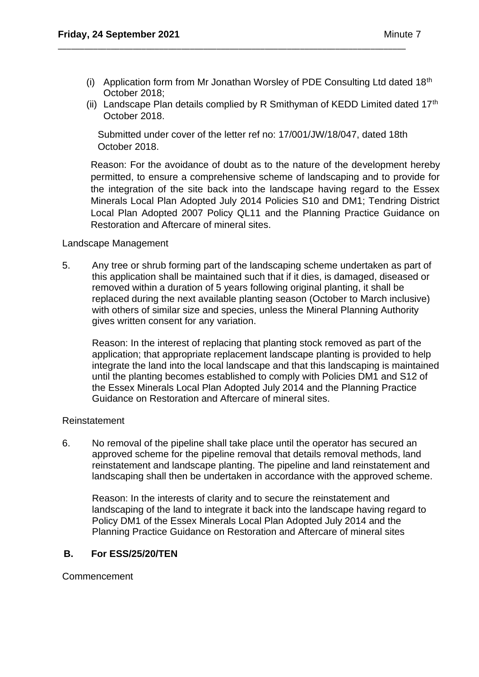(i) Application form from Mr Jonathan Worsley of PDE Consulting Ltd dated 18<sup>th</sup> October 2018;

\_\_\_\_\_\_\_\_\_\_\_\_\_\_\_\_\_\_\_\_\_\_\_\_\_\_\_\_\_\_\_\_\_\_\_\_\_\_\_\_\_\_\_\_\_\_\_\_\_\_\_\_\_\_\_\_\_\_\_\_\_\_\_\_\_\_\_\_\_\_\_\_\_\_\_\_\_\_\_

(ii) Landscape Plan details complied by R Smithyman of KEDD Limited dated  $17<sup>th</sup>$ October 2018.

Submitted under cover of the letter ref no: 17/001/JW/18/047, dated 18th October 2018.

Reason: For the avoidance of doubt as to the nature of the development hereby permitted, to ensure a comprehensive scheme of landscaping and to provide for the integration of the site back into the landscape having regard to the Essex Minerals Local Plan Adopted July 2014 Policies S10 and DM1; Tendring District Local Plan Adopted 2007 Policy QL11 and the Planning Practice Guidance on Restoration and Aftercare of mineral sites.

## Landscape Management

5. Any tree or shrub forming part of the landscaping scheme undertaken as part of this application shall be maintained such that if it dies, is damaged, diseased or removed within a duration of 5 years following original planting, it shall be replaced during the next available planting season (October to March inclusive) with others of similar size and species, unless the Mineral Planning Authority gives written consent for any variation.

Reason: In the interest of replacing that planting stock removed as part of the application; that appropriate replacement landscape planting is provided to help integrate the land into the local landscape and that this landscaping is maintained until the planting becomes established to comply with Policies DM1 and S12 of the Essex Minerals Local Plan Adopted July 2014 and the Planning Practice Guidance on Restoration and Aftercare of mineral sites.

#### Reinstatement

6. No removal of the pipeline shall take place until the operator has secured an approved scheme for the pipeline removal that details removal methods, land reinstatement and landscape planting. The pipeline and land reinstatement and landscaping shall then be undertaken in accordance with the approved scheme.

Reason: In the interests of clarity and to secure the reinstatement and landscaping of the land to integrate it back into the landscape having regard to Policy DM1 of the Essex Minerals Local Plan Adopted July 2014 and the Planning Practice Guidance on Restoration and Aftercare of mineral sites

## **B. For ESS/25/20/TEN**

Commencement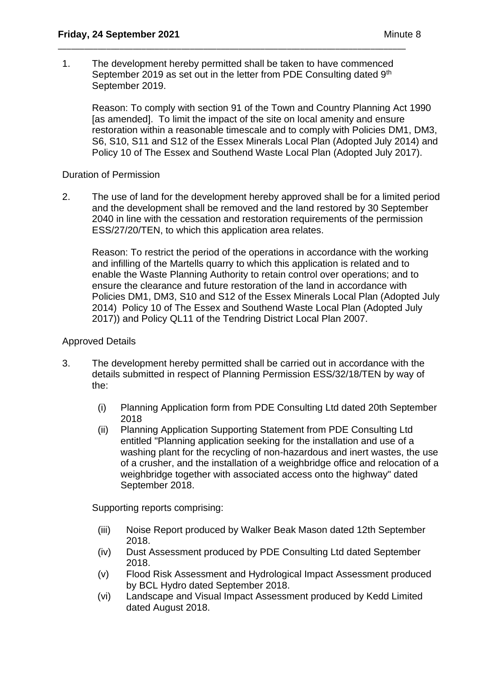1. The development hereby permitted shall be taken to have commenced September 2019 as set out in the letter from PDE Consulting dated 9<sup>th</sup> September 2019.

\_\_\_\_\_\_\_\_\_\_\_\_\_\_\_\_\_\_\_\_\_\_\_\_\_\_\_\_\_\_\_\_\_\_\_\_\_\_\_\_\_\_\_\_\_\_\_\_\_\_\_\_\_\_\_\_\_\_\_\_\_\_\_\_\_\_\_\_\_\_\_\_\_\_\_\_\_\_\_

Reason: To comply with section 91 of the Town and Country Planning Act 1990 [as amended]. To limit the impact of the site on local amenity and ensure restoration within a reasonable timescale and to comply with Policies DM1, DM3, S6, S10, S11 and S12 of the Essex Minerals Local Plan (Adopted July 2014) and Policy 10 of The Essex and Southend Waste Local Plan (Adopted July 2017).

## Duration of Permission

2. The use of land for the development hereby approved shall be for a limited period and the development shall be removed and the land restored by 30 September 2040 in line with the cessation and restoration requirements of the permission ESS/27/20/TEN, to which this application area relates.

Reason: To restrict the period of the operations in accordance with the working and infilling of the Martells quarry to which this application is related and to enable the Waste Planning Authority to retain control over operations; and to ensure the clearance and future restoration of the land in accordance with Policies DM1, DM3, S10 and S12 of the Essex Minerals Local Plan (Adopted July 2014) Policy 10 of The Essex and Southend Waste Local Plan (Adopted July 2017)) and Policy QL11 of the Tendring District Local Plan 2007.

## Approved Details

- 3. The development hereby permitted shall be carried out in accordance with the details submitted in respect of Planning Permission ESS/32/18/TEN by way of the:
	- (i) Planning Application form from PDE Consulting Ltd dated 20th September 2018
	- (ii) Planning Application Supporting Statement from PDE Consulting Ltd entitled "Planning application seeking for the installation and use of a washing plant for the recycling of non-hazardous and inert wastes, the use of a crusher, and the installation of a weighbridge office and relocation of a weighbridge together with associated access onto the highway" dated September 2018.

Supporting reports comprising:

- (iii) Noise Report produced by Walker Beak Mason dated 12th September 2018.
- (iv) Dust Assessment produced by PDE Consulting Ltd dated September 2018.
- (v) Flood Risk Assessment and Hydrological Impact Assessment produced by BCL Hydro dated September 2018.
- (vi) Landscape and Visual Impact Assessment produced by Kedd Limited dated August 2018.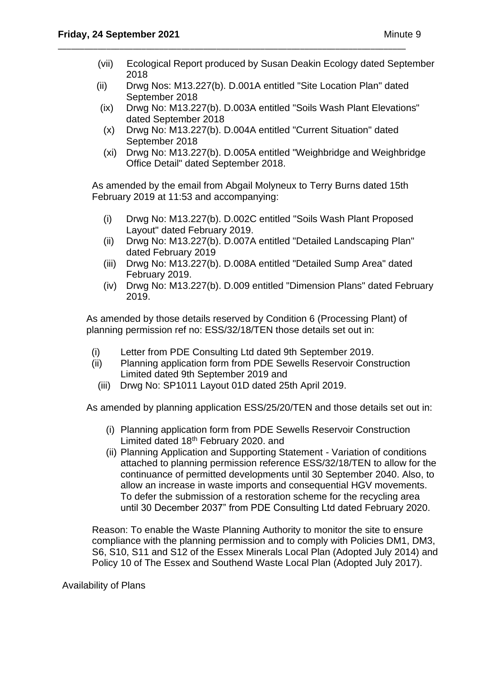- (vii) Ecological Report produced by Susan Deakin Ecology dated September 2018
- (ii) Drwg Nos: M13.227(b). D.001A entitled "Site Location Plan" dated September 2018

\_\_\_\_\_\_\_\_\_\_\_\_\_\_\_\_\_\_\_\_\_\_\_\_\_\_\_\_\_\_\_\_\_\_\_\_\_\_\_\_\_\_\_\_\_\_\_\_\_\_\_\_\_\_\_\_\_\_\_\_\_\_\_\_\_\_\_\_\_\_\_\_\_\_\_\_\_\_\_

- (ix) Drwg No: M13.227(b). D.003A entitled "Soils Wash Plant Elevations" dated September 2018
- (x) Drwg No: M13.227(b). D.004A entitled "Current Situation" dated September 2018
- (xi) Drwg No: M13.227(b). D.005A entitled "Weighbridge and Weighbridge Office Detail" dated September 2018.

As amended by the email from Abgail Molyneux to Terry Burns dated 15th February 2019 at 11:53 and accompanying:

- (i) Drwg No: M13.227(b). D.002C entitled "Soils Wash Plant Proposed Layout" dated February 2019.
- (ii) Drwg No: M13.227(b). D.007A entitled "Detailed Landscaping Plan" dated February 2019
- (iii) Drwg No: M13.227(b). D.008A entitled "Detailed Sump Area" dated February 2019.
- (iv) Drwg No: M13.227(b). D.009 entitled "Dimension Plans" dated February 2019.

As amended by those details reserved by Condition 6 (Processing Plant) of planning permission ref no: ESS/32/18/TEN those details set out in:

- (i) Letter from PDE Consulting Ltd dated 9th September 2019.
- (ii) Planning application form from PDE Sewells Reservoir Construction Limited dated 9th September 2019 and
	- (iii) Drwg No: SP1011 Layout 01D dated 25th April 2019.

As amended by planning application ESS/25/20/TEN and those details set out in:

- (i) Planning application form from PDE Sewells Reservoir Construction Limited dated 18<sup>th</sup> February 2020. and
- (ii) Planning Application and Supporting Statement Variation of conditions attached to planning permission reference ESS/32/18/TEN to allow for the continuance of permitted developments until 30 September 2040. Also, to allow an increase in waste imports and consequential HGV movements. To defer the submission of a restoration scheme for the recycling area until 30 December 2037" from PDE Consulting Ltd dated February 2020.

Reason: To enable the Waste Planning Authority to monitor the site to ensure compliance with the planning permission and to comply with Policies DM1, DM3, S6, S10, S11 and S12 of the Essex Minerals Local Plan (Adopted July 2014) and Policy 10 of The Essex and Southend Waste Local Plan (Adopted July 2017).

Availability of Plans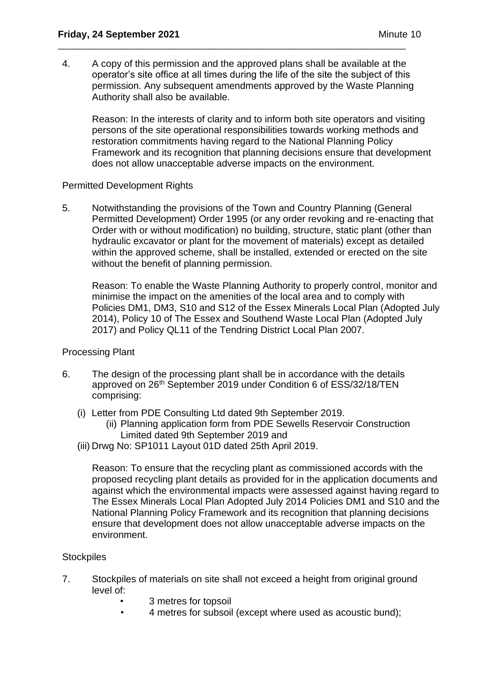4. A copy of this permission and the approved plans shall be available at the operator's site office at all times during the life of the site the subject of this permission. Any subsequent amendments approved by the Waste Planning Authority shall also be available.

\_\_\_\_\_\_\_\_\_\_\_\_\_\_\_\_\_\_\_\_\_\_\_\_\_\_\_\_\_\_\_\_\_\_\_\_\_\_\_\_\_\_\_\_\_\_\_\_\_\_\_\_\_\_\_\_\_\_\_\_\_\_\_\_\_\_\_\_\_\_\_\_\_\_\_\_\_\_\_

Reason: In the interests of clarity and to inform both site operators and visiting persons of the site operational responsibilities towards working methods and restoration commitments having regard to the National Planning Policy Framework and its recognition that planning decisions ensure that development does not allow unacceptable adverse impacts on the environment.

## Permitted Development Rights

5. Notwithstanding the provisions of the Town and Country Planning (General Permitted Development) Order 1995 (or any order revoking and re-enacting that Order with or without modification) no building, structure, static plant (other than hydraulic excavator or plant for the movement of materials) except as detailed within the approved scheme, shall be installed, extended or erected on the site without the benefit of planning permission.

Reason: To enable the Waste Planning Authority to properly control, monitor and minimise the impact on the amenities of the local area and to comply with Policies DM1, DM3, S10 and S12 of the Essex Minerals Local Plan (Adopted July 2014), Policy 10 of The Essex and Southend Waste Local Plan (Adopted July 2017) and Policy QL11 of the Tendring District Local Plan 2007.

## Processing Plant

- 6. The design of the processing plant shall be in accordance with the details approved on 26th September 2019 under Condition 6 of ESS/32/18/TEN comprising:
	- (i) Letter from PDE Consulting Ltd dated 9th September 2019.
		- (ii) Planning application form from PDE Sewells Reservoir Construction Limited dated 9th September 2019 and
	- (iii) Drwg No: SP1011 Layout 01D dated 25th April 2019.

Reason: To ensure that the recycling plant as commissioned accords with the proposed recycling plant details as provided for in the application documents and against which the environmental impacts were assessed against having regard to The Essex Minerals Local Plan Adopted July 2014 Policies DM1 and S10 and the National Planning Policy Framework and its recognition that planning decisions ensure that development does not allow unacceptable adverse impacts on the environment.

#### **Stockpiles**

- 7. Stockpiles of materials on site shall not exceed a height from original ground level of:
	- 3 metres for topsoil
	- 4 metres for subsoil (except where used as acoustic bund);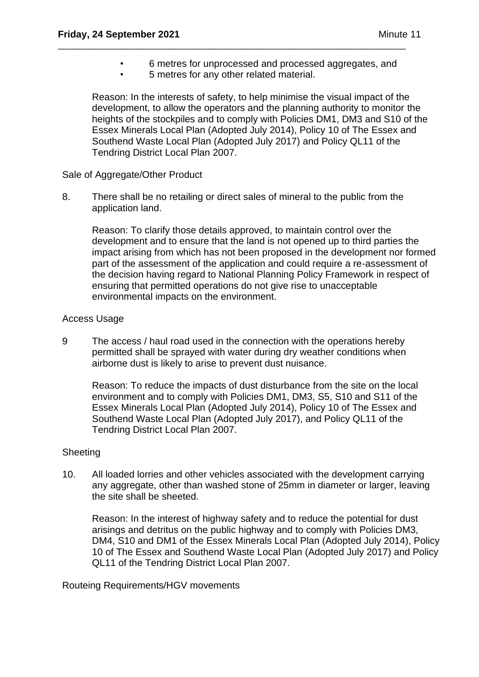- 6 metres for unprocessed and processed aggregates, and
- 5 metres for any other related material.

\_\_\_\_\_\_\_\_\_\_\_\_\_\_\_\_\_\_\_\_\_\_\_\_\_\_\_\_\_\_\_\_\_\_\_\_\_\_\_\_\_\_\_\_\_\_\_\_\_\_\_\_\_\_\_\_\_\_\_\_\_\_\_\_\_\_\_\_\_\_\_\_\_\_\_\_\_\_\_

Reason: In the interests of safety, to help minimise the visual impact of the development, to allow the operators and the planning authority to monitor the heights of the stockpiles and to comply with Policies DM1, DM3 and S10 of the Essex Minerals Local Plan (Adopted July 2014), Policy 10 of The Essex and Southend Waste Local Plan (Adopted July 2017) and Policy QL11 of the Tendring District Local Plan 2007.

## Sale of Aggregate/Other Product

8. There shall be no retailing or direct sales of mineral to the public from the application land.

Reason: To clarify those details approved, to maintain control over the development and to ensure that the land is not opened up to third parties the impact arising from which has not been proposed in the development nor formed part of the assessment of the application and could require a re-assessment of the decision having regard to National Planning Policy Framework in respect of ensuring that permitted operations do not give rise to unacceptable environmental impacts on the environment.

## Access Usage

9 The access / haul road used in the connection with the operations hereby permitted shall be sprayed with water during dry weather conditions when airborne dust is likely to arise to prevent dust nuisance.

Reason: To reduce the impacts of dust disturbance from the site on the local environment and to comply with Policies DM1, DM3, S5, S10 and S11 of the Essex Minerals Local Plan (Adopted July 2014), Policy 10 of The Essex and Southend Waste Local Plan (Adopted July 2017), and Policy QL11 of the Tendring District Local Plan 2007.

## **Sheeting**

10. All loaded lorries and other vehicles associated with the development carrying any aggregate, other than washed stone of 25mm in diameter or larger, leaving the site shall be sheeted.

Reason: In the interest of highway safety and to reduce the potential for dust arisings and detritus on the public highway and to comply with Policies DM3, DM4, S10 and DM1 of the Essex Minerals Local Plan (Adopted July 2014), Policy 10 of The Essex and Southend Waste Local Plan (Adopted July 2017) and Policy QL11 of the Tendring District Local Plan 2007.

Routeing Requirements/HGV movements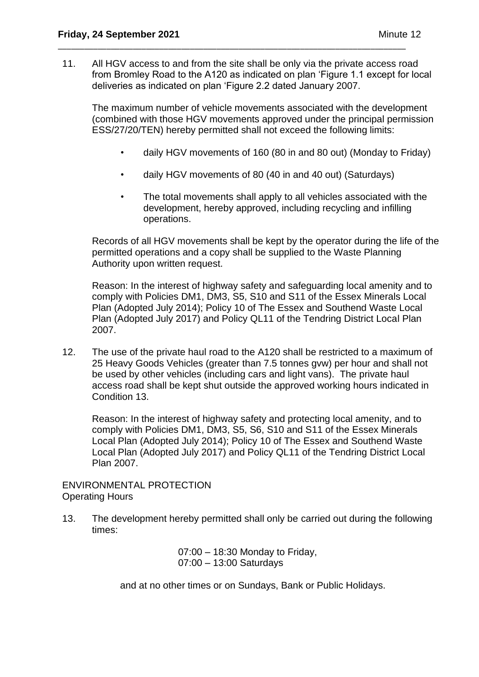11. All HGV access to and from the site shall be only via the private access road from Bromley Road to the A120 as indicated on plan 'Figure 1.1 except for local deliveries as indicated on plan 'Figure 2.2 dated January 2007.

\_\_\_\_\_\_\_\_\_\_\_\_\_\_\_\_\_\_\_\_\_\_\_\_\_\_\_\_\_\_\_\_\_\_\_\_\_\_\_\_\_\_\_\_\_\_\_\_\_\_\_\_\_\_\_\_\_\_\_\_\_\_\_\_\_\_\_\_\_\_\_\_\_\_\_\_\_\_\_

The maximum number of vehicle movements associated with the development (combined with those HGV movements approved under the principal permission ESS/27/20/TEN) hereby permitted shall not exceed the following limits:

- daily HGV movements of 160 (80 in and 80 out) (Monday to Friday)
- daily HGV movements of 80 (40 in and 40 out) (Saturdays)
- The total movements shall apply to all vehicles associated with the development, hereby approved, including recycling and infilling operations.

Records of all HGV movements shall be kept by the operator during the life of the permitted operations and a copy shall be supplied to the Waste Planning Authority upon written request.

Reason: In the interest of highway safety and safeguarding local amenity and to comply with Policies DM1, DM3, S5, S10 and S11 of the Essex Minerals Local Plan (Adopted July 2014); Policy 10 of The Essex and Southend Waste Local Plan (Adopted July 2017) and Policy QL11 of the Tendring District Local Plan 2007.

12. The use of the private haul road to the A120 shall be restricted to a maximum of 25 Heavy Goods Vehicles (greater than 7.5 tonnes gvw) per hour and shall not be used by other vehicles (including cars and light vans). The private haul access road shall be kept shut outside the approved working hours indicated in Condition 13.

Reason: In the interest of highway safety and protecting local amenity, and to comply with Policies DM1, DM3, S5, S6, S10 and S11 of the Essex Minerals Local Plan (Adopted July 2014); Policy 10 of The Essex and Southend Waste Local Plan (Adopted July 2017) and Policy QL11 of the Tendring District Local Plan 2007.

ENVIRONMENTAL PROTECTION Operating Hours

13. The development hereby permitted shall only be carried out during the following times:

> 07:00 – 18:30 Monday to Friday, 07:00 – 13:00 Saturdays

and at no other times or on Sundays, Bank or Public Holidays.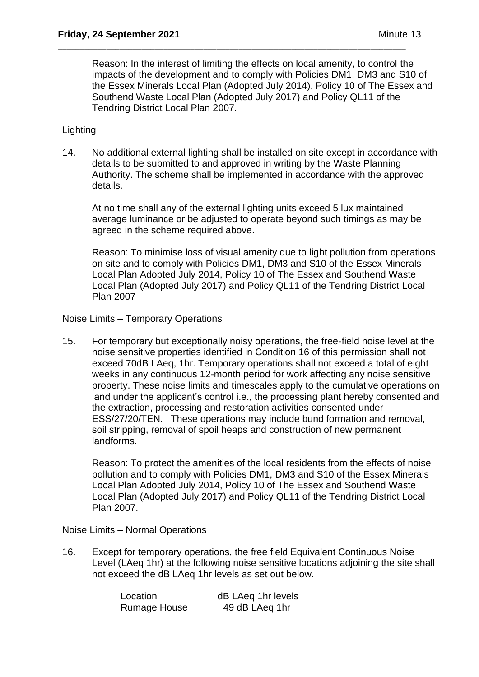Reason: In the interest of limiting the effects on local amenity, to control the impacts of the development and to comply with Policies DM1, DM3 and S10 of the Essex Minerals Local Plan (Adopted July 2014), Policy 10 of The Essex and Southend Waste Local Plan (Adopted July 2017) and Policy QL11 of the Tendring District Local Plan 2007.

\_\_\_\_\_\_\_\_\_\_\_\_\_\_\_\_\_\_\_\_\_\_\_\_\_\_\_\_\_\_\_\_\_\_\_\_\_\_\_\_\_\_\_\_\_\_\_\_\_\_\_\_\_\_\_\_\_\_\_\_\_\_\_\_\_\_\_\_\_\_\_\_\_\_\_\_\_\_\_

## **Lighting**

14. No additional external lighting shall be installed on site except in accordance with details to be submitted to and approved in writing by the Waste Planning Authority. The scheme shall be implemented in accordance with the approved details.

At no time shall any of the external lighting units exceed 5 lux maintained average luminance or be adjusted to operate beyond such timings as may be agreed in the scheme required above.

Reason: To minimise loss of visual amenity due to light pollution from operations on site and to comply with Policies DM1, DM3 and S10 of the Essex Minerals Local Plan Adopted July 2014, Policy 10 of The Essex and Southend Waste Local Plan (Adopted July 2017) and Policy QL11 of the Tendring District Local Plan 2007

Noise Limits – Temporary Operations

15. For temporary but exceptionally noisy operations, the free-field noise level at the noise sensitive properties identified in Condition 16 of this permission shall not exceed 70dB LAeq, 1hr. Temporary operations shall not exceed a total of eight weeks in any continuous 12-month period for work affecting any noise sensitive property. These noise limits and timescales apply to the cumulative operations on land under the applicant's control i.e., the processing plant hereby consented and the extraction, processing and restoration activities consented under ESS/27/20/TEN. These operations may include bund formation and removal, soil stripping, removal of spoil heaps and construction of new permanent landforms.

Reason: To protect the amenities of the local residents from the effects of noise pollution and to comply with Policies DM1, DM3 and S10 of the Essex Minerals Local Plan Adopted July 2014, Policy 10 of The Essex and Southend Waste Local Plan (Adopted July 2017) and Policy QL11 of the Tendring District Local Plan 2007.

Noise Limits – Normal Operations

16. Except for temporary operations, the free field Equivalent Continuous Noise Level (LAeq 1hr) at the following noise sensitive locations adjoining the site shall not exceed the dB LAeq 1hr levels as set out below.

| Location            | dB LAeq 1hr levels |
|---------------------|--------------------|
| <b>Rumage House</b> | 49 dB LAeq 1hr     |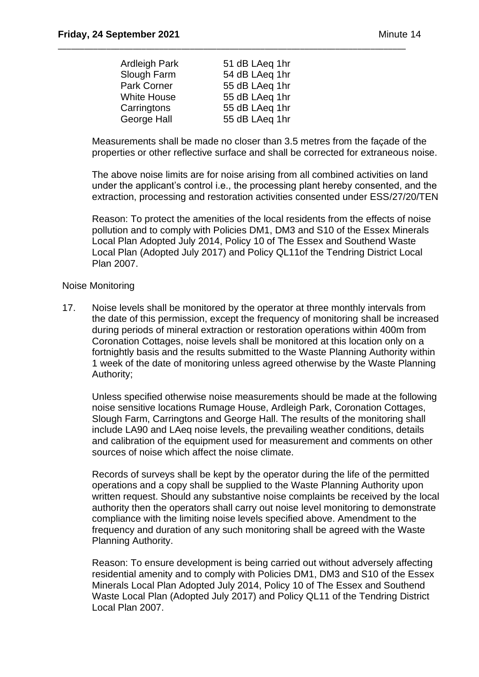| <b>Ardleigh Park</b> | 51 dB LAeq 1hr |
|----------------------|----------------|
| Slough Farm          | 54 dB LAeq 1hr |
| <b>Park Corner</b>   | 55 dB LAeq 1hr |
| <b>White House</b>   | 55 dB LAeq 1hr |
| Carringtons          | 55 dB LAeq 1hr |
| George Hall          | 55 dB LAeq 1hr |

\_\_\_\_\_\_\_\_\_\_\_\_\_\_\_\_\_\_\_\_\_\_\_\_\_\_\_\_\_\_\_\_\_\_\_\_\_\_\_\_\_\_\_\_\_\_\_\_\_\_\_\_\_\_\_\_\_\_\_\_\_\_\_\_\_\_\_\_\_\_\_\_\_\_\_\_\_\_\_

Measurements shall be made no closer than 3.5 metres from the façade of the properties or other reflective surface and shall be corrected for extraneous noise.

 The above noise limits are for noise arising from all combined activities on land under the applicant's control i.e., the processing plant hereby consented, and the extraction, processing and restoration activities consented under ESS/27/20/TEN

Reason: To protect the amenities of the local residents from the effects of noise pollution and to comply with Policies DM1, DM3 and S10 of the Essex Minerals Local Plan Adopted July 2014, Policy 10 of The Essex and Southend Waste Local Plan (Adopted July 2017) and Policy QL11of the Tendring District Local Plan 2007.

#### Noise Monitoring

17. Noise levels shall be monitored by the operator at three monthly intervals from the date of this permission, except the frequency of monitoring shall be increased during periods of mineral extraction or restoration operations within 400m from Coronation Cottages, noise levels shall be monitored at this location only on a fortnightly basis and the results submitted to the Waste Planning Authority within 1 week of the date of monitoring unless agreed otherwise by the Waste Planning Authority;

Unless specified otherwise noise measurements should be made at the following noise sensitive locations Rumage House, Ardleigh Park, Coronation Cottages, Slough Farm, Carringtons and George Hall. The results of the monitoring shall include LA90 and LAeq noise levels, the prevailing weather conditions, details and calibration of the equipment used for measurement and comments on other sources of noise which affect the noise climate.

Records of surveys shall be kept by the operator during the life of the permitted operations and a copy shall be supplied to the Waste Planning Authority upon written request. Should any substantive noise complaints be received by the local authority then the operators shall carry out noise level monitoring to demonstrate compliance with the limiting noise levels specified above. Amendment to the frequency and duration of any such monitoring shall be agreed with the Waste Planning Authority.

Reason: To ensure development is being carried out without adversely affecting residential amenity and to comply with Policies DM1, DM3 and S10 of the Essex Minerals Local Plan Adopted July 2014, Policy 10 of The Essex and Southend Waste Local Plan (Adopted July 2017) and Policy QL11 of the Tendring District Local Plan 2007.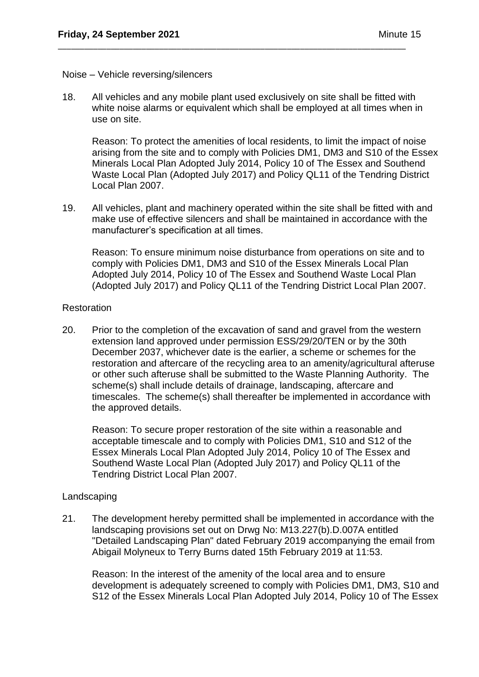#### Noise – Vehicle reversing/silencers

18. All vehicles and any mobile plant used exclusively on site shall be fitted with white noise alarms or equivalent which shall be employed at all times when in use on site.

\_\_\_\_\_\_\_\_\_\_\_\_\_\_\_\_\_\_\_\_\_\_\_\_\_\_\_\_\_\_\_\_\_\_\_\_\_\_\_\_\_\_\_\_\_\_\_\_\_\_\_\_\_\_\_\_\_\_\_\_\_\_\_\_\_\_\_\_\_\_\_\_\_\_\_\_\_\_\_

Reason: To protect the amenities of local residents, to limit the impact of noise arising from the site and to comply with Policies DM1, DM3 and S10 of the Essex Minerals Local Plan Adopted July 2014, Policy 10 of The Essex and Southend Waste Local Plan (Adopted July 2017) and Policy QL11 of the Tendring District Local Plan 2007.

19. All vehicles, plant and machinery operated within the site shall be fitted with and make use of effective silencers and shall be maintained in accordance with the manufacturer's specification at all times.

Reason: To ensure minimum noise disturbance from operations on site and to comply with Policies DM1, DM3 and S10 of the Essex Minerals Local Plan Adopted July 2014, Policy 10 of The Essex and Southend Waste Local Plan (Adopted July 2017) and Policy QL11 of the Tendring District Local Plan 2007.

#### Restoration

20. Prior to the completion of the excavation of sand and gravel from the western extension land approved under permission ESS/29/20/TEN or by the 30th December 2037, whichever date is the earlier, a scheme or schemes for the restoration and aftercare of the recycling area to an amenity/agricultural afteruse or other such afteruse shall be submitted to the Waste Planning Authority. The scheme(s) shall include details of drainage, landscaping, aftercare and timescales. The scheme(s) shall thereafter be implemented in accordance with the approved details.

Reason: To secure proper restoration of the site within a reasonable and acceptable timescale and to comply with Policies DM1, S10 and S12 of the Essex Minerals Local Plan Adopted July 2014, Policy 10 of The Essex and Southend Waste Local Plan (Adopted July 2017) and Policy QL11 of the Tendring District Local Plan 2007.

## Landscaping

21. The development hereby permitted shall be implemented in accordance with the landscaping provisions set out on Drwg No: M13.227(b).D.007A entitled "Detailed Landscaping Plan" dated February 2019 accompanying the email from Abigail Molyneux to Terry Burns dated 15th February 2019 at 11:53.

Reason: In the interest of the amenity of the local area and to ensure development is adequately screened to comply with Policies DM1, DM3, S10 and S12 of the Essex Minerals Local Plan Adopted July 2014, Policy 10 of The Essex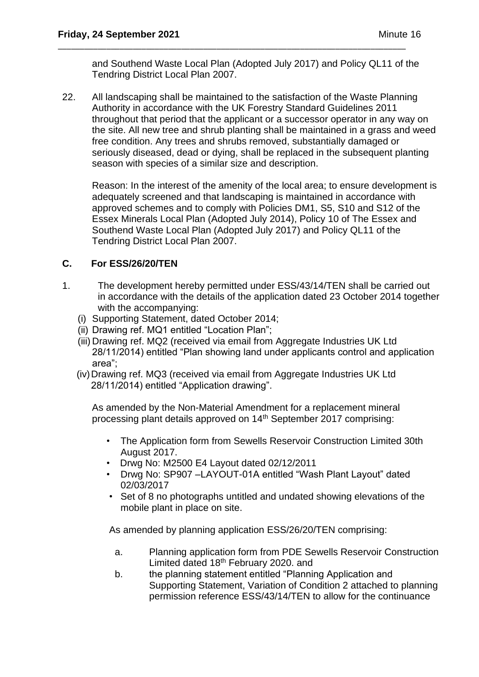and Southend Waste Local Plan (Adopted July 2017) and Policy QL11 of the Tendring District Local Plan 2007.

\_\_\_\_\_\_\_\_\_\_\_\_\_\_\_\_\_\_\_\_\_\_\_\_\_\_\_\_\_\_\_\_\_\_\_\_\_\_\_\_\_\_\_\_\_\_\_\_\_\_\_\_\_\_\_\_\_\_\_\_\_\_\_\_\_\_\_\_\_\_\_\_\_\_\_\_\_\_\_

22. All landscaping shall be maintained to the satisfaction of the Waste Planning Authority in accordance with the UK Forestry Standard Guidelines 2011 throughout that period that the applicant or a successor operator in any way on the site. All new tree and shrub planting shall be maintained in a grass and weed free condition. Any trees and shrubs removed, substantially damaged or seriously diseased, dead or dying, shall be replaced in the subsequent planting season with species of a similar size and description.

Reason: In the interest of the amenity of the local area; to ensure development is adequately screened and that landscaping is maintained in accordance with approved schemes and to comply with Policies DM1, S5, S10 and S12 of the Essex Minerals Local Plan (Adopted July 2014), Policy 10 of The Essex and Southend Waste Local Plan (Adopted July 2017) and Policy QL11 of the Tendring District Local Plan 2007.

## **C. For ESS/26/20/TEN**

- 1. The development hereby permitted under ESS/43/14/TEN shall be carried out in accordance with the details of the application dated 23 October 2014 together with the accompanying:
	- (i) Supporting Statement, dated October 2014;
	- (ii) Drawing ref. MQ1 entitled "Location Plan";
	- (iii) Drawing ref. MQ2 (received via email from Aggregate Industries UK Ltd 28/11/2014) entitled "Plan showing land under applicants control and application area";
	- (iv)Drawing ref. MQ3 (received via email from Aggregate Industries UK Ltd 28/11/2014) entitled "Application drawing".

As amended by the Non-Material Amendment for a replacement mineral processing plant details approved on 14<sup>th</sup> September 2017 comprising:

- The Application form from Sewells Reservoir Construction Limited 30th August 2017.
- Drwg No: M2500 E4 Layout dated 02/12/2011
- Drwg No: SP907 –LAYOUT-01A entitled "Wash Plant Layout" dated 02/03/2017
- Set of 8 no photographs untitled and undated showing elevations of the mobile plant in place on site.

As amended by planning application ESS/26/20/TEN comprising:

- a. Planning application form from PDE Sewells Reservoir Construction Limited dated 18th February 2020. and
- b. the planning statement entitled "Planning Application and Supporting Statement, Variation of Condition 2 attached to planning permission reference ESS/43/14/TEN to allow for the continuance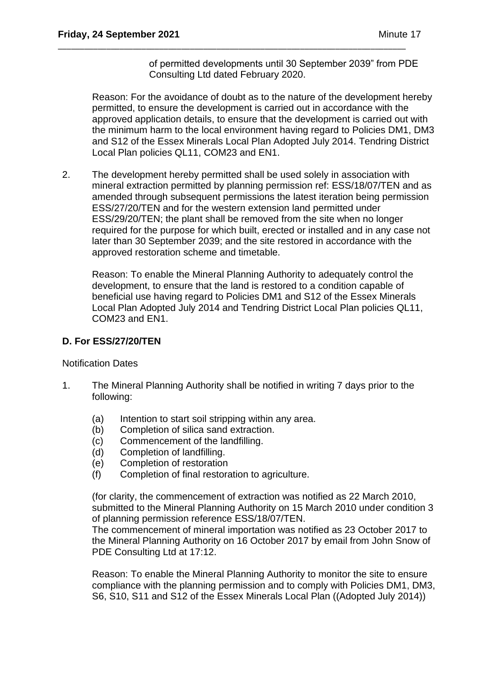of permitted developments until 30 September 2039" from PDE Consulting Ltd dated February 2020.

Reason: For the avoidance of doubt as to the nature of the development hereby permitted, to ensure the development is carried out in accordance with the approved application details, to ensure that the development is carried out with the minimum harm to the local environment having regard to Policies DM1, DM3 and S12 of the Essex Minerals Local Plan Adopted July 2014. Tendring District Local Plan policies QL11, COM23 and EN1.

\_\_\_\_\_\_\_\_\_\_\_\_\_\_\_\_\_\_\_\_\_\_\_\_\_\_\_\_\_\_\_\_\_\_\_\_\_\_\_\_\_\_\_\_\_\_\_\_\_\_\_\_\_\_\_\_\_\_\_\_\_\_\_\_\_\_\_\_\_\_\_\_\_\_\_\_\_\_\_

2. The development hereby permitted shall be used solely in association with mineral extraction permitted by planning permission ref: ESS/18/07/TEN and as amended through subsequent permissions the latest iteration being permission ESS/27/20/TEN and for the western extension land permitted under ESS/29/20/TEN; the plant shall be removed from the site when no longer required for the purpose for which built, erected or installed and in any case not later than 30 September 2039; and the site restored in accordance with the approved restoration scheme and timetable.

Reason: To enable the Mineral Planning Authority to adequately control the development, to ensure that the land is restored to a condition capable of beneficial use having regard to Policies DM1 and S12 of the Essex Minerals Local Plan Adopted July 2014 and Tendring District Local Plan policies QL11, COM23 and EN1.

## **D. For ESS/27/20/TEN**

Notification Dates

- 1. The Mineral Planning Authority shall be notified in writing 7 days prior to the following:
	- (a) Intention to start soil stripping within any area.
	- (b) Completion of silica sand extraction.
	- (c) Commencement of the landfilling.
	- (d) Completion of landfilling.
	- (e) Completion of restoration
	- (f) Completion of final restoration to agriculture.

(for clarity, the commencement of extraction was notified as 22 March 2010, submitted to the Mineral Planning Authority on 15 March 2010 under condition 3 of planning permission reference ESS/18/07/TEN.

The commencement of mineral importation was notified as 23 October 2017 to the Mineral Planning Authority on 16 October 2017 by email from John Snow of PDE Consulting Ltd at 17:12.

Reason: To enable the Mineral Planning Authority to monitor the site to ensure compliance with the planning permission and to comply with Policies DM1, DM3, S6, S10, S11 and S12 of the Essex Minerals Local Plan ((Adopted July 2014))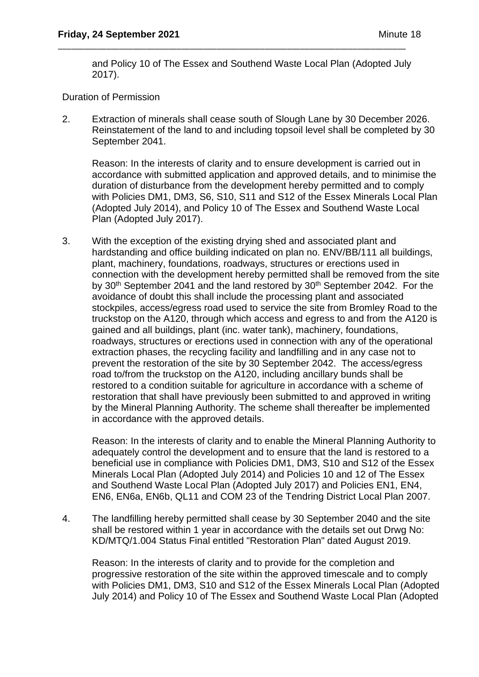and Policy 10 of The Essex and Southend Waste Local Plan (Adopted July 2017).

\_\_\_\_\_\_\_\_\_\_\_\_\_\_\_\_\_\_\_\_\_\_\_\_\_\_\_\_\_\_\_\_\_\_\_\_\_\_\_\_\_\_\_\_\_\_\_\_\_\_\_\_\_\_\_\_\_\_\_\_\_\_\_\_\_\_\_\_\_\_\_\_\_\_\_\_\_\_\_

Duration of Permission

2. Extraction of minerals shall cease south of Slough Lane by 30 December 2026. Reinstatement of the land to and including topsoil level shall be completed by 30 September 2041.

Reason: In the interests of clarity and to ensure development is carried out in accordance with submitted application and approved details, and to minimise the duration of disturbance from the development hereby permitted and to comply with Policies DM1, DM3, S6, S10, S11 and S12 of the Essex Minerals Local Plan (Adopted July 2014), and Policy 10 of The Essex and Southend Waste Local Plan (Adopted July 2017).

3. With the exception of the existing drying shed and associated plant and hardstanding and office building indicated on plan no. ENV/BB/111 all buildings, plant, machinery, foundations, roadways, structures or erections used in connection with the development hereby permitted shall be removed from the site by 30<sup>th</sup> September 2041 and the land restored by 30<sup>th</sup> September 2042. For the avoidance of doubt this shall include the processing plant and associated stockpiles, access/egress road used to service the site from Bromley Road to the truckstop on the A120, through which access and egress to and from the A120 is gained and all buildings, plant (inc. water tank), machinery, foundations, roadways, structures or erections used in connection with any of the operational extraction phases, the recycling facility and landfilling and in any case not to prevent the restoration of the site by 30 September 2042. The access/egress road to/from the truckstop on the A120, including ancillary bunds shall be restored to a condition suitable for agriculture in accordance with a scheme of restoration that shall have previously been submitted to and approved in writing by the Mineral Planning Authority. The scheme shall thereafter be implemented in accordance with the approved details.

Reason: In the interests of clarity and to enable the Mineral Planning Authority to adequately control the development and to ensure that the land is restored to a beneficial use in compliance with Policies DM1, DM3, S10 and S12 of the Essex Minerals Local Plan (Adopted July 2014) and Policies 10 and 12 of The Essex and Southend Waste Local Plan (Adopted July 2017) and Policies EN1, EN4, EN6, EN6a, EN6b, QL11 and COM 23 of the Tendring District Local Plan 2007.

4. The landfilling hereby permitted shall cease by 30 September 2040 and the site shall be restored within 1 year in accordance with the details set out Drwg No: KD/MTQ/1.004 Status Final entitled "Restoration Plan" dated August 2019.

Reason: In the interests of clarity and to provide for the completion and progressive restoration of the site within the approved timescale and to comply with Policies DM1, DM3, S10 and S12 of the Essex Minerals Local Plan (Adopted July 2014) and Policy 10 of The Essex and Southend Waste Local Plan (Adopted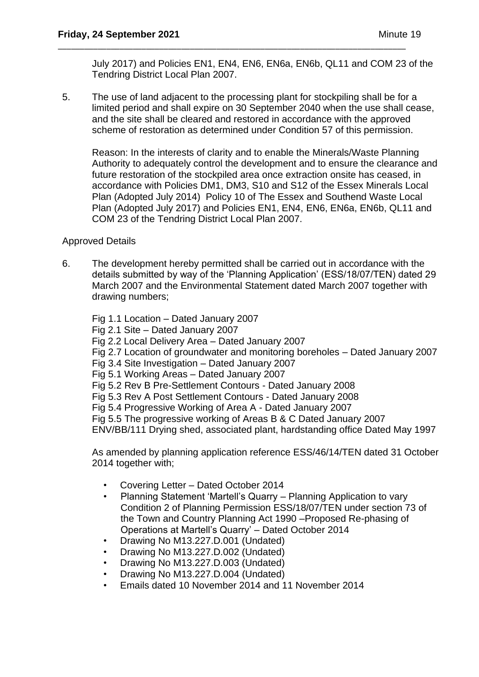July 2017) and Policies EN1, EN4, EN6, EN6a, EN6b, QL11 and COM 23 of the Tendring District Local Plan 2007.

5. The use of land adjacent to the processing plant for stockpiling shall be for a limited period and shall expire on 30 September 2040 when the use shall cease, and the site shall be cleared and restored in accordance with the approved scheme of restoration as determined under Condition 57 of this permission.

\_\_\_\_\_\_\_\_\_\_\_\_\_\_\_\_\_\_\_\_\_\_\_\_\_\_\_\_\_\_\_\_\_\_\_\_\_\_\_\_\_\_\_\_\_\_\_\_\_\_\_\_\_\_\_\_\_\_\_\_\_\_\_\_\_\_\_\_\_\_\_\_\_\_\_\_\_\_\_

Reason: In the interests of clarity and to enable the Minerals/Waste Planning Authority to adequately control the development and to ensure the clearance and future restoration of the stockpiled area once extraction onsite has ceased, in accordance with Policies DM1, DM3, S10 and S12 of the Essex Minerals Local Plan (Adopted July 2014) Policy 10 of The Essex and Southend Waste Local Plan (Adopted July 2017) and Policies EN1, EN4, EN6, EN6a, EN6b, QL11 and COM 23 of the Tendring District Local Plan 2007.

## Approved Details

6. The development hereby permitted shall be carried out in accordance with the details submitted by way of the 'Planning Application' (ESS/18/07/TEN) dated 29 March 2007 and the Environmental Statement dated March 2007 together with drawing numbers;

Fig 1.1 Location – Dated January 2007 Fig 2.1 Site – Dated January 2007 Fig 2.2 Local Delivery Area – Dated January 2007 Fig 2.7 Location of groundwater and monitoring boreholes – Dated January 2007 Fig 3.4 Site Investigation – Dated January 2007 Fig 5.1 Working Areas – Dated January 2007 Fig 5.2 Rev B Pre-Settlement Contours - Dated January 2008 Fig 5.3 Rev A Post Settlement Contours - Dated January 2008 Fig 5.4 Progressive Working of Area A - Dated January 2007 Fig 5.5 The progressive working of Areas B & C Dated January 2007 ENV/BB/111 Drying shed, associated plant, hardstanding office Dated May 1997

As amended by planning application reference ESS/46/14/TEN dated 31 October 2014 together with;

- Covering Letter Dated October 2014
- Planning Statement 'Martell's Quarry Planning Application to vary Condition 2 of Planning Permission ESS/18/07/TEN under section 73 of the Town and Country Planning Act 1990 –Proposed Re-phasing of Operations at Martell's Quarry' – Dated October 2014
- Drawing No M13.227.D.001 (Undated)
- Drawing No M13.227.D.002 (Undated)
- Drawing No M13.227.D.003 (Undated)
- Drawing No M13.227.D.004 (Undated)
- Emails dated 10 November 2014 and 11 November 2014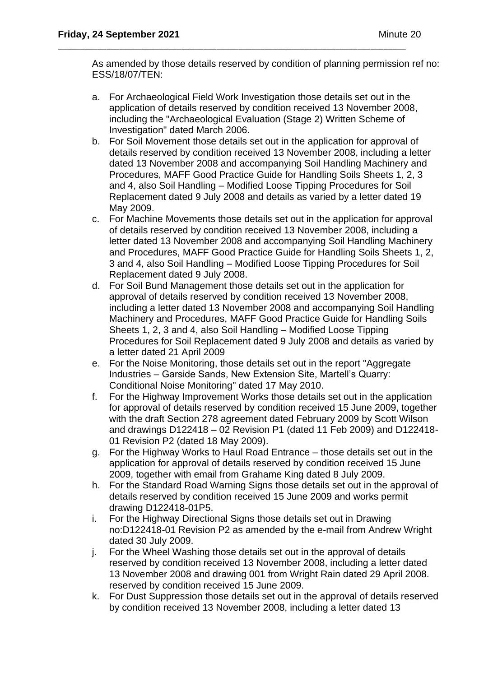As amended by those details reserved by condition of planning permission ref no: ESS/18/07/TEN:

a. For Archaeological Field Work Investigation those details set out in the application of details reserved by condition received 13 November 2008, including the "Archaeological Evaluation (Stage 2) Written Scheme of Investigation" dated March 2006.

\_\_\_\_\_\_\_\_\_\_\_\_\_\_\_\_\_\_\_\_\_\_\_\_\_\_\_\_\_\_\_\_\_\_\_\_\_\_\_\_\_\_\_\_\_\_\_\_\_\_\_\_\_\_\_\_\_\_\_\_\_\_\_\_\_\_\_\_\_\_\_\_\_\_\_\_\_\_\_

- b. For Soil Movement those details set out in the application for approval of details reserved by condition received 13 November 2008, including a letter dated 13 November 2008 and accompanying Soil Handling Machinery and Procedures, MAFF Good Practice Guide for Handling Soils Sheets 1, 2, 3 and 4, also Soil Handling – Modified Loose Tipping Procedures for Soil Replacement dated 9 July 2008 and details as varied by a letter dated 19 May 2009.
- c. For Machine Movements those details set out in the application for approval of details reserved by condition received 13 November 2008, including a letter dated 13 November 2008 and accompanying Soil Handling Machinery and Procedures, MAFF Good Practice Guide for Handling Soils Sheets 1, 2, 3 and 4, also Soil Handling – Modified Loose Tipping Procedures for Soil Replacement dated 9 July 2008.
- d. For Soil Bund Management those details set out in the application for approval of details reserved by condition received 13 November 2008, including a letter dated 13 November 2008 and accompanying Soil Handling Machinery and Procedures, MAFF Good Practice Guide for Handling Soils Sheets 1, 2, 3 and 4, also Soil Handling – Modified Loose Tipping Procedures for Soil Replacement dated 9 July 2008 and details as varied by a letter dated 21 April 2009
- e. For the Noise Monitoring, those details set out in the report "Aggregate Industries – Garside Sands, New Extension Site, Martell's Quarry: Conditional Noise Monitoring" dated 17 May 2010.
- f. For the Highway Improvement Works those details set out in the application for approval of details reserved by condition received 15 June 2009, together with the draft Section 278 agreement dated February 2009 by Scott Wilson and drawings D122418 – 02 Revision P1 (dated 11 Feb 2009) and D122418- 01 Revision P2 (dated 18 May 2009).
- g. For the Highway Works to Haul Road Entrance those details set out in the application for approval of details reserved by condition received 15 June 2009, together with email from Grahame King dated 8 July 2009.
- h. For the Standard Road Warning Signs those details set out in the approval of details reserved by condition received 15 June 2009 and works permit drawing D122418-01P5.
- i. For the Highway Directional Signs those details set out in Drawing no:D122418-01 Revision P2 as amended by the e-mail from Andrew Wright dated 30 July 2009.
- j. For the Wheel Washing those details set out in the approval of details reserved by condition received 13 November 2008, including a letter dated 13 November 2008 and drawing 001 from Wright Rain dated 29 April 2008. reserved by condition received 15 June 2009.
- k. For Dust Suppression those details set out in the approval of details reserved by condition received 13 November 2008, including a letter dated 13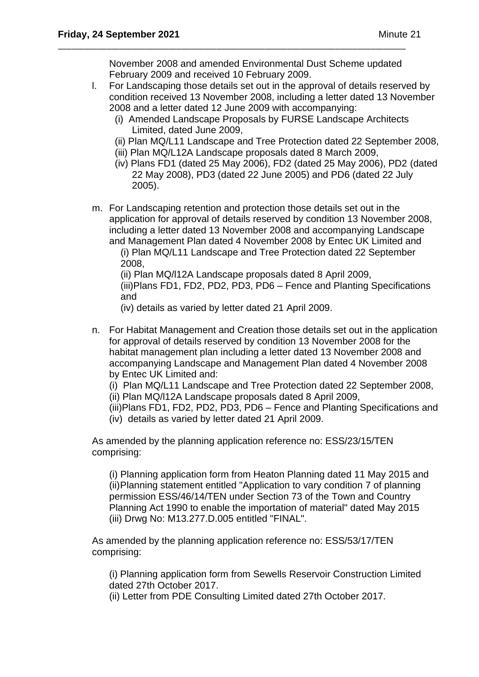November 2008 and amended Environmental Dust Scheme updated February 2009 and received 10 February 2009.

\_\_\_\_\_\_\_\_\_\_\_\_\_\_\_\_\_\_\_\_\_\_\_\_\_\_\_\_\_\_\_\_\_\_\_\_\_\_\_\_\_\_\_\_\_\_\_\_\_\_\_\_\_\_\_\_\_\_\_\_\_\_\_\_\_\_\_\_\_\_\_\_\_\_\_\_\_\_\_

- l. For Landscaping those details set out in the approval of details reserved by condition received 13 November 2008, including a letter dated 13 November 2008 and a letter dated 12 June 2009 with accompanying:
	- (i) Amended Landscape Proposals by FURSE Landscape Architects Limited, dated June 2009,
	- (ii) Plan MQ/L11 Landscape and Tree Protection dated 22 September 2008,
	- (iii) Plan MQ/L12A Landscape proposals dated 8 March 2009,
	- (iv) Plans FD1 (dated 25 May 2006), FD2 (dated 25 May 2006), PD2 (dated 22 May 2008), PD3 (dated 22 June 2005) and PD6 (dated 22 July 2005).
- m. For Landscaping retention and protection those details set out in the application for approval of details reserved by condition 13 November 2008, including a letter dated 13 November 2008 and accompanying Landscape and Management Plan dated 4 November 2008 by Entec UK Limited and

(i) Plan MQ/L11 Landscape and Tree Protection dated 22 September 2008,

(ii) Plan MQ/l12A Landscape proposals dated 8 April 2009, (iii)Plans FD1, FD2, PD2, PD3, PD6 – Fence and Planting Specifications and

(iv) details as varied by letter dated 21 April 2009.

n. For Habitat Management and Creation those details set out in the application for approval of details reserved by condition 13 November 2008 for the habitat management plan including a letter dated 13 November 2008 and accompanying Landscape and Management Plan dated 4 November 2008 by Entec UK Limited and:

(i) Plan MQ/L11 Landscape and Tree Protection dated 22 September 2008,

(ii) Plan MQ/l12A Landscape proposals dated 8 April 2009,

(iii)Plans FD1, FD2, PD2, PD3, PD6 – Fence and Planting Specifications and (iv) details as varied by letter dated 21 April 2009.

As amended by the planning application reference no: ESS/23/15/TEN comprising:

(i) Planning application form from Heaton Planning dated 11 May 2015 and (ii)Planning statement entitled "Application to vary condition 7 of planning permission ESS/46/14/TEN under Section 73 of the Town and Country Planning Act 1990 to enable the importation of material" dated May 2015 (iii) Drwg No: M13.277.D.005 entitled "FINAL".

As amended by the planning application reference no: ESS/53/17/TEN comprising:

(i) Planning application form from Sewells Reservoir Construction Limited dated 27th October 2017.

(ii) Letter from PDE Consulting Limited dated 27th October 2017.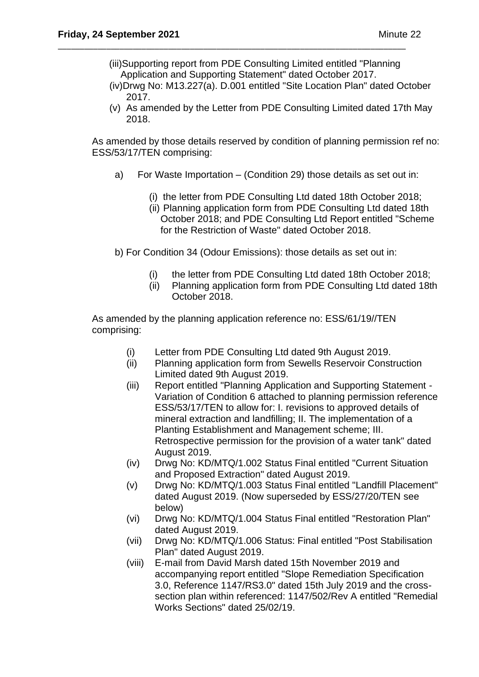(iii)Supporting report from PDE Consulting Limited entitled "Planning Application and Supporting Statement" dated October 2017.

\_\_\_\_\_\_\_\_\_\_\_\_\_\_\_\_\_\_\_\_\_\_\_\_\_\_\_\_\_\_\_\_\_\_\_\_\_\_\_\_\_\_\_\_\_\_\_\_\_\_\_\_\_\_\_\_\_\_\_\_\_\_\_\_\_\_\_\_\_\_\_\_\_\_\_\_\_\_\_

- (iv)Drwg No: M13.227(a). D.001 entitled "Site Location Plan" dated October 2017.
- (v) As amended by the Letter from PDE Consulting Limited dated 17th May 2018.

As amended by those details reserved by condition of planning permission ref no: ESS/53/17/TEN comprising:

- a) For Waste Importation (Condition 29) those details as set out in:
	- (i) the letter from PDE Consulting Ltd dated 18th October 2018;
	- (ii) Planning application form from PDE Consulting Ltd dated 18th October 2018; and PDE Consulting Ltd Report entitled "Scheme for the Restriction of Waste" dated October 2018.

b) For Condition 34 (Odour Emissions): those details as set out in:

- (i) the letter from PDE Consulting Ltd dated 18th October 2018;
- (ii) Planning application form from PDE Consulting Ltd dated 18th October 2018.

As amended by the planning application reference no: ESS/61/19//TEN comprising:

- (i) Letter from PDE Consulting Ltd dated 9th August 2019.
- (ii) Planning application form from Sewells Reservoir Construction Limited dated 9th August 2019.
- (iii) Report entitled "Planning Application and Supporting Statement Variation of Condition 6 attached to planning permission reference ESS/53/17/TEN to allow for: I. revisions to approved details of mineral extraction and landfilling; II. The implementation of a Planting Establishment and Management scheme; III. Retrospective permission for the provision of a water tank" dated August 2019.
- (iv) Drwg No: KD/MTQ/1.002 Status Final entitled "Current Situation and Proposed Extraction" dated August 2019.
- (v) Drwg No: KD/MTQ/1.003 Status Final entitled "Landfill Placement" dated August 2019. (Now superseded by ESS/27/20/TEN see below)
- (vi) Drwg No: KD/MTQ/1.004 Status Final entitled "Restoration Plan" dated August 2019.
- (vii) Drwg No: KD/MTQ/1.006 Status: Final entitled "Post Stabilisation Plan" dated August 2019.
- (viii) E-mail from David Marsh dated 15th November 2019 and accompanying report entitled "Slope Remediation Specification 3.0, Reference 1147/RS3.0" dated 15th July 2019 and the crosssection plan within referenced: 1147/502/Rev A entitled "Remedial Works Sections" dated 25/02/19.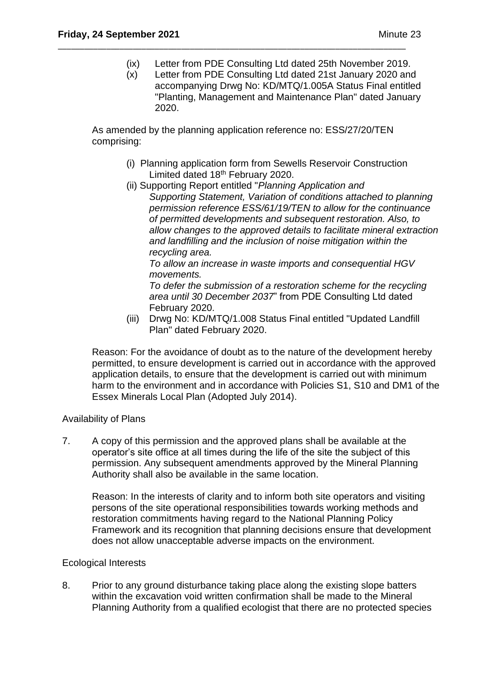- (ix) Letter from PDE Consulting Ltd dated 25th November 2019.
- (x) Letter from PDE Consulting Ltd dated 21st January 2020 and accompanying Drwg No: KD/MTQ/1.005A Status Final entitled "Planting, Management and Maintenance Plan" dated January 2020.

As amended by the planning application reference no: ESS/27/20/TEN comprising:

\_\_\_\_\_\_\_\_\_\_\_\_\_\_\_\_\_\_\_\_\_\_\_\_\_\_\_\_\_\_\_\_\_\_\_\_\_\_\_\_\_\_\_\_\_\_\_\_\_\_\_\_\_\_\_\_\_\_\_\_\_\_\_\_\_\_\_\_\_\_\_\_\_\_\_\_\_\_\_

- (i) Planning application form from Sewells Reservoir Construction Limited dated 18th February 2020.
- (ii) Supporting Report entitled "*Planning Application and Supporting Statement, Variation of conditions attached to planning permission reference ESS/61/19/TEN to allow for the continuance of permitted developments and subsequent restoration. Also, to allow changes to the approved details to facilitate mineral extraction and landfilling and the inclusion of noise mitigation within the recycling area.*

*To allow an increase in waste imports and consequential HGV movements.*

*To defer the submission of a restoration scheme for the recycling area until 30 December 2037*" from PDE Consulting Ltd dated February 2020.

(iii) Drwg No: KD/MTQ/1.008 Status Final entitled "Updated Landfill Plan" dated February 2020.

Reason: For the avoidance of doubt as to the nature of the development hereby permitted, to ensure development is carried out in accordance with the approved application details, to ensure that the development is carried out with minimum harm to the environment and in accordance with Policies S1, S10 and DM1 of the Essex Minerals Local Plan (Adopted July 2014).

## Availability of Plans

7. A copy of this permission and the approved plans shall be available at the operator's site office at all times during the life of the site the subject of this permission. Any subsequent amendments approved by the Mineral Planning Authority shall also be available in the same location.

Reason: In the interests of clarity and to inform both site operators and visiting persons of the site operational responsibilities towards working methods and restoration commitments having regard to the National Planning Policy Framework and its recognition that planning decisions ensure that development does not allow unacceptable adverse impacts on the environment.

## Ecological Interests

8. Prior to any ground disturbance taking place along the existing slope batters within the excavation void written confirmation shall be made to the Mineral Planning Authority from a qualified ecologist that there are no protected species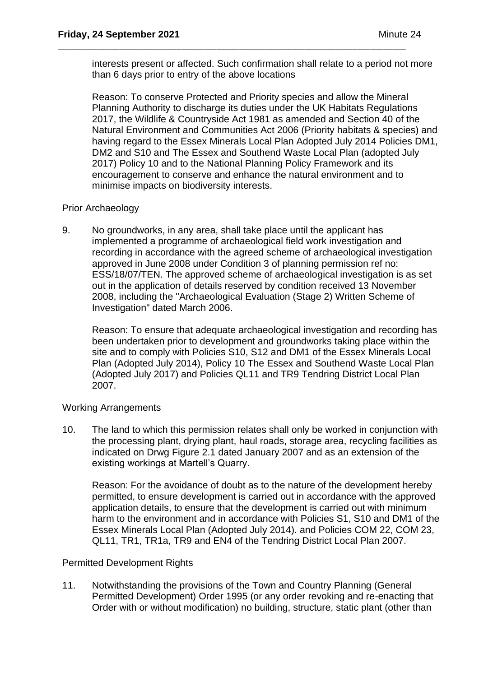interests present or affected. Such confirmation shall relate to a period not more than 6 days prior to entry of the above locations

\_\_\_\_\_\_\_\_\_\_\_\_\_\_\_\_\_\_\_\_\_\_\_\_\_\_\_\_\_\_\_\_\_\_\_\_\_\_\_\_\_\_\_\_\_\_\_\_\_\_\_\_\_\_\_\_\_\_\_\_\_\_\_\_\_\_\_\_\_\_\_\_\_\_\_\_\_\_\_

Reason: To conserve Protected and Priority species and allow the Mineral Planning Authority to discharge its duties under the UK Habitats Regulations 2017, the Wildlife & Countryside Act 1981 as amended and Section 40 of the Natural Environment and Communities Act 2006 (Priority habitats & species) and having regard to the Essex Minerals Local Plan Adopted July 2014 Policies DM1, DM2 and S10 and The Essex and Southend Waste Local Plan (adopted July 2017) Policy 10 and to the National Planning Policy Framework and its encouragement to conserve and enhance the natural environment and to minimise impacts on biodiversity interests.

## Prior Archaeology

9. No groundworks, in any area, shall take place until the applicant has implemented a programme of archaeological field work investigation and recording in accordance with the agreed scheme of archaeological investigation approved in June 2008 under Condition 3 of planning permission ref no: ESS/18/07/TEN. The approved scheme of archaeological investigation is as set out in the application of details reserved by condition received 13 November 2008, including the "Archaeological Evaluation (Stage 2) Written Scheme of Investigation" dated March 2006.

Reason: To ensure that adequate archaeological investigation and recording has been undertaken prior to development and groundworks taking place within the site and to comply with Policies S10, S12 and DM1 of the Essex Minerals Local Plan (Adopted July 2014), Policy 10 The Essex and Southend Waste Local Plan (Adopted July 2017) and Policies QL11 and TR9 Tendring District Local Plan 2007.

## Working Arrangements

10. The land to which this permission relates shall only be worked in conjunction with the processing plant, drying plant, haul roads, storage area, recycling facilities as indicated on Drwg Figure 2.1 dated January 2007 and as an extension of the existing workings at Martell's Quarry.

Reason: For the avoidance of doubt as to the nature of the development hereby permitted, to ensure development is carried out in accordance with the approved application details, to ensure that the development is carried out with minimum harm to the environment and in accordance with Policies S1, S10 and DM1 of the Essex Minerals Local Plan (Adopted July 2014). and Policies COM 22, COM 23, QL11, TR1, TR1a, TR9 and EN4 of the Tendring District Local Plan 2007.

## Permitted Development Rights

11. Notwithstanding the provisions of the Town and Country Planning (General Permitted Development) Order 1995 (or any order revoking and re-enacting that Order with or without modification) no building, structure, static plant (other than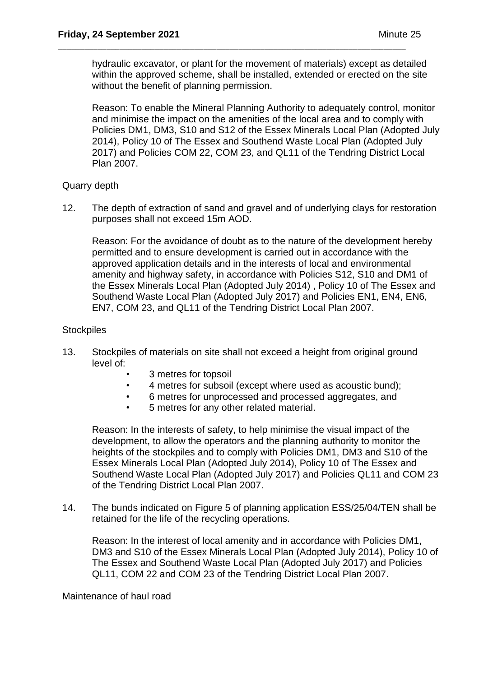hydraulic excavator, or plant for the movement of materials) except as detailed within the approved scheme, shall be installed, extended or erected on the site without the benefit of planning permission.

\_\_\_\_\_\_\_\_\_\_\_\_\_\_\_\_\_\_\_\_\_\_\_\_\_\_\_\_\_\_\_\_\_\_\_\_\_\_\_\_\_\_\_\_\_\_\_\_\_\_\_\_\_\_\_\_\_\_\_\_\_\_\_\_\_\_\_\_\_\_\_\_\_\_\_\_\_\_\_

Reason: To enable the Mineral Planning Authority to adequately control, monitor and minimise the impact on the amenities of the local area and to comply with Policies DM1, DM3, S10 and S12 of the Essex Minerals Local Plan (Adopted July 2014), Policy 10 of The Essex and Southend Waste Local Plan (Adopted July 2017) and Policies COM 22, COM 23, and QL11 of the Tendring District Local Plan 2007.

## Quarry depth

12. The depth of extraction of sand and gravel and of underlying clays for restoration purposes shall not exceed 15m AOD.

Reason: For the avoidance of doubt as to the nature of the development hereby permitted and to ensure development is carried out in accordance with the approved application details and in the interests of local and environmental amenity and highway safety, in accordance with Policies S12, S10 and DM1 of the Essex Minerals Local Plan (Adopted July 2014) , Policy 10 of The Essex and Southend Waste Local Plan (Adopted July 2017) and Policies EN1, EN4, EN6, EN7, COM 23, and QL11 of the Tendring District Local Plan 2007.

### **Stockpiles**

- 13. Stockpiles of materials on site shall not exceed a height from original ground level of:
	- 3 metres for topsoil
	- 4 metres for subsoil (except where used as acoustic bund);
	- 6 metres for unprocessed and processed aggregates, and
	- 5 metres for any other related material.

Reason: In the interests of safety, to help minimise the visual impact of the development, to allow the operators and the planning authority to monitor the heights of the stockpiles and to comply with Policies DM1, DM3 and S10 of the Essex Minerals Local Plan (Adopted July 2014), Policy 10 of The Essex and Southend Waste Local Plan (Adopted July 2017) and Policies QL11 and COM 23 of the Tendring District Local Plan 2007.

14. The bunds indicated on Figure 5 of planning application ESS/25/04/TEN shall be retained for the life of the recycling operations.

Reason: In the interest of local amenity and in accordance with Policies DM1, DM3 and S10 of the Essex Minerals Local Plan (Adopted July 2014), Policy 10 of The Essex and Southend Waste Local Plan (Adopted July 2017) and Policies QL11, COM 22 and COM 23 of the Tendring District Local Plan 2007.

Maintenance of haul road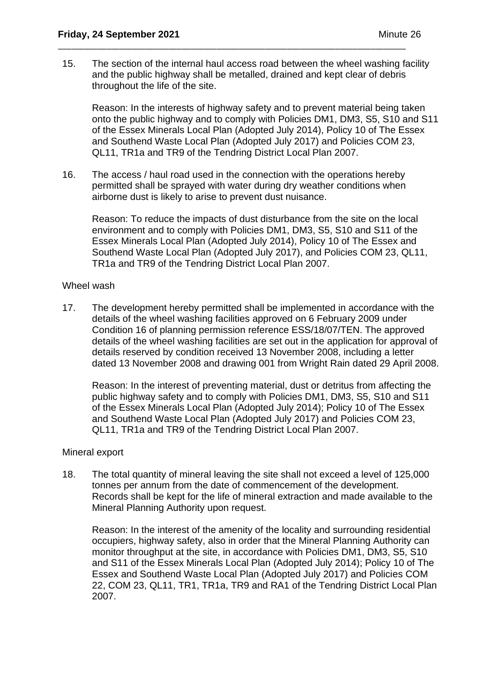15. The section of the internal haul access road between the wheel washing facility and the public highway shall be metalled, drained and kept clear of debris throughout the life of the site.

\_\_\_\_\_\_\_\_\_\_\_\_\_\_\_\_\_\_\_\_\_\_\_\_\_\_\_\_\_\_\_\_\_\_\_\_\_\_\_\_\_\_\_\_\_\_\_\_\_\_\_\_\_\_\_\_\_\_\_\_\_\_\_\_\_\_\_\_\_\_\_\_\_\_\_\_\_\_\_

Reason: In the interests of highway safety and to prevent material being taken onto the public highway and to comply with Policies DM1, DM3, S5, S10 and S11 of the Essex Minerals Local Plan (Adopted July 2014), Policy 10 of The Essex and Southend Waste Local Plan (Adopted July 2017) and Policies COM 23, QL11, TR1a and TR9 of the Tendring District Local Plan 2007.

16. The access / haul road used in the connection with the operations hereby permitted shall be sprayed with water during dry weather conditions when airborne dust is likely to arise to prevent dust nuisance.

Reason: To reduce the impacts of dust disturbance from the site on the local environment and to comply with Policies DM1, DM3, S5, S10 and S11 of the Essex Minerals Local Plan (Adopted July 2014), Policy 10 of The Essex and Southend Waste Local Plan (Adopted July 2017), and Policies COM 23, QL11, TR1a and TR9 of the Tendring District Local Plan 2007.

#### Wheel wash

17. The development hereby permitted shall be implemented in accordance with the details of the wheel washing facilities approved on 6 February 2009 under Condition 16 of planning permission reference ESS/18/07/TEN. The approved details of the wheel washing facilities are set out in the application for approval of details reserved by condition received 13 November 2008, including a letter dated 13 November 2008 and drawing 001 from Wright Rain dated 29 April 2008.

Reason: In the interest of preventing material, dust or detritus from affecting the public highway safety and to comply with Policies DM1, DM3, S5, S10 and S11 of the Essex Minerals Local Plan (Adopted July 2014); Policy 10 of The Essex and Southend Waste Local Plan (Adopted July 2017) and Policies COM 23, QL11, TR1a and TR9 of the Tendring District Local Plan 2007.

#### Mineral export

18. The total quantity of mineral leaving the site shall not exceed a level of 125,000 tonnes per annum from the date of commencement of the development. Records shall be kept for the life of mineral extraction and made available to the Mineral Planning Authority upon request.

Reason: In the interest of the amenity of the locality and surrounding residential occupiers, highway safety, also in order that the Mineral Planning Authority can monitor throughput at the site, in accordance with Policies DM1, DM3, S5, S10 and S11 of the Essex Minerals Local Plan (Adopted July 2014); Policy 10 of The Essex and Southend Waste Local Plan (Adopted July 2017) and Policies COM 22, COM 23, QL11, TR1, TR1a, TR9 and RA1 of the Tendring District Local Plan 2007.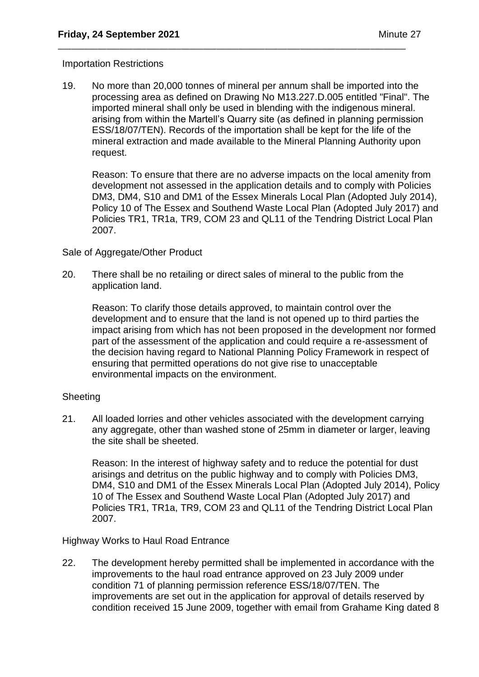### Importation Restrictions

19. No more than 20,000 tonnes of mineral per annum shall be imported into the processing area as defined on Drawing No M13.227.D.005 entitled "Final". The imported mineral shall only be used in blending with the indigenous mineral. arising from within the Martell's Quarry site (as defined in planning permission ESS/18/07/TEN). Records of the importation shall be kept for the life of the mineral extraction and made available to the Mineral Planning Authority upon request.

\_\_\_\_\_\_\_\_\_\_\_\_\_\_\_\_\_\_\_\_\_\_\_\_\_\_\_\_\_\_\_\_\_\_\_\_\_\_\_\_\_\_\_\_\_\_\_\_\_\_\_\_\_\_\_\_\_\_\_\_\_\_\_\_\_\_\_\_\_\_\_\_\_\_\_\_\_\_\_

Reason: To ensure that there are no adverse impacts on the local amenity from development not assessed in the application details and to comply with Policies DM3, DM4, S10 and DM1 of the Essex Minerals Local Plan (Adopted July 2014), Policy 10 of The Essex and Southend Waste Local Plan (Adopted July 2017) and Policies TR1, TR1a, TR9, COM 23 and QL11 of the Tendring District Local Plan 2007.

### Sale of Aggregate/Other Product

20. There shall be no retailing or direct sales of mineral to the public from the application land.

Reason: To clarify those details approved, to maintain control over the development and to ensure that the land is not opened up to third parties the impact arising from which has not been proposed in the development nor formed part of the assessment of the application and could require a re-assessment of the decision having regard to National Planning Policy Framework in respect of ensuring that permitted operations do not give rise to unacceptable environmental impacts on the environment.

## **Sheeting**

21. All loaded lorries and other vehicles associated with the development carrying any aggregate, other than washed stone of 25mm in diameter or larger, leaving the site shall be sheeted.

Reason: In the interest of highway safety and to reduce the potential for dust arisings and detritus on the public highway and to comply with Policies DM3, DM4, S10 and DM1 of the Essex Minerals Local Plan (Adopted July 2014), Policy 10 of The Essex and Southend Waste Local Plan (Adopted July 2017) and Policies TR1, TR1a, TR9, COM 23 and QL11 of the Tendring District Local Plan 2007.

Highway Works to Haul Road Entrance

22. The development hereby permitted shall be implemented in accordance with the improvements to the haul road entrance approved on 23 July 2009 under condition 71 of planning permission reference ESS/18/07/TEN. The improvements are set out in the application for approval of details reserved by condition received 15 June 2009, together with email from Grahame King dated 8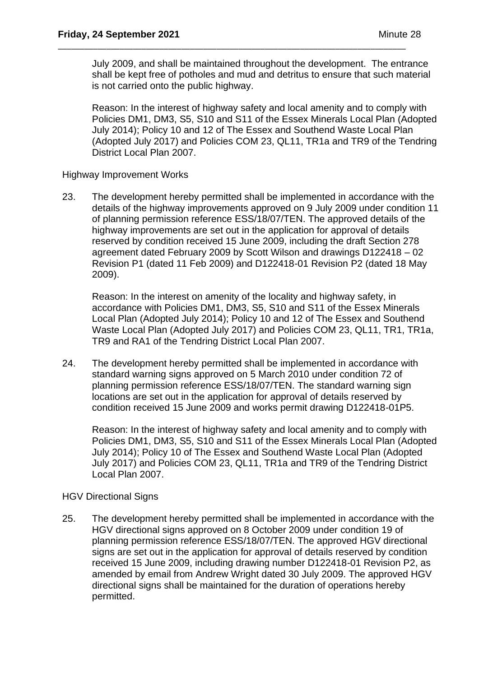July 2009, and shall be maintained throughout the development. The entrance shall be kept free of potholes and mud and detritus to ensure that such material is not carried onto the public highway.

\_\_\_\_\_\_\_\_\_\_\_\_\_\_\_\_\_\_\_\_\_\_\_\_\_\_\_\_\_\_\_\_\_\_\_\_\_\_\_\_\_\_\_\_\_\_\_\_\_\_\_\_\_\_\_\_\_\_\_\_\_\_\_\_\_\_\_\_\_\_\_\_\_\_\_\_\_\_\_

Reason: In the interest of highway safety and local amenity and to comply with Policies DM1, DM3, S5, S10 and S11 of the Essex Minerals Local Plan (Adopted July 2014); Policy 10 and 12 of The Essex and Southend Waste Local Plan (Adopted July 2017) and Policies COM 23, QL11, TR1a and TR9 of the Tendring District Local Plan 2007.

Highway Improvement Works

23. The development hereby permitted shall be implemented in accordance with the details of the highway improvements approved on 9 July 2009 under condition 11 of planning permission reference ESS/18/07/TEN. The approved details of the highway improvements are set out in the application for approval of details reserved by condition received 15 June 2009, including the draft Section 278 agreement dated February 2009 by Scott Wilson and drawings D122418 – 02 Revision P1 (dated 11 Feb 2009) and D122418-01 Revision P2 (dated 18 May 2009).

Reason: In the interest on amenity of the locality and highway safety, in accordance with Policies DM1, DM3, S5, S10 and S11 of the Essex Minerals Local Plan (Adopted July 2014); Policy 10 and 12 of The Essex and Southend Waste Local Plan (Adopted July 2017) and Policies COM 23, QL11, TR1, TR1a, TR9 and RA1 of the Tendring District Local Plan 2007.

24. The development hereby permitted shall be implemented in accordance with standard warning signs approved on 5 March 2010 under condition 72 of planning permission reference ESS/18/07/TEN. The standard warning sign locations are set out in the application for approval of details reserved by condition received 15 June 2009 and works permit drawing D122418-01P5.

Reason: In the interest of highway safety and local amenity and to comply with Policies DM1, DM3, S5, S10 and S11 of the Essex Minerals Local Plan (Adopted July 2014); Policy 10 of The Essex and Southend Waste Local Plan (Adopted July 2017) and Policies COM 23, QL11, TR1a and TR9 of the Tendring District Local Plan 2007.

## HGV Directional Signs

25. The development hereby permitted shall be implemented in accordance with the HGV directional signs approved on 8 October 2009 under condition 19 of planning permission reference ESS/18/07/TEN. The approved HGV directional signs are set out in the application for approval of details reserved by condition received 15 June 2009, including drawing number D122418-01 Revision P2, as amended by email from Andrew Wright dated 30 July 2009. The approved HGV directional signs shall be maintained for the duration of operations hereby permitted.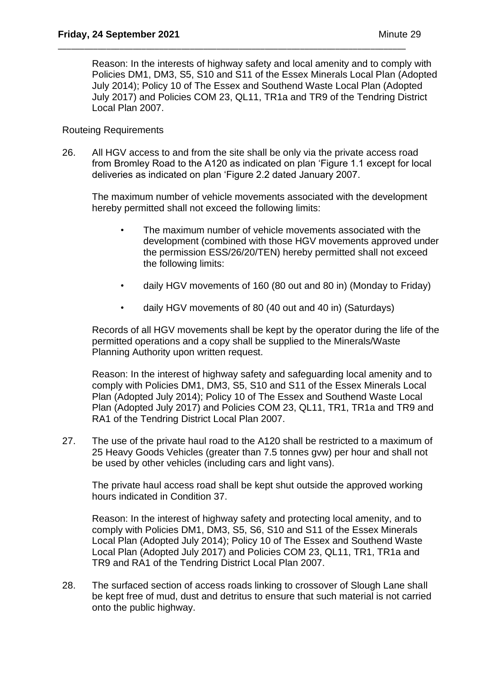Reason: In the interests of highway safety and local amenity and to comply with Policies DM1, DM3, S5, S10 and S11 of the Essex Minerals Local Plan (Adopted July 2014); Policy 10 of The Essex and Southend Waste Local Plan (Adopted July 2017) and Policies COM 23, QL11, TR1a and TR9 of the Tendring District Local Plan 2007.

### Routeing Requirements

26. All HGV access to and from the site shall be only via the private access road from Bromley Road to the A120 as indicated on plan 'Figure 1.1 except for local deliveries as indicated on plan 'Figure 2.2 dated January 2007.

\_\_\_\_\_\_\_\_\_\_\_\_\_\_\_\_\_\_\_\_\_\_\_\_\_\_\_\_\_\_\_\_\_\_\_\_\_\_\_\_\_\_\_\_\_\_\_\_\_\_\_\_\_\_\_\_\_\_\_\_\_\_\_\_\_\_\_\_\_\_\_\_\_\_\_\_\_\_\_

The maximum number of vehicle movements associated with the development hereby permitted shall not exceed the following limits:

- The maximum number of vehicle movements associated with the development (combined with those HGV movements approved under the permission ESS/26/20/TEN) hereby permitted shall not exceed the following limits:
- daily HGV movements of 160 (80 out and 80 in) (Monday to Friday)
- daily HGV movements of 80 (40 out and 40 in) (Saturdays)

Records of all HGV movements shall be kept by the operator during the life of the permitted operations and a copy shall be supplied to the Minerals/Waste Planning Authority upon written request.

Reason: In the interest of highway safety and safeguarding local amenity and to comply with Policies DM1, DM3, S5, S10 and S11 of the Essex Minerals Local Plan (Adopted July 2014); Policy 10 of The Essex and Southend Waste Local Plan (Adopted July 2017) and Policies COM 23, QL11, TR1, TR1a and TR9 and RA1 of the Tendring District Local Plan 2007.

27. The use of the private haul road to the A120 shall be restricted to a maximum of 25 Heavy Goods Vehicles (greater than 7.5 tonnes gvw) per hour and shall not be used by other vehicles (including cars and light vans).

The private haul access road shall be kept shut outside the approved working hours indicated in Condition 37.

Reason: In the interest of highway safety and protecting local amenity, and to comply with Policies DM1, DM3, S5, S6, S10 and S11 of the Essex Minerals Local Plan (Adopted July 2014); Policy 10 of The Essex and Southend Waste Local Plan (Adopted July 2017) and Policies COM 23, QL11, TR1, TR1a and TR9 and RA1 of the Tendring District Local Plan 2007.

28. The surfaced section of access roads linking to crossover of Slough Lane shall be kept free of mud, dust and detritus to ensure that such material is not carried onto the public highway.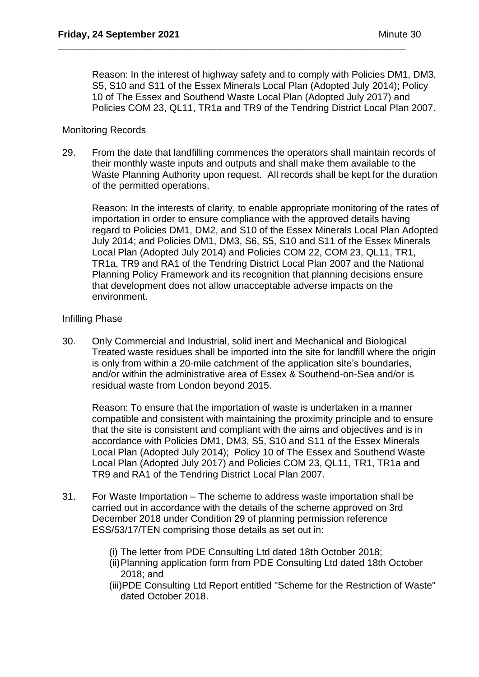Reason: In the interest of highway safety and to comply with Policies DM1, DM3, S5, S10 and S11 of the Essex Minerals Local Plan (Adopted July 2014); Policy 10 of The Essex and Southend Waste Local Plan (Adopted July 2017) and Policies COM 23, QL11, TR1a and TR9 of the Tendring District Local Plan 2007.

\_\_\_\_\_\_\_\_\_\_\_\_\_\_\_\_\_\_\_\_\_\_\_\_\_\_\_\_\_\_\_\_\_\_\_\_\_\_\_\_\_\_\_\_\_\_\_\_\_\_\_\_\_\_\_\_\_\_\_\_\_\_\_\_\_\_\_\_\_\_\_\_\_\_\_\_\_\_\_

## Monitoring Records

29. From the date that landfilling commences the operators shall maintain records of their monthly waste inputs and outputs and shall make them available to the Waste Planning Authority upon request. All records shall be kept for the duration of the permitted operations.

Reason: In the interests of clarity, to enable appropriate monitoring of the rates of importation in order to ensure compliance with the approved details having regard to Policies DM1, DM2, and S10 of the Essex Minerals Local Plan Adopted July 2014; and Policies DM1, DM3, S6, S5, S10 and S11 of the Essex Minerals Local Plan (Adopted July 2014) and Policies COM 22, COM 23, QL11, TR1, TR1a, TR9 and RA1 of the Tendring District Local Plan 2007 and the National Planning Policy Framework and its recognition that planning decisions ensure that development does not allow unacceptable adverse impacts on the environment.

## Infilling Phase

30. Only Commercial and Industrial, solid inert and Mechanical and Biological Treated waste residues shall be imported into the site for landfill where the origin is only from within a 20-mile catchment of the application site's boundaries, and/or within the administrative area of Essex & Southend-on-Sea and/or is residual waste from London beyond 2015.

Reason: To ensure that the importation of waste is undertaken in a manner compatible and consistent with maintaining the proximity principle and to ensure that the site is consistent and compliant with the aims and objectives and is in accordance with Policies DM1, DM3, S5, S10 and S11 of the Essex Minerals Local Plan (Adopted July 2014); Policy 10 of The Essex and Southend Waste Local Plan (Adopted July 2017) and Policies COM 23, QL11, TR1, TR1a and TR9 and RA1 of the Tendring District Local Plan 2007.

- 31. For Waste Importation The scheme to address waste importation shall be carried out in accordance with the details of the scheme approved on 3rd December 2018 under Condition 29 of planning permission reference ESS/53/17/TEN comprising those details as set out in:
	- (i) The letter from PDE Consulting Ltd dated 18th October 2018;
	- (ii)Planning application form from PDE Consulting Ltd dated 18th October 2018; and
	- (iii)PDE Consulting Ltd Report entitled "Scheme for the Restriction of Waste" dated October 2018.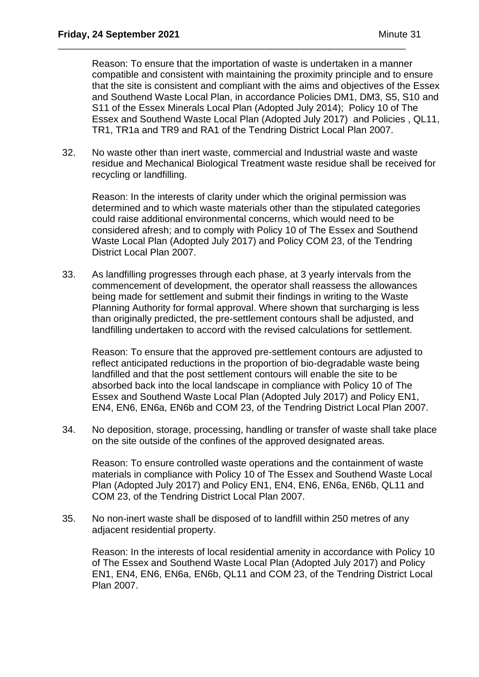Reason: To ensure that the importation of waste is undertaken in a manner compatible and consistent with maintaining the proximity principle and to ensure that the site is consistent and compliant with the aims and objectives of the Essex and Southend Waste Local Plan, in accordance Policies DM1, DM3, S5, S10 and S11 of the Essex Minerals Local Plan (Adopted July 2014); Policy 10 of The Essex and Southend Waste Local Plan (Adopted July 2017) and Policies , QL11, TR1, TR1a and TR9 and RA1 of the Tendring District Local Plan 2007.

32. No waste other than inert waste, commercial and Industrial waste and waste residue and Mechanical Biological Treatment waste residue shall be received for recycling or landfilling.

\_\_\_\_\_\_\_\_\_\_\_\_\_\_\_\_\_\_\_\_\_\_\_\_\_\_\_\_\_\_\_\_\_\_\_\_\_\_\_\_\_\_\_\_\_\_\_\_\_\_\_\_\_\_\_\_\_\_\_\_\_\_\_\_\_\_\_\_\_\_\_\_\_\_\_\_\_\_\_

Reason: In the interests of clarity under which the original permission was determined and to which waste materials other than the stipulated categories could raise additional environmental concerns, which would need to be considered afresh; and to comply with Policy 10 of The Essex and Southend Waste Local Plan (Adopted July 2017) and Policy COM 23, of the Tendring District Local Plan 2007.

33. As landfilling progresses through each phase, at 3 yearly intervals from the commencement of development, the operator shall reassess the allowances being made for settlement and submit their findings in writing to the Waste Planning Authority for formal approval. Where shown that surcharging is less than originally predicted, the pre-settlement contours shall be adjusted, and landfilling undertaken to accord with the revised calculations for settlement.

Reason: To ensure that the approved pre-settlement contours are adjusted to reflect anticipated reductions in the proportion of bio-degradable waste being landfilled and that the post settlement contours will enable the site to be absorbed back into the local landscape in compliance with Policy 10 of The Essex and Southend Waste Local Plan (Adopted July 2017) and Policy EN1, EN4, EN6, EN6a, EN6b and COM 23, of the Tendring District Local Plan 2007.

34. No deposition, storage, processing, handling or transfer of waste shall take place on the site outside of the confines of the approved designated areas.

Reason: To ensure controlled waste operations and the containment of waste materials in compliance with Policy 10 of The Essex and Southend Waste Local Plan (Adopted July 2017) and Policy EN1, EN4, EN6, EN6a, EN6b, QL11 and COM 23, of the Tendring District Local Plan 2007.

35. No non-inert waste shall be disposed of to landfill within 250 metres of any adjacent residential property.

Reason: In the interests of local residential amenity in accordance with Policy 10 of The Essex and Southend Waste Local Plan (Adopted July 2017) and Policy EN1, EN4, EN6, EN6a, EN6b, QL11 and COM 23, of the Tendring District Local Plan 2007.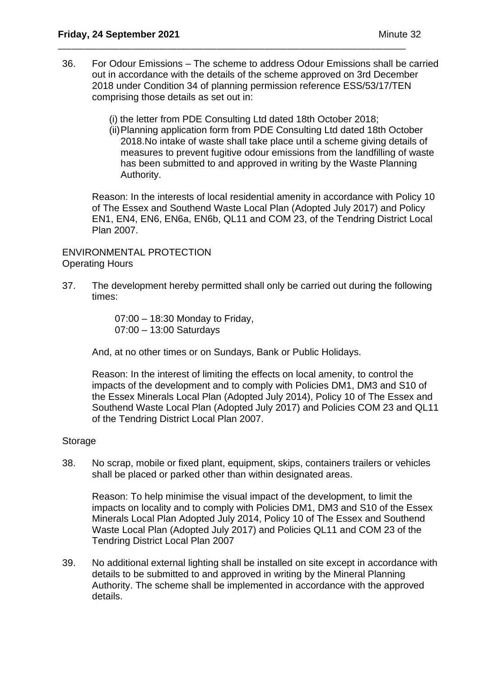36. For Odour Emissions – The scheme to address Odour Emissions shall be carried out in accordance with the details of the scheme approved on 3rd December 2018 under Condition 34 of planning permission reference ESS/53/17/TEN comprising those details as set out in:

\_\_\_\_\_\_\_\_\_\_\_\_\_\_\_\_\_\_\_\_\_\_\_\_\_\_\_\_\_\_\_\_\_\_\_\_\_\_\_\_\_\_\_\_\_\_\_\_\_\_\_\_\_\_\_\_\_\_\_\_\_\_\_\_\_\_\_\_\_\_\_\_\_\_\_\_\_\_\_

- (i) the letter from PDE Consulting Ltd dated 18th October 2018;
- (ii)Planning application form from PDE Consulting Ltd dated 18th October 2018.No intake of waste shall take place until a scheme giving details of measures to prevent fugitive odour emissions from the landfilling of waste has been submitted to and approved in writing by the Waste Planning Authority.

Reason: In the interests of local residential amenity in accordance with Policy 10 of The Essex and Southend Waste Local Plan (Adopted July 2017) and Policy EN1, EN4, EN6, EN6a, EN6b, QL11 and COM 23, of the Tendring District Local Plan 2007.

ENVIRONMENTAL PROTECTION Operating Hours

37. The development hereby permitted shall only be carried out during the following times:

> 07:00 – 18:30 Monday to Friday, 07:00 – 13:00 Saturdays

And, at no other times or on Sundays, Bank or Public Holidays.

Reason: In the interest of limiting the effects on local amenity, to control the impacts of the development and to comply with Policies DM1, DM3 and S10 of the Essex Minerals Local Plan (Adopted July 2014), Policy 10 of The Essex and Southend Waste Local Plan (Adopted July 2017) and Policies COM 23 and QL11 of the Tendring District Local Plan 2007.

## Storage

38. No scrap, mobile or fixed plant, equipment, skips, containers trailers or vehicles shall be placed or parked other than within designated areas.

Reason: To help minimise the visual impact of the development, to limit the impacts on locality and to comply with Policies DM1, DM3 and S10 of the Essex Minerals Local Plan Adopted July 2014, Policy 10 of The Essex and Southend Waste Local Plan (Adopted July 2017) and Policies QL11 and COM 23 of the Tendring District Local Plan 2007

39. No additional external lighting shall be installed on site except in accordance with details to be submitted to and approved in writing by the Mineral Planning Authority. The scheme shall be implemented in accordance with the approved details.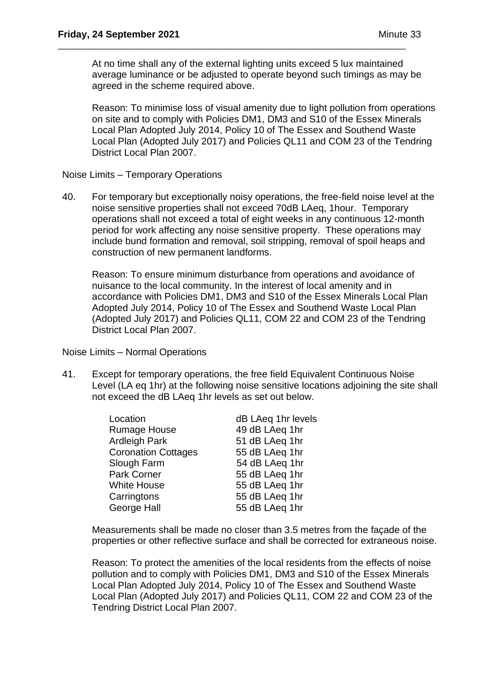At no time shall any of the external lighting units exceed 5 lux maintained average luminance or be adjusted to operate beyond such timings as may be agreed in the scheme required above.

\_\_\_\_\_\_\_\_\_\_\_\_\_\_\_\_\_\_\_\_\_\_\_\_\_\_\_\_\_\_\_\_\_\_\_\_\_\_\_\_\_\_\_\_\_\_\_\_\_\_\_\_\_\_\_\_\_\_\_\_\_\_\_\_\_\_\_\_\_\_\_\_\_\_\_\_\_\_\_

Reason: To minimise loss of visual amenity due to light pollution from operations on site and to comply with Policies DM1, DM3 and S10 of the Essex Minerals Local Plan Adopted July 2014, Policy 10 of The Essex and Southend Waste Local Plan (Adopted July 2017) and Policies QL11 and COM 23 of the Tendring District Local Plan 2007.

Noise Limits – Temporary Operations

40. For temporary but exceptionally noisy operations, the free-field noise level at the noise sensitive properties shall not exceed 70dB LAeq, 1hour. Temporary operations shall not exceed a total of eight weeks in any continuous 12-month period for work affecting any noise sensitive property. These operations may include bund formation and removal, soil stripping, removal of spoil heaps and construction of new permanent landforms.

Reason: To ensure minimum disturbance from operations and avoidance of nuisance to the local community. In the interest of local amenity and in accordance with Policies DM1, DM3 and S10 of the Essex Minerals Local Plan Adopted July 2014, Policy 10 of The Essex and Southend Waste Local Plan (Adopted July 2017) and Policies QL11, COM 22 and COM 23 of the Tendring District Local Plan 2007.

Noise Limits – Normal Operations

41. Except for temporary operations, the free field Equivalent Continuous Noise Level (LA eq 1hr) at the following noise sensitive locations adjoining the site shall not exceed the dB LAeq 1hr levels as set out below.

| Location                   | dB LAeq 1hr levels |
|----------------------------|--------------------|
| <b>Rumage House</b>        | 49 dB LAeq 1hr     |
| <b>Ardleigh Park</b>       | 51 dB LAeq 1hr     |
| <b>Coronation Cottages</b> | 55 dB LAeq 1hr     |
| Slough Farm                | 54 dB LAeq 1hr     |
| Park Corner                | 55 dB LAeq 1hr     |
| <b>White House</b>         | 55 dB LAeq 1hr     |
| Carringtons                | 55 dB LAeq 1hr     |
| <b>George Hall</b>         | 55 dB LAeq 1hr     |
|                            |                    |

Measurements shall be made no closer than 3.5 metres from the façade of the properties or other reflective surface and shall be corrected for extraneous noise.

Reason: To protect the amenities of the local residents from the effects of noise pollution and to comply with Policies DM1, DM3 and S10 of the Essex Minerals Local Plan Adopted July 2014, Policy 10 of The Essex and Southend Waste Local Plan (Adopted July 2017) and Policies QL11, COM 22 and COM 23 of the Tendring District Local Plan 2007.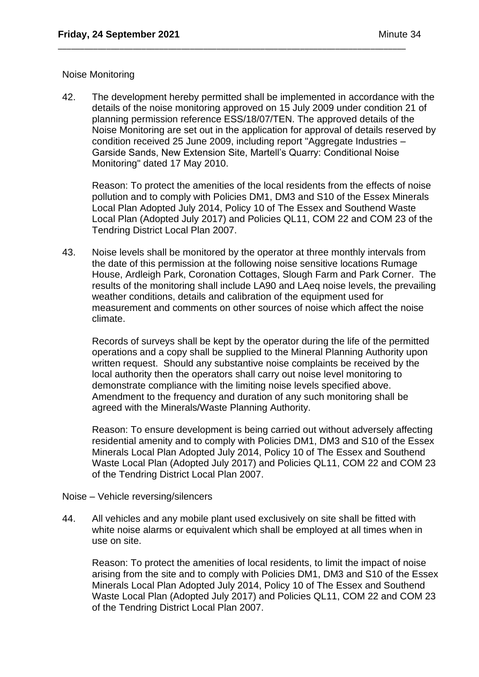### Noise Monitoring

42. The development hereby permitted shall be implemented in accordance with the details of the noise monitoring approved on 15 July 2009 under condition 21 of planning permission reference ESS/18/07/TEN. The approved details of the Noise Monitoring are set out in the application for approval of details reserved by condition received 25 June 2009, including report "Aggregate Industries – Garside Sands, New Extension Site, Martell's Quarry: Conditional Noise Monitoring" dated 17 May 2010.

\_\_\_\_\_\_\_\_\_\_\_\_\_\_\_\_\_\_\_\_\_\_\_\_\_\_\_\_\_\_\_\_\_\_\_\_\_\_\_\_\_\_\_\_\_\_\_\_\_\_\_\_\_\_\_\_\_\_\_\_\_\_\_\_\_\_\_\_\_\_\_\_\_\_\_\_\_\_\_

Reason: To protect the amenities of the local residents from the effects of noise pollution and to comply with Policies DM1, DM3 and S10 of the Essex Minerals Local Plan Adopted July 2014, Policy 10 of The Essex and Southend Waste Local Plan (Adopted July 2017) and Policies QL11, COM 22 and COM 23 of the Tendring District Local Plan 2007.

43. Noise levels shall be monitored by the operator at three monthly intervals from the date of this permission at the following noise sensitive locations Rumage House, Ardleigh Park, Coronation Cottages, Slough Farm and Park Corner. The results of the monitoring shall include LA90 and LAeq noise levels, the prevailing weather conditions, details and calibration of the equipment used for measurement and comments on other sources of noise which affect the noise climate.

Records of surveys shall be kept by the operator during the life of the permitted operations and a copy shall be supplied to the Mineral Planning Authority upon written request. Should any substantive noise complaints be received by the local authority then the operators shall carry out noise level monitoring to demonstrate compliance with the limiting noise levels specified above. Amendment to the frequency and duration of any such monitoring shall be agreed with the Minerals/Waste Planning Authority.

Reason: To ensure development is being carried out without adversely affecting residential amenity and to comply with Policies DM1, DM3 and S10 of the Essex Minerals Local Plan Adopted July 2014, Policy 10 of The Essex and Southend Waste Local Plan (Adopted July 2017) and Policies QL11, COM 22 and COM 23 of the Tendring District Local Plan 2007.

- Noise Vehicle reversing/silencers
- 44. All vehicles and any mobile plant used exclusively on site shall be fitted with white noise alarms or equivalent which shall be employed at all times when in use on site.

Reason: To protect the amenities of local residents, to limit the impact of noise arising from the site and to comply with Policies DM1, DM3 and S10 of the Essex Minerals Local Plan Adopted July 2014, Policy 10 of The Essex and Southend Waste Local Plan (Adopted July 2017) and Policies QL11, COM 22 and COM 23 of the Tendring District Local Plan 2007.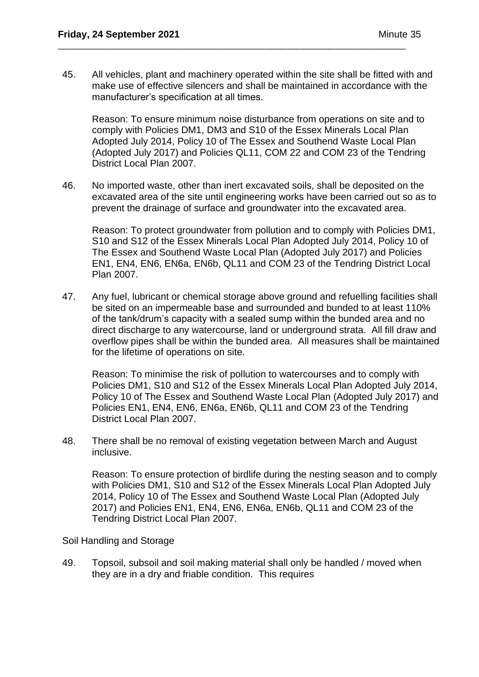45. All vehicles, plant and machinery operated within the site shall be fitted with and make use of effective silencers and shall be maintained in accordance with the manufacturer's specification at all times.

\_\_\_\_\_\_\_\_\_\_\_\_\_\_\_\_\_\_\_\_\_\_\_\_\_\_\_\_\_\_\_\_\_\_\_\_\_\_\_\_\_\_\_\_\_\_\_\_\_\_\_\_\_\_\_\_\_\_\_\_\_\_\_\_\_\_\_\_\_\_\_\_\_\_\_\_\_\_\_

Reason: To ensure minimum noise disturbance from operations on site and to comply with Policies DM1, DM3 and S10 of the Essex Minerals Local Plan Adopted July 2014, Policy 10 of The Essex and Southend Waste Local Plan (Adopted July 2017) and Policies QL11, COM 22 and COM 23 of the Tendring District Local Plan 2007.

46. No imported waste, other than inert excavated soils, shall be deposited on the excavated area of the site until engineering works have been carried out so as to prevent the drainage of surface and groundwater into the excavated area.

Reason: To protect groundwater from pollution and to comply with Policies DM1, S10 and S12 of the Essex Minerals Local Plan Adopted July 2014, Policy 10 of The Essex and Southend Waste Local Plan (Adopted July 2017) and Policies EN1, EN4, EN6, EN6a, EN6b, QL11 and COM 23 of the Tendring District Local Plan 2007.

47. Any fuel, lubricant or chemical storage above ground and refuelling facilities shall be sited on an impermeable base and surrounded and bunded to at least 110% of the tank/drum's capacity with a sealed sump within the bunded area and no direct discharge to any watercourse, land or underground strata. All fill draw and overflow pipes shall be within the bunded area. All measures shall be maintained for the lifetime of operations on site.

Reason: To minimise the risk of pollution to watercourses and to comply with Policies DM1, S10 and S12 of the Essex Minerals Local Plan Adopted July 2014, Policy 10 of The Essex and Southend Waste Local Plan (Adopted July 2017) and Policies EN1, EN4, EN6, EN6a, EN6b, QL11 and COM 23 of the Tendring District Local Plan 2007.

48. There shall be no removal of existing vegetation between March and August inclusive.

Reason: To ensure protection of birdlife during the nesting season and to comply with Policies DM1, S10 and S12 of the Essex Minerals Local Plan Adopted July 2014, Policy 10 of The Essex and Southend Waste Local Plan (Adopted July 2017) and Policies EN1, EN4, EN6, EN6a, EN6b, QL11 and COM 23 of the Tendring District Local Plan 2007.

Soil Handling and Storage

49. Topsoil, subsoil and soil making material shall only be handled / moved when they are in a dry and friable condition. This requires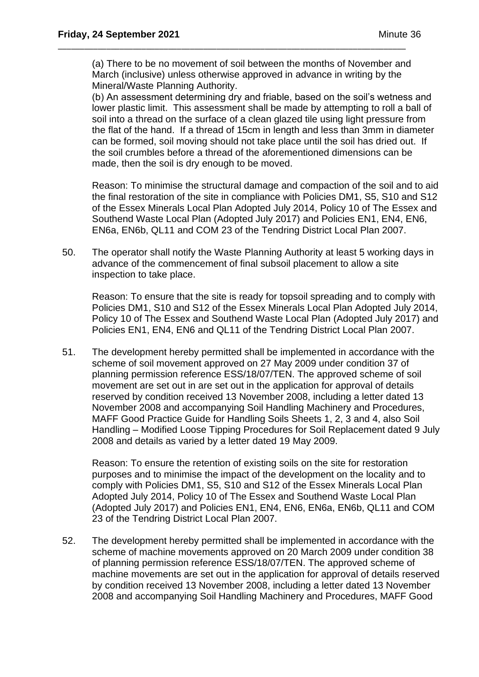(a) There to be no movement of soil between the months of November and March (inclusive) unless otherwise approved in advance in writing by the Mineral/Waste Planning Authority.

\_\_\_\_\_\_\_\_\_\_\_\_\_\_\_\_\_\_\_\_\_\_\_\_\_\_\_\_\_\_\_\_\_\_\_\_\_\_\_\_\_\_\_\_\_\_\_\_\_\_\_\_\_\_\_\_\_\_\_\_\_\_\_\_\_\_\_\_\_\_\_\_\_\_\_\_\_\_\_

(b) An assessment determining dry and friable, based on the soil's wetness and lower plastic limit. This assessment shall be made by attempting to roll a ball of soil into a thread on the surface of a clean glazed tile using light pressure from the flat of the hand. If a thread of 15cm in length and less than 3mm in diameter can be formed, soil moving should not take place until the soil has dried out. If the soil crumbles before a thread of the aforementioned dimensions can be made, then the soil is dry enough to be moved.

Reason: To minimise the structural damage and compaction of the soil and to aid the final restoration of the site in compliance with Policies DM1, S5, S10 and S12 of the Essex Minerals Local Plan Adopted July 2014, Policy 10 of The Essex and Southend Waste Local Plan (Adopted July 2017) and Policies EN1, EN4, EN6, EN6a, EN6b, QL11 and COM 23 of the Tendring District Local Plan 2007.

50. The operator shall notify the Waste Planning Authority at least 5 working days in advance of the commencement of final subsoil placement to allow a site inspection to take place.

Reason: To ensure that the site is ready for topsoil spreading and to comply with Policies DM1, S10 and S12 of the Essex Minerals Local Plan Adopted July 2014, Policy 10 of The Essex and Southend Waste Local Plan (Adopted July 2017) and Policies EN1, EN4, EN6 and QL11 of the Tendring District Local Plan 2007.

51. The development hereby permitted shall be implemented in accordance with the scheme of soil movement approved on 27 May 2009 under condition 37 of planning permission reference ESS/18/07/TEN. The approved scheme of soil movement are set out in are set out in the application for approval of details reserved by condition received 13 November 2008, including a letter dated 13 November 2008 and accompanying Soil Handling Machinery and Procedures, MAFF Good Practice Guide for Handling Soils Sheets 1, 2, 3 and 4, also Soil Handling – Modified Loose Tipping Procedures for Soil Replacement dated 9 July 2008 and details as varied by a letter dated 19 May 2009.

Reason: To ensure the retention of existing soils on the site for restoration purposes and to minimise the impact of the development on the locality and to comply with Policies DM1, S5, S10 and S12 of the Essex Minerals Local Plan Adopted July 2014, Policy 10 of The Essex and Southend Waste Local Plan (Adopted July 2017) and Policies EN1, EN4, EN6, EN6a, EN6b, QL11 and COM 23 of the Tendring District Local Plan 2007.

52. The development hereby permitted shall be implemented in accordance with the scheme of machine movements approved on 20 March 2009 under condition 38 of planning permission reference ESS/18/07/TEN. The approved scheme of machine movements are set out in the application for approval of details reserved by condition received 13 November 2008, including a letter dated 13 November 2008 and accompanying Soil Handling Machinery and Procedures, MAFF Good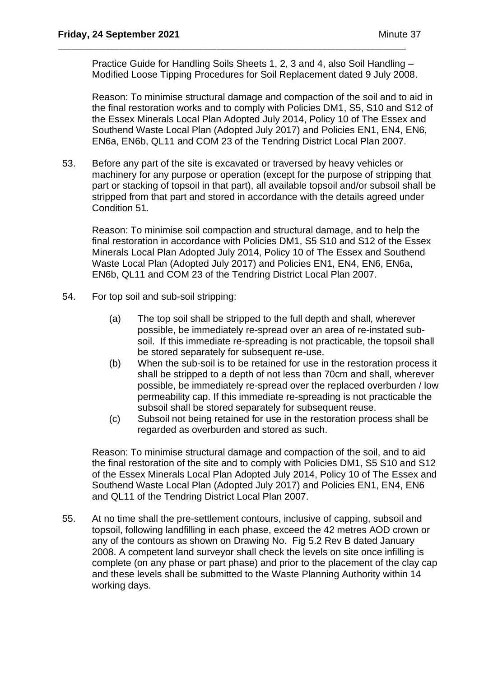Practice Guide for Handling Soils Sheets 1, 2, 3 and 4, also Soil Handling – Modified Loose Tipping Procedures for Soil Replacement dated 9 July 2008.

\_\_\_\_\_\_\_\_\_\_\_\_\_\_\_\_\_\_\_\_\_\_\_\_\_\_\_\_\_\_\_\_\_\_\_\_\_\_\_\_\_\_\_\_\_\_\_\_\_\_\_\_\_\_\_\_\_\_\_\_\_\_\_\_\_\_\_\_\_\_\_\_\_\_\_\_\_\_\_

Reason: To minimise structural damage and compaction of the soil and to aid in the final restoration works and to comply with Policies DM1, S5, S10 and S12 of the Essex Minerals Local Plan Adopted July 2014, Policy 10 of The Essex and Southend Waste Local Plan (Adopted July 2017) and Policies EN1, EN4, EN6, EN6a, EN6b, QL11 and COM 23 of the Tendring District Local Plan 2007.

53. Before any part of the site is excavated or traversed by heavy vehicles or machinery for any purpose or operation (except for the purpose of stripping that part or stacking of topsoil in that part), all available topsoil and/or subsoil shall be stripped from that part and stored in accordance with the details agreed under Condition 51.

Reason: To minimise soil compaction and structural damage, and to help the final restoration in accordance with Policies DM1, S5 S10 and S12 of the Essex Minerals Local Plan Adopted July 2014, Policy 10 of The Essex and Southend Waste Local Plan (Adopted July 2017) and Policies EN1, EN4, EN6, EN6a, EN6b, QL11 and COM 23 of the Tendring District Local Plan 2007.

- 54. For top soil and sub-soil stripping:
	- (a) The top soil shall be stripped to the full depth and shall, wherever possible, be immediately re-spread over an area of re-instated subsoil. If this immediate re-spreading is not practicable, the topsoil shall be stored separately for subsequent re-use.
	- (b) When the sub-soil is to be retained for use in the restoration process it shall be stripped to a depth of not less than 70cm and shall, wherever possible, be immediately re-spread over the replaced overburden / low permeability cap. If this immediate re-spreading is not practicable the subsoil shall be stored separately for subsequent reuse.
	- (c) Subsoil not being retained for use in the restoration process shall be regarded as overburden and stored as such.

Reason: To minimise structural damage and compaction of the soil, and to aid the final restoration of the site and to comply with Policies DM1, S5 S10 and S12 of the Essex Minerals Local Plan Adopted July 2014, Policy 10 of The Essex and Southend Waste Local Plan (Adopted July 2017) and Policies EN1, EN4, EN6 and QL11 of the Tendring District Local Plan 2007.

55. At no time shall the pre-settlement contours, inclusive of capping, subsoil and topsoil, following landfilling in each phase, exceed the 42 metres AOD crown or any of the contours as shown on Drawing No. Fig 5.2 Rev B dated January 2008. A competent land surveyor shall check the levels on site once infilling is complete (on any phase or part phase) and prior to the placement of the clay cap and these levels shall be submitted to the Waste Planning Authority within 14 working days.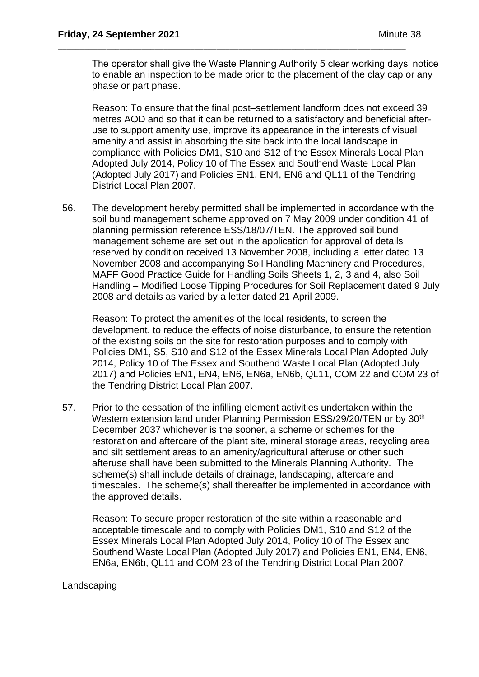The operator shall give the Waste Planning Authority 5 clear working days' notice to enable an inspection to be made prior to the placement of the clay cap or any phase or part phase.

\_\_\_\_\_\_\_\_\_\_\_\_\_\_\_\_\_\_\_\_\_\_\_\_\_\_\_\_\_\_\_\_\_\_\_\_\_\_\_\_\_\_\_\_\_\_\_\_\_\_\_\_\_\_\_\_\_\_\_\_\_\_\_\_\_\_\_\_\_\_\_\_\_\_\_\_\_\_\_

Reason: To ensure that the final post–settlement landform does not exceed 39 metres AOD and so that it can be returned to a satisfactory and beneficial afteruse to support amenity use, improve its appearance in the interests of visual amenity and assist in absorbing the site back into the local landscape in compliance with Policies DM1, S10 and S12 of the Essex Minerals Local Plan Adopted July 2014, Policy 10 of The Essex and Southend Waste Local Plan (Adopted July 2017) and Policies EN1, EN4, EN6 and QL11 of the Tendring District Local Plan 2007.

56. The development hereby permitted shall be implemented in accordance with the soil bund management scheme approved on 7 May 2009 under condition 41 of planning permission reference ESS/18/07/TEN. The approved soil bund management scheme are set out in the application for approval of details reserved by condition received 13 November 2008, including a letter dated 13 November 2008 and accompanying Soil Handling Machinery and Procedures, MAFF Good Practice Guide for Handling Soils Sheets 1, 2, 3 and 4, also Soil Handling – Modified Loose Tipping Procedures for Soil Replacement dated 9 July 2008 and details as varied by a letter dated 21 April 2009.

Reason: To protect the amenities of the local residents, to screen the development, to reduce the effects of noise disturbance, to ensure the retention of the existing soils on the site for restoration purposes and to comply with Policies DM1, S5, S10 and S12 of the Essex Minerals Local Plan Adopted July 2014, Policy 10 of The Essex and Southend Waste Local Plan (Adopted July 2017) and Policies EN1, EN4, EN6, EN6a, EN6b, QL11, COM 22 and COM 23 of the Tendring District Local Plan 2007.

57. Prior to the cessation of the infilling element activities undertaken within the Western extension land under Planning Permission ESS/29/20/TEN or by 30<sup>th</sup> December 2037 whichever is the sooner, a scheme or schemes for the restoration and aftercare of the plant site, mineral storage areas, recycling area and silt settlement areas to an amenity/agricultural afteruse or other such afteruse shall have been submitted to the Minerals Planning Authority. The scheme(s) shall include details of drainage, landscaping, aftercare and timescales. The scheme(s) shall thereafter be implemented in accordance with the approved details.

Reason: To secure proper restoration of the site within a reasonable and acceptable timescale and to comply with Policies DM1, S10 and S12 of the Essex Minerals Local Plan Adopted July 2014, Policy 10 of The Essex and Southend Waste Local Plan (Adopted July 2017) and Policies EN1, EN4, EN6, EN6a, EN6b, QL11 and COM 23 of the Tendring District Local Plan 2007.

## **Landscaping**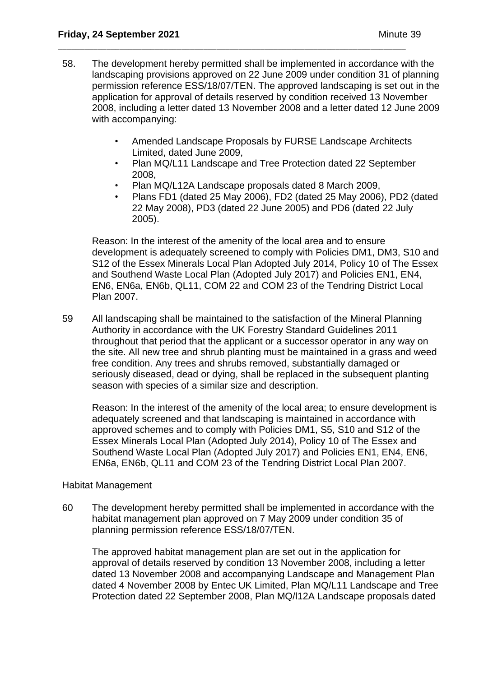58. The development hereby permitted shall be implemented in accordance with the landscaping provisions approved on 22 June 2009 under condition 31 of planning permission reference ESS/18/07/TEN. The approved landscaping is set out in the application for approval of details reserved by condition received 13 November 2008, including a letter dated 13 November 2008 and a letter dated 12 June 2009 with accompanying:

\_\_\_\_\_\_\_\_\_\_\_\_\_\_\_\_\_\_\_\_\_\_\_\_\_\_\_\_\_\_\_\_\_\_\_\_\_\_\_\_\_\_\_\_\_\_\_\_\_\_\_\_\_\_\_\_\_\_\_\_\_\_\_\_\_\_\_\_\_\_\_\_\_\_\_\_\_\_\_

- Amended Landscape Proposals by FURSE Landscape Architects Limited, dated June 2009,
- Plan MQ/L11 Landscape and Tree Protection dated 22 September 2008,
- Plan MQ/L12A Landscape proposals dated 8 March 2009,
- Plans FD1 (dated 25 May 2006), FD2 (dated 25 May 2006), PD2 (dated 22 May 2008), PD3 (dated 22 June 2005) and PD6 (dated 22 July 2005).

Reason: In the interest of the amenity of the local area and to ensure development is adequately screened to comply with Policies DM1, DM3, S10 and S12 of the Essex Minerals Local Plan Adopted July 2014, Policy 10 of The Essex and Southend Waste Local Plan (Adopted July 2017) and Policies EN1, EN4, EN6, EN6a, EN6b, QL11, COM 22 and COM 23 of the Tendring District Local Plan 2007.

59 All landscaping shall be maintained to the satisfaction of the Mineral Planning Authority in accordance with the UK Forestry Standard Guidelines 2011 throughout that period that the applicant or a successor operator in any way on the site. All new tree and shrub planting must be maintained in a grass and weed free condition. Any trees and shrubs removed, substantially damaged or seriously diseased, dead or dying, shall be replaced in the subsequent planting season with species of a similar size and description.

Reason: In the interest of the amenity of the local area; to ensure development is adequately screened and that landscaping is maintained in accordance with approved schemes and to comply with Policies DM1, S5, S10 and S12 of the Essex Minerals Local Plan (Adopted July 2014), Policy 10 of The Essex and Southend Waste Local Plan (Adopted July 2017) and Policies EN1, EN4, EN6, EN6a, EN6b, QL11 and COM 23 of the Tendring District Local Plan 2007.

### Habitat Management

60 The development hereby permitted shall be implemented in accordance with the habitat management plan approved on 7 May 2009 under condition 35 of planning permission reference ESS/18/07/TEN.

The approved habitat management plan are set out in the application for approval of details reserved by condition 13 November 2008, including a letter dated 13 November 2008 and accompanying Landscape and Management Plan dated 4 November 2008 by Entec UK Limited, Plan MQ/L11 Landscape and Tree Protection dated 22 September 2008, Plan MQ/l12A Landscape proposals dated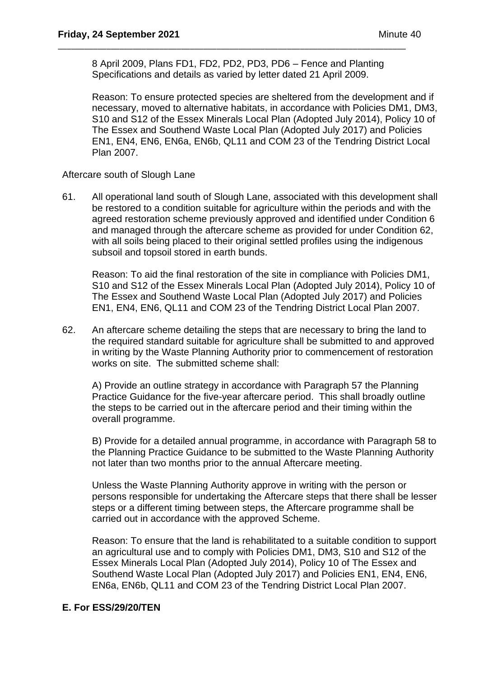8 April 2009, Plans FD1, FD2, PD2, PD3, PD6 – Fence and Planting Specifications and details as varied by letter dated 21 April 2009.

\_\_\_\_\_\_\_\_\_\_\_\_\_\_\_\_\_\_\_\_\_\_\_\_\_\_\_\_\_\_\_\_\_\_\_\_\_\_\_\_\_\_\_\_\_\_\_\_\_\_\_\_\_\_\_\_\_\_\_\_\_\_\_\_\_\_\_\_\_\_\_\_\_\_\_\_\_\_\_

Reason: To ensure protected species are sheltered from the development and if necessary, moved to alternative habitats, in accordance with Policies DM1, DM3, S10 and S12 of the Essex Minerals Local Plan (Adopted July 2014), Policy 10 of The Essex and Southend Waste Local Plan (Adopted July 2017) and Policies EN1, EN4, EN6, EN6a, EN6b, QL11 and COM 23 of the Tendring District Local Plan 2007.

Aftercare south of Slough Lane

61. All operational land south of Slough Lane, associated with this development shall be restored to a condition suitable for agriculture within the periods and with the agreed restoration scheme previously approved and identified under Condition 6 and managed through the aftercare scheme as provided for under Condition 62, with all soils being placed to their original settled profiles using the indigenous subsoil and topsoil stored in earth bunds.

Reason: To aid the final restoration of the site in compliance with Policies DM1, S10 and S12 of the Essex Minerals Local Plan (Adopted July 2014), Policy 10 of The Essex and Southend Waste Local Plan (Adopted July 2017) and Policies EN1, EN4, EN6, QL11 and COM 23 of the Tendring District Local Plan 2007.

62. An aftercare scheme detailing the steps that are necessary to bring the land to the required standard suitable for agriculture shall be submitted to and approved in writing by the Waste Planning Authority prior to commencement of restoration works on site. The submitted scheme shall:

A) Provide an outline strategy in accordance with Paragraph 57 the Planning Practice Guidance for the five-year aftercare period. This shall broadly outline the steps to be carried out in the aftercare period and their timing within the overall programme.

B) Provide for a detailed annual programme, in accordance with Paragraph 58 to the Planning Practice Guidance to be submitted to the Waste Planning Authority not later than two months prior to the annual Aftercare meeting.

Unless the Waste Planning Authority approve in writing with the person or persons responsible for undertaking the Aftercare steps that there shall be lesser steps or a different timing between steps, the Aftercare programme shall be carried out in accordance with the approved Scheme.

Reason: To ensure that the land is rehabilitated to a suitable condition to support an agricultural use and to comply with Policies DM1, DM3, S10 and S12 of the Essex Minerals Local Plan (Adopted July 2014), Policy 10 of The Essex and Southend Waste Local Plan (Adopted July 2017) and Policies EN1, EN4, EN6, EN6a, EN6b, QL11 and COM 23 of the Tendring District Local Plan 2007.

## **E. For ESS/29/20/TEN**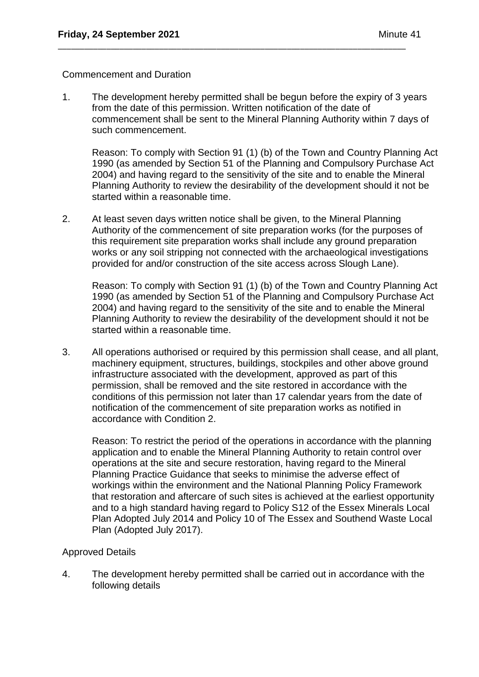### Commencement and Duration

1. The development hereby permitted shall be begun before the expiry of 3 years from the date of this permission. Written notification of the date of commencement shall be sent to the Mineral Planning Authority within 7 days of such commencement.

\_\_\_\_\_\_\_\_\_\_\_\_\_\_\_\_\_\_\_\_\_\_\_\_\_\_\_\_\_\_\_\_\_\_\_\_\_\_\_\_\_\_\_\_\_\_\_\_\_\_\_\_\_\_\_\_\_\_\_\_\_\_\_\_\_\_\_\_\_\_\_\_\_\_\_\_\_\_\_

Reason: To comply with Section 91 (1) (b) of the Town and Country Planning Act 1990 (as amended by Section 51 of the Planning and Compulsory Purchase Act 2004) and having regard to the sensitivity of the site and to enable the Mineral Planning Authority to review the desirability of the development should it not be started within a reasonable time.

2. At least seven days written notice shall be given, to the Mineral Planning Authority of the commencement of site preparation works (for the purposes of this requirement site preparation works shall include any ground preparation works or any soil stripping not connected with the archaeological investigations provided for and/or construction of the site access across Slough Lane).

Reason: To comply with Section 91 (1) (b) of the Town and Country Planning Act 1990 (as amended by Section 51 of the Planning and Compulsory Purchase Act 2004) and having regard to the sensitivity of the site and to enable the Mineral Planning Authority to review the desirability of the development should it not be started within a reasonable time.

3. All operations authorised or required by this permission shall cease, and all plant, machinery equipment, structures, buildings, stockpiles and other above ground infrastructure associated with the development, approved as part of this permission, shall be removed and the site restored in accordance with the conditions of this permission not later than 17 calendar years from the date of notification of the commencement of site preparation works as notified in accordance with Condition 2.

Reason: To restrict the period of the operations in accordance with the planning application and to enable the Mineral Planning Authority to retain control over operations at the site and secure restoration, having regard to the Mineral Planning Practice Guidance that seeks to minimise the adverse effect of workings within the environment and the National Planning Policy Framework that restoration and aftercare of such sites is achieved at the earliest opportunity and to a high standard having regard to Policy S12 of the Essex Minerals Local Plan Adopted July 2014 and Policy 10 of The Essex and Southend Waste Local Plan (Adopted July 2017).

## Approved Details

4. The development hereby permitted shall be carried out in accordance with the following details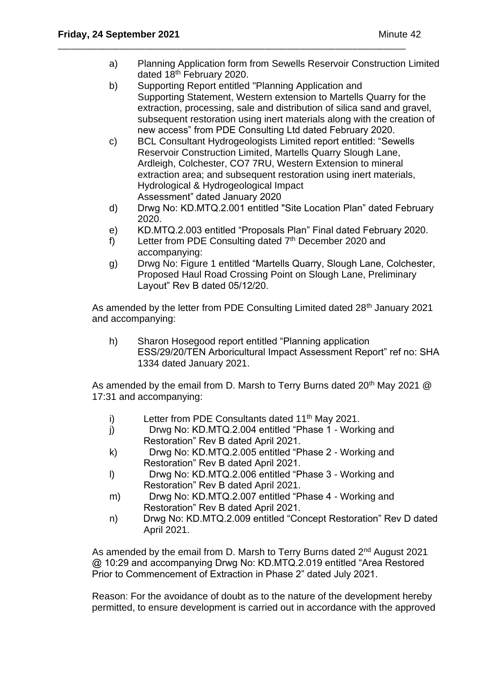a) Planning Application form from Sewells Reservoir Construction Limited dated 18<sup>th</sup> February 2020.

\_\_\_\_\_\_\_\_\_\_\_\_\_\_\_\_\_\_\_\_\_\_\_\_\_\_\_\_\_\_\_\_\_\_\_\_\_\_\_\_\_\_\_\_\_\_\_\_\_\_\_\_\_\_\_\_\_\_\_\_\_\_\_\_\_\_\_\_\_\_\_\_\_\_\_\_\_\_\_

- b) Supporting Report entitled "Planning Application and Supporting Statement, Western extension to Martells Quarry for the extraction, processing, sale and distribution of silica sand and gravel, subsequent restoration using inert materials along with the creation of new access" from PDE Consulting Ltd dated February 2020.
- c) BCL Consultant Hydrogeologists Limited report entitled: "Sewells Reservoir Construction Limited, Martells Quarry Slough Lane, Ardleigh, Colchester, CO7 7RU, Western Extension to mineral extraction area; and subsequent restoration using inert materials, Hydrological & Hydrogeological Impact Assessment" dated January 2020
- d) Drwg No: KD.MTQ.2.001 entitled "Site Location Plan" dated February 2020.
- e) KD.MTQ.2.003 entitled "Proposals Plan" Final dated February 2020.
- f) Letter from PDE Consulting dated  $7<sup>th</sup>$  December 2020 and accompanying:
- g) Drwg No: Figure 1 entitled "Martells Quarry, Slough Lane, Colchester, Proposed Haul Road Crossing Point on Slough Lane, Preliminary Layout" Rev B dated 05/12/20.

As amended by the letter from PDE Consulting Limited dated 28<sup>th</sup> January 2021 and accompanying:

h) Sharon Hosegood report entitled "Planning application ESS/29/20/TEN Arboricultural Impact Assessment Report" ref no: SHA 1334 dated January 2021.

As amended by the email from D. Marsh to Terry Burns dated  $20<sup>th</sup>$  May 2021  $@$ 17:31 and accompanying:

- i) Letter from PDE Consultants dated  $11<sup>th</sup>$  May 2021.
- j) Drwg No: KD.MTQ.2.004 entitled "Phase 1 Working and Restoration" Rev B dated April 2021.
- k) Drwg No: KD.MTQ.2.005 entitled "Phase 2 Working and Restoration" Rev B dated April 2021.
- l) Drwg No: KD.MTQ.2.006 entitled "Phase 3 Working and Restoration" Rev B dated April 2021.
- m) Drwg No: KD.MTQ.2.007 entitled "Phase 4 Working and Restoration" Rev B dated April 2021.
- n) Drwg No: KD.MTQ.2.009 entitled "Concept Restoration" Rev D dated April 2021.

As amended by the email from D. Marsh to Terry Burns dated 2<sup>nd</sup> August 2021 @ 10:29 and accompanying Drwg No: KD.MTQ.2.019 entitled "Area Restored Prior to Commencement of Extraction in Phase 2" dated July 2021.

Reason: For the avoidance of doubt as to the nature of the development hereby permitted, to ensure development is carried out in accordance with the approved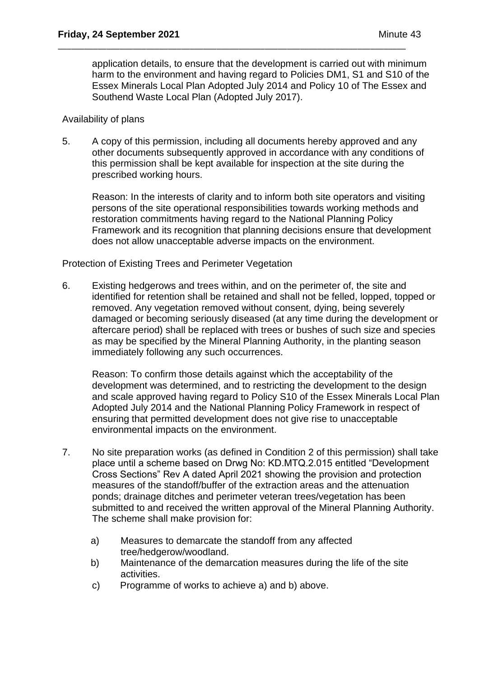application details, to ensure that the development is carried out with minimum harm to the environment and having regard to Policies DM1, S1 and S10 of the Essex Minerals Local Plan Adopted July 2014 and Policy 10 of The Essex and Southend Waste Local Plan (Adopted July 2017).

### Availability of plans

5. A copy of this permission, including all documents hereby approved and any other documents subsequently approved in accordance with any conditions of this permission shall be kept available for inspection at the site during the prescribed working hours.

\_\_\_\_\_\_\_\_\_\_\_\_\_\_\_\_\_\_\_\_\_\_\_\_\_\_\_\_\_\_\_\_\_\_\_\_\_\_\_\_\_\_\_\_\_\_\_\_\_\_\_\_\_\_\_\_\_\_\_\_\_\_\_\_\_\_\_\_\_\_\_\_\_\_\_\_\_\_\_

Reason: In the interests of clarity and to inform both site operators and visiting persons of the site operational responsibilities towards working methods and restoration commitments having regard to the National Planning Policy Framework and its recognition that planning decisions ensure that development does not allow unacceptable adverse impacts on the environment.

Protection of Existing Trees and Perimeter Vegetation

6. Existing hedgerows and trees within, and on the perimeter of, the site and identified for retention shall be retained and shall not be felled, lopped, topped or removed. Any vegetation removed without consent, dying, being severely damaged or becoming seriously diseased (at any time during the development or aftercare period) shall be replaced with trees or bushes of such size and species as may be specified by the Mineral Planning Authority, in the planting season immediately following any such occurrences.

Reason: To confirm those details against which the acceptability of the development was determined, and to restricting the development to the design and scale approved having regard to Policy S10 of the Essex Minerals Local Plan Adopted July 2014 and the National Planning Policy Framework in respect of ensuring that permitted development does not give rise to unacceptable environmental impacts on the environment.

- 7. No site preparation works (as defined in Condition 2 of this permission) shall take place until a scheme based on Drwg No: KD.MTQ.2.015 entitled "Development Cross Sections" Rev A dated April 2021 showing the provision and protection measures of the standoff/buffer of the extraction areas and the attenuation ponds; drainage ditches and perimeter veteran trees/vegetation has been submitted to and received the written approval of the Mineral Planning Authority. The scheme shall make provision for:
	- a) Measures to demarcate the standoff from any affected tree/hedgerow/woodland.
	- b) Maintenance of the demarcation measures during the life of the site activities.
	- c) Programme of works to achieve a) and b) above.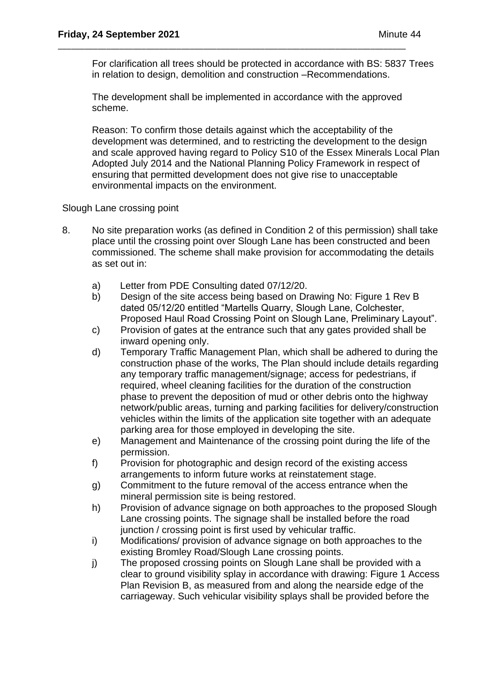For clarification all trees should be protected in accordance with BS: 5837 Trees in relation to design, demolition and construction –Recommendations.

The development shall be implemented in accordance with the approved scheme.

\_\_\_\_\_\_\_\_\_\_\_\_\_\_\_\_\_\_\_\_\_\_\_\_\_\_\_\_\_\_\_\_\_\_\_\_\_\_\_\_\_\_\_\_\_\_\_\_\_\_\_\_\_\_\_\_\_\_\_\_\_\_\_\_\_\_\_\_\_\_\_\_\_\_\_\_\_\_\_

Reason: To confirm those details against which the acceptability of the development was determined, and to restricting the development to the design and scale approved having regard to Policy S10 of the Essex Minerals Local Plan Adopted July 2014 and the National Planning Policy Framework in respect of ensuring that permitted development does not give rise to unacceptable environmental impacts on the environment.

Slough Lane crossing point

- 8. No site preparation works (as defined in Condition 2 of this permission) shall take place until the crossing point over Slough Lane has been constructed and been commissioned. The scheme shall make provision for accommodating the details as set out in:
	- a) Letter from PDE Consulting dated 07/12/20.
	- b) Design of the site access being based on Drawing No: Figure 1 Rev B dated 05/12/20 entitled "Martells Quarry, Slough Lane, Colchester, Proposed Haul Road Crossing Point on Slough Lane, Preliminary Layout".
	- c) Provision of gates at the entrance such that any gates provided shall be inward opening only.
	- d) Temporary Traffic Management Plan, which shall be adhered to during the construction phase of the works, The Plan should include details regarding any temporary traffic management/signage; access for pedestrians, if required, wheel cleaning facilities for the duration of the construction phase to prevent the deposition of mud or other debris onto the highway network/public areas, turning and parking facilities for delivery/construction vehicles within the limits of the application site together with an adequate parking area for those employed in developing the site.
	- e) Management and Maintenance of the crossing point during the life of the permission.
	- f) Provision for photographic and design record of the existing access arrangements to inform future works at reinstatement stage.
	- g) Commitment to the future removal of the access entrance when the mineral permission site is being restored.
	- h) Provision of advance signage on both approaches to the proposed Slough Lane crossing points. The signage shall be installed before the road junction / crossing point is first used by vehicular traffic.
	- i) Modifications/ provision of advance signage on both approaches to the existing Bromley Road/Slough Lane crossing points.
	- j) The proposed crossing points on Slough Lane shall be provided with a clear to ground visibility splay in accordance with drawing: Figure 1 Access Plan Revision B, as measured from and along the nearside edge of the carriageway. Such vehicular visibility splays shall be provided before the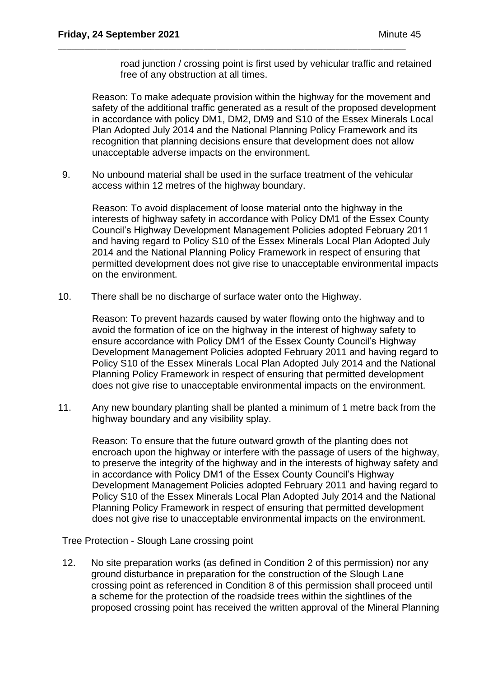road junction / crossing point is first used by vehicular traffic and retained free of any obstruction at all times.

Reason: To make adequate provision within the highway for the movement and safety of the additional traffic generated as a result of the proposed development in accordance with policy DM1, DM2, DM9 and S10 of the Essex Minerals Local Plan Adopted July 2014 and the National Planning Policy Framework and its recognition that planning decisions ensure that development does not allow unacceptable adverse impacts on the environment.

9. No unbound material shall be used in the surface treatment of the vehicular access within 12 metres of the highway boundary.

\_\_\_\_\_\_\_\_\_\_\_\_\_\_\_\_\_\_\_\_\_\_\_\_\_\_\_\_\_\_\_\_\_\_\_\_\_\_\_\_\_\_\_\_\_\_\_\_\_\_\_\_\_\_\_\_\_\_\_\_\_\_\_\_\_\_\_\_\_\_\_\_\_\_\_\_\_\_\_

Reason: To avoid displacement of loose material onto the highway in the interests of highway safety in accordance with Policy DM1 of the Essex County Council's Highway Development Management Policies adopted February 2011 and having regard to Policy S10 of the Essex Minerals Local Plan Adopted July 2014 and the National Planning Policy Framework in respect of ensuring that permitted development does not give rise to unacceptable environmental impacts on the environment.

10. There shall be no discharge of surface water onto the Highway.

Reason: To prevent hazards caused by water flowing onto the highway and to avoid the formation of ice on the highway in the interest of highway safety to ensure accordance with Policy DM1 of the Essex County Council's Highway Development Management Policies adopted February 2011 and having regard to Policy S10 of the Essex Minerals Local Plan Adopted July 2014 and the National Planning Policy Framework in respect of ensuring that permitted development does not give rise to unacceptable environmental impacts on the environment.

11. Any new boundary planting shall be planted a minimum of 1 metre back from the highway boundary and any visibility splay.

Reason: To ensure that the future outward growth of the planting does not encroach upon the highway or interfere with the passage of users of the highway, to preserve the integrity of the highway and in the interests of highway safety and in accordance with Policy DM1 of the Essex County Council's Highway Development Management Policies adopted February 2011 and having regard to Policy S10 of the Essex Minerals Local Plan Adopted July 2014 and the National Planning Policy Framework in respect of ensuring that permitted development does not give rise to unacceptable environmental impacts on the environment.

Tree Protection - Slough Lane crossing point

12. No site preparation works (as defined in Condition 2 of this permission) nor any ground disturbance in preparation for the construction of the Slough Lane crossing point as referenced in Condition 8 of this permission shall proceed until a scheme for the protection of the roadside trees within the sightlines of the proposed crossing point has received the written approval of the Mineral Planning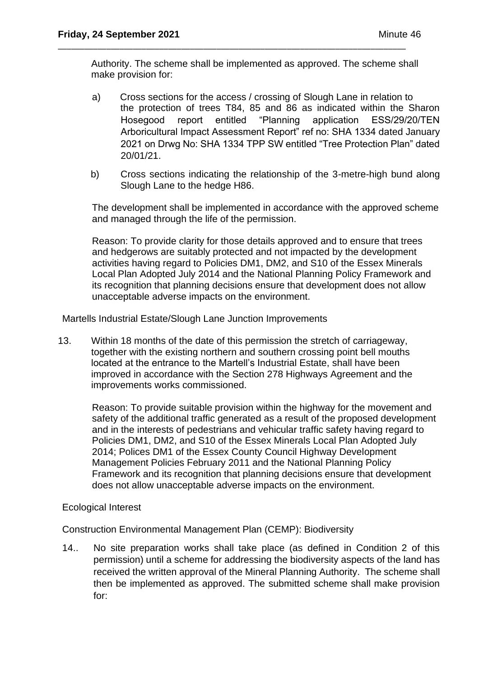Authority. The scheme shall be implemented as approved. The scheme shall make provision for:

\_\_\_\_\_\_\_\_\_\_\_\_\_\_\_\_\_\_\_\_\_\_\_\_\_\_\_\_\_\_\_\_\_\_\_\_\_\_\_\_\_\_\_\_\_\_\_\_\_\_\_\_\_\_\_\_\_\_\_\_\_\_\_\_\_\_\_\_\_\_\_\_\_\_\_\_\_\_\_

- a) Cross sections for the access / crossing of Slough Lane in relation to the protection of trees T84, 85 and 86 as indicated within the Sharon Hosegood report entitled "Planning application ESS/29/20/TEN Arboricultural Impact Assessment Report" ref no: SHA 1334 dated January 2021 on Drwg No: SHA 1334 TPP SW entitled "Tree Protection Plan" dated 20/01/21.
- b) Cross sections indicating the relationship of the 3-metre-high bund along Slough Lane to the hedge H86.

The development shall be implemented in accordance with the approved scheme and managed through the life of the permission.

Reason: To provide clarity for those details approved and to ensure that trees and hedgerows are suitably protected and not impacted by the development activities having regard to Policies DM1, DM2, and S10 of the Essex Minerals Local Plan Adopted July 2014 and the National Planning Policy Framework and its recognition that planning decisions ensure that development does not allow unacceptable adverse impacts on the environment.

Martells Industrial Estate/Slough Lane Junction Improvements

13. Within 18 months of the date of this permission the stretch of carriageway, together with the existing northern and southern crossing point bell mouths located at the entrance to the Martell's Industrial Estate, shall have been improved in accordance with the Section 278 Highways Agreement and the improvements works commissioned.

Reason: To provide suitable provision within the highway for the movement and safety of the additional traffic generated as a result of the proposed development and in the interests of pedestrians and vehicular traffic safety having regard to Policies DM1, DM2, and S10 of the Essex Minerals Local Plan Adopted July 2014; Polices DM1 of the Essex County Council Highway Development Management Policies February 2011 and the National Planning Policy Framework and its recognition that planning decisions ensure that development does not allow unacceptable adverse impacts on the environment.

## Ecological Interest

Construction Environmental Management Plan (CEMP): Biodiversity

14.. No site preparation works shall take place (as defined in Condition 2 of this permission) until a scheme for addressing the biodiversity aspects of the land has received the written approval of the Mineral Planning Authority. The scheme shall then be implemented as approved. The submitted scheme shall make provision for: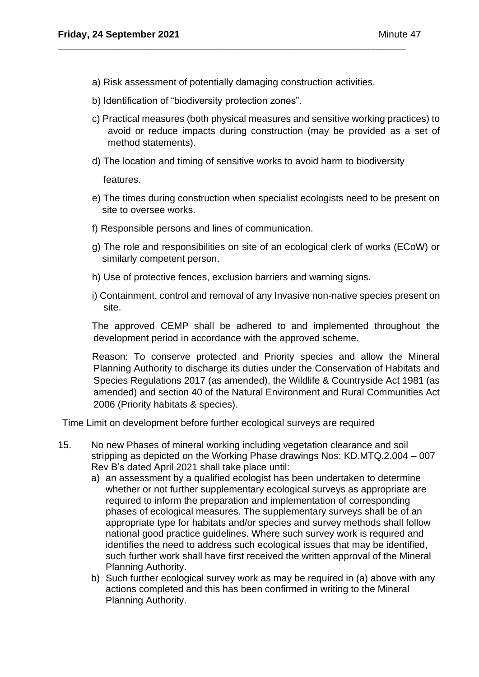a) Risk assessment of potentially damaging construction activities.

\_\_\_\_\_\_\_\_\_\_\_\_\_\_\_\_\_\_\_\_\_\_\_\_\_\_\_\_\_\_\_\_\_\_\_\_\_\_\_\_\_\_\_\_\_\_\_\_\_\_\_\_\_\_\_\_\_\_\_\_\_\_\_\_\_\_\_\_\_\_\_\_\_\_\_\_\_\_\_

- b) Identification of "biodiversity protection zones".
- c) Practical measures (both physical measures and sensitive working practices) to avoid or reduce impacts during construction (may be provided as a set of method statements).
- d) The location and timing of sensitive works to avoid harm to biodiversity

features.

- e) The times during construction when specialist ecologists need to be present on site to oversee works.
- f) Responsible persons and lines of communication.
- g) The role and responsibilities on site of an ecological clerk of works (ECoW) or similarly competent person.
- h) Use of protective fences, exclusion barriers and warning signs.
- i) Containment, control and removal of any Invasive non-native species present on site.

The approved CEMP shall be adhered to and implemented throughout the development period in accordance with the approved scheme.

Reason: To conserve protected and Priority species and allow the Mineral Planning Authority to discharge its duties under the Conservation of Habitats and Species Regulations 2017 (as amended), the Wildlife & Countryside Act 1981 (as amended) and section 40 of the Natural Environment and Rural Communities Act 2006 (Priority habitats & species).

Time Limit on development before further ecological surveys are required

- 15. No new Phases of mineral working including vegetation clearance and soil stripping as depicted on the Working Phase drawings Nos: KD.MTQ.2.004 – 007 Rev B's dated April 2021 shall take place until:
	- a) an assessment by a qualified ecologist has been undertaken to determine whether or not further supplementary ecological surveys as appropriate are required to inform the preparation and implementation of corresponding phases of ecological measures. The supplementary surveys shall be of an appropriate type for habitats and/or species and survey methods shall follow national good practice guidelines. Where such survey work is required and identifies the need to address such ecological issues that may be identified, such further work shall have first received the written approval of the Mineral Planning Authority.
	- b) Such further ecological survey work as may be required in (a) above with any actions completed and this has been confirmed in writing to the Mineral Planning Authority.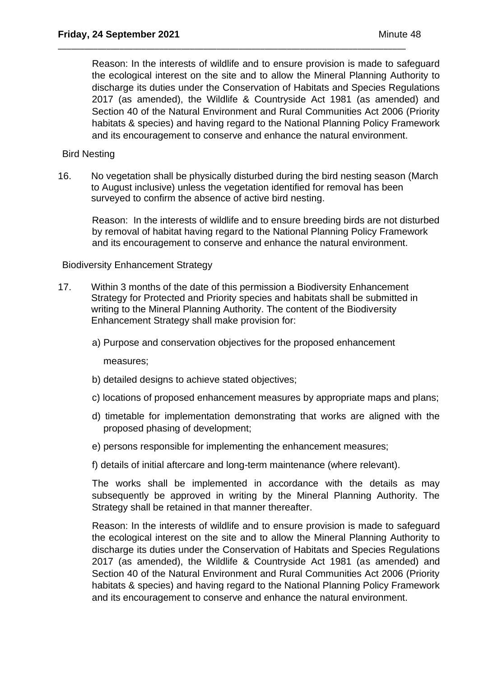Reason: In the interests of wildlife and to ensure provision is made to safeguard the ecological interest on the site and to allow the Mineral Planning Authority to discharge its duties under the Conservation of Habitats and Species Regulations 2017 (as amended), the Wildlife & Countryside Act 1981 (as amended) and Section 40 of the Natural Environment and Rural Communities Act 2006 (Priority habitats & species) and having regard to the National Planning Policy Framework and its encouragement to conserve and enhance the natural environment.

\_\_\_\_\_\_\_\_\_\_\_\_\_\_\_\_\_\_\_\_\_\_\_\_\_\_\_\_\_\_\_\_\_\_\_\_\_\_\_\_\_\_\_\_\_\_\_\_\_\_\_\_\_\_\_\_\_\_\_\_\_\_\_\_\_\_\_\_\_\_\_\_\_\_\_\_\_\_\_

### Bird Nesting

16. No vegetation shall be physically disturbed during the bird nesting season (March to August inclusive) unless the vegetation identified for removal has been surveyed to confirm the absence of active bird nesting.

Reason: In the interests of wildlife and to ensure breeding birds are not disturbed by removal of habitat having regard to the National Planning Policy Framework and its encouragement to conserve and enhance the natural environment.

### Biodiversity Enhancement Strategy

- 17. Within 3 months of the date of this permission a Biodiversity Enhancement Strategy for Protected and Priority species and habitats shall be submitted in writing to the Mineral Planning Authority. The content of the Biodiversity Enhancement Strategy shall make provision for:
	- a) Purpose and conservation objectives for the proposed enhancement

measures;

- b) detailed designs to achieve stated objectives;
- c) locations of proposed enhancement measures by appropriate maps and plans;
- d) timetable for implementation demonstrating that works are aligned with the proposed phasing of development;
- e) persons responsible for implementing the enhancement measures;
- f) details of initial aftercare and long-term maintenance (where relevant).

The works shall be implemented in accordance with the details as may subsequently be approved in writing by the Mineral Planning Authority. The Strategy shall be retained in that manner thereafter.

Reason: In the interests of wildlife and to ensure provision is made to safeguard the ecological interest on the site and to allow the Mineral Planning Authority to discharge its duties under the Conservation of Habitats and Species Regulations 2017 (as amended), the Wildlife & Countryside Act 1981 (as amended) and Section 40 of the Natural Environment and Rural Communities Act 2006 (Priority habitats & species) and having regard to the National Planning Policy Framework and its encouragement to conserve and enhance the natural environment.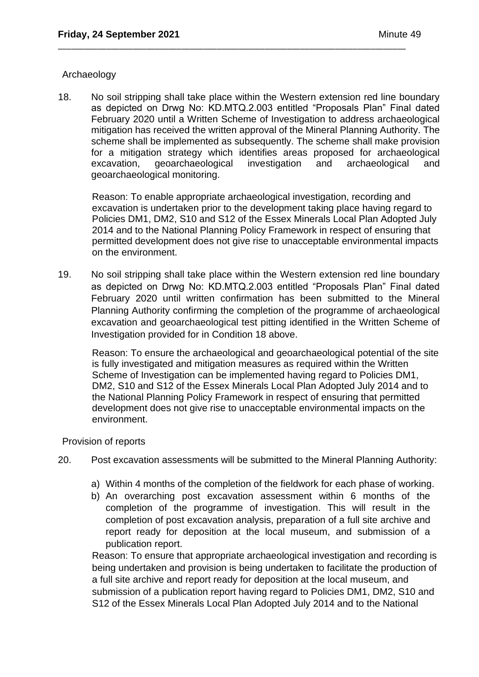### Archaeology

18. No soil stripping shall take place within the Western extension red line boundary as depicted on Drwg No: KD.MTQ.2.003 entitled "Proposals Plan" Final dated February 2020 until a Written Scheme of Investigation to address archaeological mitigation has received the written approval of the Mineral Planning Authority. The scheme shall be implemented as subsequently. The scheme shall make provision for a mitigation strategy which identifies areas proposed for archaeological excavation, geoarchaeological investigation and archaeological and geoarchaeological monitoring.

\_\_\_\_\_\_\_\_\_\_\_\_\_\_\_\_\_\_\_\_\_\_\_\_\_\_\_\_\_\_\_\_\_\_\_\_\_\_\_\_\_\_\_\_\_\_\_\_\_\_\_\_\_\_\_\_\_\_\_\_\_\_\_\_\_\_\_\_\_\_\_\_\_\_\_\_\_\_\_

Reason: To enable appropriate archaeological investigation, recording and excavation is undertaken prior to the development taking place having regard to Policies DM1, DM2, S10 and S12 of the Essex Minerals Local Plan Adopted July 2014 and to the National Planning Policy Framework in respect of ensuring that permitted development does not give rise to unacceptable environmental impacts on the environment.

19. No soil stripping shall take place within the Western extension red line boundary as depicted on Drwg No: KD.MTQ.2.003 entitled "Proposals Plan" Final dated February 2020 until written confirmation has been submitted to the Mineral Planning Authority confirming the completion of the programme of archaeological excavation and geoarchaeological test pitting identified in the Written Scheme of Investigation provided for in Condition 18 above.

Reason: To ensure the archaeological and geoarchaeological potential of the site is fully investigated and mitigation measures as required within the Written Scheme of Investigation can be implemented having regard to Policies DM1, DM2, S10 and S12 of the Essex Minerals Local Plan Adopted July 2014 and to the National Planning Policy Framework in respect of ensuring that permitted development does not give rise to unacceptable environmental impacts on the environment.

## Provision of reports

- 20. Post excavation assessments will be submitted to the Mineral Planning Authority:
	- a) Within 4 months of the completion of the fieldwork for each phase of working.
	- b) An overarching post excavation assessment within 6 months of the completion of the programme of investigation. This will result in the completion of post excavation analysis, preparation of a full site archive and report ready for deposition at the local museum, and submission of a publication report.

Reason: To ensure that appropriate archaeological investigation and recording is being undertaken and provision is being undertaken to facilitate the production of a full site archive and report ready for deposition at the local museum, and submission of a publication report having regard to Policies DM1, DM2, S10 and S12 of the Essex Minerals Local Plan Adopted July 2014 and to the National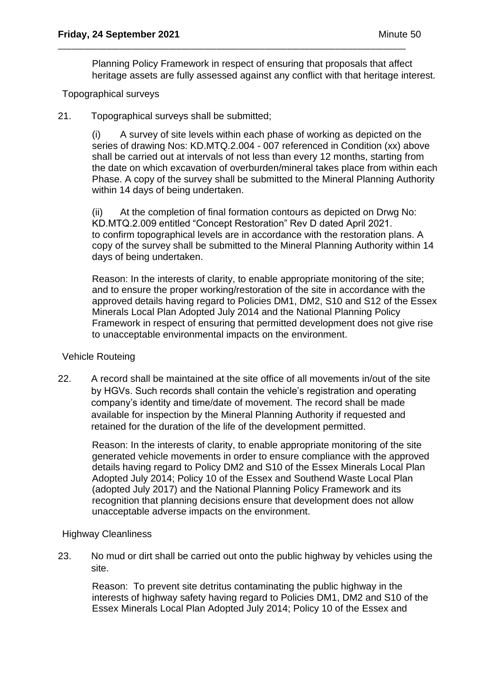Planning Policy Framework in respect of ensuring that proposals that affect heritage assets are fully assessed against any conflict with that heritage interest.

\_\_\_\_\_\_\_\_\_\_\_\_\_\_\_\_\_\_\_\_\_\_\_\_\_\_\_\_\_\_\_\_\_\_\_\_\_\_\_\_\_\_\_\_\_\_\_\_\_\_\_\_\_\_\_\_\_\_\_\_\_\_\_\_\_\_\_\_\_\_\_\_\_\_\_\_\_\_\_

## Topographical surveys

21. Topographical surveys shall be submitted;

(i) A survey of site levels within each phase of working as depicted on the series of drawing Nos: KD.MTQ.2.004 - 007 referenced in Condition (xx) above shall be carried out at intervals of not less than every 12 months, starting from the date on which excavation of overburden/mineral takes place from within each Phase. A copy of the survey shall be submitted to the Mineral Planning Authority within 14 days of being undertaken.

(ii) At the completion of final formation contours as depicted on Drwg No: KD.MTQ.2.009 entitled "Concept Restoration" Rev D dated April 2021. to confirm topographical levels are in accordance with the restoration plans. A copy of the survey shall be submitted to the Mineral Planning Authority within 14 days of being undertaken.

Reason: In the interests of clarity, to enable appropriate monitoring of the site; and to ensure the proper working/restoration of the site in accordance with the approved details having regard to Policies DM1, DM2, S10 and S12 of the Essex Minerals Local Plan Adopted July 2014 and the National Planning Policy Framework in respect of ensuring that permitted development does not give rise to unacceptable environmental impacts on the environment.

## Vehicle Routeing

22. A record shall be maintained at the site office of all movements in/out of the site by HGVs. Such records shall contain the vehicle's registration and operating company's identity and time/date of movement. The record shall be made available for inspection by the Mineral Planning Authority if requested and retained for the duration of the life of the development permitted.

Reason: In the interests of clarity, to enable appropriate monitoring of the site generated vehicle movements in order to ensure compliance with the approved details having regard to Policy DM2 and S10 of the Essex Minerals Local Plan Adopted July 2014; Policy 10 of the Essex and Southend Waste Local Plan (adopted July 2017) and the National Planning Policy Framework and its recognition that planning decisions ensure that development does not allow unacceptable adverse impacts on the environment.

## Highway Cleanliness

23. No mud or dirt shall be carried out onto the public highway by vehicles using the site.

Reason: To prevent site detritus contaminating the public highway in the interests of highway safety having regard to Policies DM1, DM2 and S10 of the Essex Minerals Local Plan Adopted July 2014; Policy 10 of the Essex and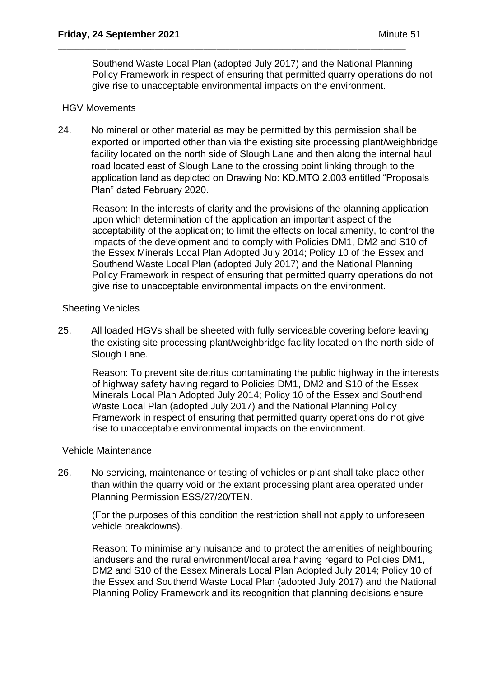Southend Waste Local Plan (adopted July 2017) and the National Planning Policy Framework in respect of ensuring that permitted quarry operations do not give rise to unacceptable environmental impacts on the environment.

\_\_\_\_\_\_\_\_\_\_\_\_\_\_\_\_\_\_\_\_\_\_\_\_\_\_\_\_\_\_\_\_\_\_\_\_\_\_\_\_\_\_\_\_\_\_\_\_\_\_\_\_\_\_\_\_\_\_\_\_\_\_\_\_\_\_\_\_\_\_\_\_\_\_\_\_\_\_\_

## HGV Movements

24. No mineral or other material as may be permitted by this permission shall be exported or imported other than via the existing site processing plant/weighbridge facility located on the north side of Slough Lane and then along the internal haul road located east of Slough Lane to the crossing point linking through to the application land as depicted on Drawing No: KD.MTQ.2.003 entitled "Proposals Plan" dated February 2020.

Reason: In the interests of clarity and the provisions of the planning application upon which determination of the application an important aspect of the acceptability of the application; to limit the effects on local amenity, to control the impacts of the development and to comply with Policies DM1, DM2 and S10 of the Essex Minerals Local Plan Adopted July 2014; Policy 10 of the Essex and Southend Waste Local Plan (adopted July 2017) and the National Planning Policy Framework in respect of ensuring that permitted quarry operations do not give rise to unacceptable environmental impacts on the environment.

### Sheeting Vehicles

25. All loaded HGVs shall be sheeted with fully serviceable covering before leaving the existing site processing plant/weighbridge facility located on the north side of Slough Lane.

Reason: To prevent site detritus contaminating the public highway in the interests of highway safety having regard to Policies DM1, DM2 and S10 of the Essex Minerals Local Plan Adopted July 2014; Policy 10 of the Essex and Southend Waste Local Plan (adopted July 2017) and the National Planning Policy Framework in respect of ensuring that permitted quarry operations do not give rise to unacceptable environmental impacts on the environment.

## Vehicle Maintenance

26. No servicing, maintenance or testing of vehicles or plant shall take place other than within the quarry void or the extant processing plant area operated under Planning Permission ESS/27/20/TEN.

(For the purposes of this condition the restriction shall not apply to unforeseen vehicle breakdowns).

Reason: To minimise any nuisance and to protect the amenities of neighbouring landusers and the rural environment/local area having regard to Policies DM1, DM2 and S10 of the Essex Minerals Local Plan Adopted July 2014; Policy 10 of the Essex and Southend Waste Local Plan (adopted July 2017) and the National Planning Policy Framework and its recognition that planning decisions ensure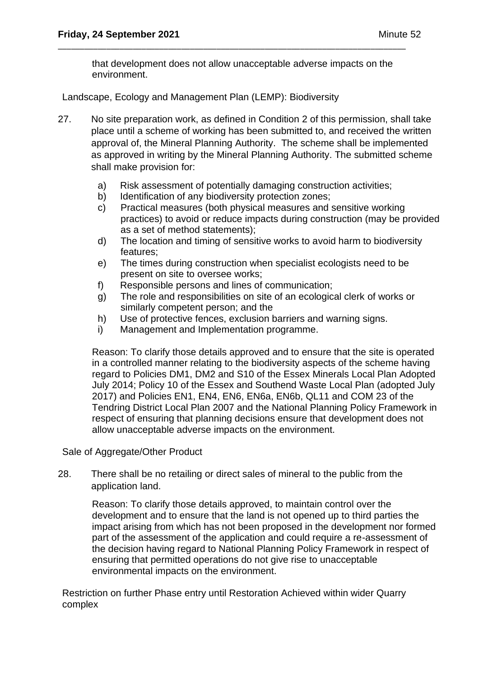that development does not allow unacceptable adverse impacts on the environment.

\_\_\_\_\_\_\_\_\_\_\_\_\_\_\_\_\_\_\_\_\_\_\_\_\_\_\_\_\_\_\_\_\_\_\_\_\_\_\_\_\_\_\_\_\_\_\_\_\_\_\_\_\_\_\_\_\_\_\_\_\_\_\_\_\_\_\_\_\_\_\_\_\_\_\_\_\_\_\_

Landscape, Ecology and Management Plan (LEMP): Biodiversity

- 27. No site preparation work, as defined in Condition 2 of this permission, shall take place until a scheme of working has been submitted to, and received the written approval of, the Mineral Planning Authority. The scheme shall be implemented as approved in writing by the Mineral Planning Authority. The submitted scheme shall make provision for:
	- a) Risk assessment of potentially damaging construction activities;
	- b) Identification of any biodiversity protection zones;
	- c) Practical measures (both physical measures and sensitive working practices) to avoid or reduce impacts during construction (may be provided as a set of method statements);
	- d) The location and timing of sensitive works to avoid harm to biodiversity features;
	- e) The times during construction when specialist ecologists need to be present on site to oversee works;
	- f) Responsible persons and lines of communication;
	- g) The role and responsibilities on site of an ecological clerk of works or similarly competent person; and the
	- h) Use of protective fences, exclusion barriers and warning signs.
	- i) Management and Implementation programme.

Reason: To clarify those details approved and to ensure that the site is operated in a controlled manner relating to the biodiversity aspects of the scheme having regard to Policies DM1, DM2 and S10 of the Essex Minerals Local Plan Adopted July 2014; Policy 10 of the Essex and Southend Waste Local Plan (adopted July 2017) and Policies EN1, EN4, EN6, EN6a, EN6b, QL11 and COM 23 of the Tendring District Local Plan 2007 and the National Planning Policy Framework in respect of ensuring that planning decisions ensure that development does not allow unacceptable adverse impacts on the environment.

Sale of Aggregate/Other Product

28. There shall be no retailing or direct sales of mineral to the public from the application land.

Reason: To clarify those details approved, to maintain control over the development and to ensure that the land is not opened up to third parties the impact arising from which has not been proposed in the development nor formed part of the assessment of the application and could require a re-assessment of the decision having regard to National Planning Policy Framework in respect of ensuring that permitted operations do not give rise to unacceptable environmental impacts on the environment.

Restriction on further Phase entry until Restoration Achieved within wider Quarry complex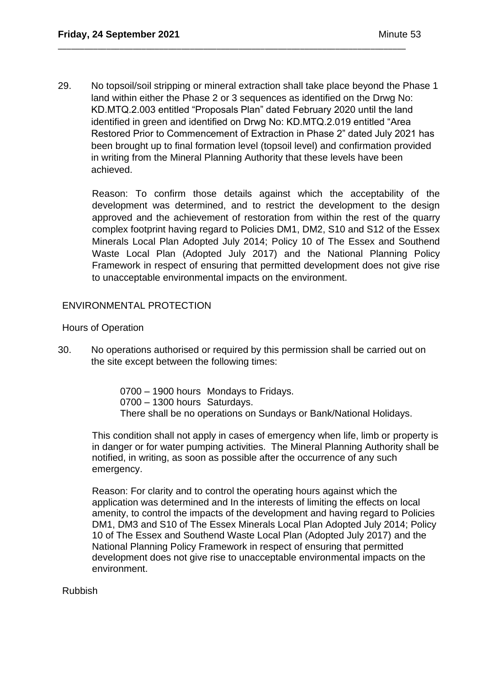29. No topsoil/soil stripping or mineral extraction shall take place beyond the Phase 1 land within either the Phase 2 or 3 sequences as identified on the Drwg No: KD.MTQ.2.003 entitled "Proposals Plan" dated February 2020 until the land identified in green and identified on Drwg No: KD.MTQ.2.019 entitled "Area Restored Prior to Commencement of Extraction in Phase 2" dated July 2021 has been brought up to final formation level (topsoil level) and confirmation provided in writing from the Mineral Planning Authority that these levels have been achieved.

\_\_\_\_\_\_\_\_\_\_\_\_\_\_\_\_\_\_\_\_\_\_\_\_\_\_\_\_\_\_\_\_\_\_\_\_\_\_\_\_\_\_\_\_\_\_\_\_\_\_\_\_\_\_\_\_\_\_\_\_\_\_\_\_\_\_\_\_\_\_\_\_\_\_\_\_\_\_\_

Reason: To confirm those details against which the acceptability of the development was determined, and to restrict the development to the design approved and the achievement of restoration from within the rest of the quarry complex footprint having regard to Policies DM1, DM2, S10 and S12 of the Essex Minerals Local Plan Adopted July 2014; Policy 10 of The Essex and Southend Waste Local Plan (Adopted July 2017) and the National Planning Policy Framework in respect of ensuring that permitted development does not give rise to unacceptable environmental impacts on the environment.

## ENVIRONMENTAL PROTECTION

Hours of Operation

30. No operations authorised or required by this permission shall be carried out on the site except between the following times:

> 0700 – 1900 hours Mondays to Fridays. 0700 – 1300 hours Saturdays. There shall be no operations on Sundays or Bank/National Holidays.

This condition shall not apply in cases of emergency when life, limb or property is in danger or for water pumping activities. The Mineral Planning Authority shall be notified, in writing, as soon as possible after the occurrence of any such emergency.

Reason: For clarity and to control the operating hours against which the application was determined and In the interests of limiting the effects on local amenity, to control the impacts of the development and having regard to Policies DM1, DM3 and S10 of The Essex Minerals Local Plan Adopted July 2014; Policy 10 of The Essex and Southend Waste Local Plan (Adopted July 2017) and the National Planning Policy Framework in respect of ensuring that permitted development does not give rise to unacceptable environmental impacts on the environment.

Rubbish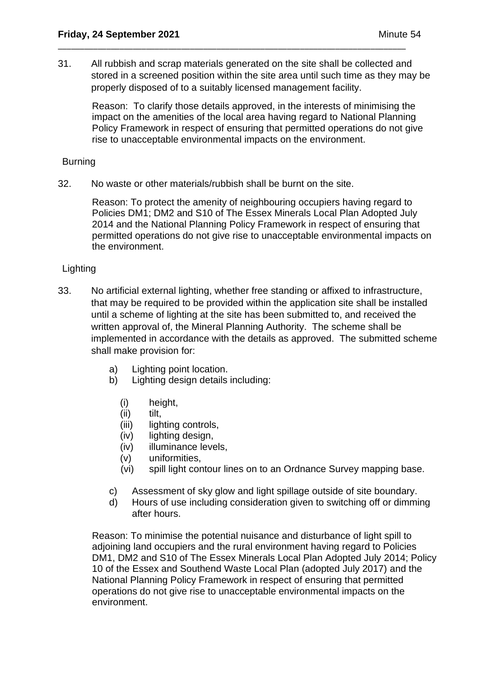31. All rubbish and scrap materials generated on the site shall be collected and stored in a screened position within the site area until such time as they may be properly disposed of to a suitably licensed management facility.

\_\_\_\_\_\_\_\_\_\_\_\_\_\_\_\_\_\_\_\_\_\_\_\_\_\_\_\_\_\_\_\_\_\_\_\_\_\_\_\_\_\_\_\_\_\_\_\_\_\_\_\_\_\_\_\_\_\_\_\_\_\_\_\_\_\_\_\_\_\_\_\_\_\_\_\_\_\_\_

Reason: To clarify those details approved, in the interests of minimising the impact on the amenities of the local area having regard to National Planning Policy Framework in respect of ensuring that permitted operations do not give rise to unacceptable environmental impacts on the environment.

### Burning

32. No waste or other materials/rubbish shall be burnt on the site.

Reason: To protect the amenity of neighbouring occupiers having regard to Policies DM1; DM2 and S10 of The Essex Minerals Local Plan Adopted July 2014 and the National Planning Policy Framework in respect of ensuring that permitted operations do not give rise to unacceptable environmental impacts on the environment.

## **Lighting**

- 33. No artificial external lighting, whether free standing or affixed to infrastructure, that may be required to be provided within the application site shall be installed until a scheme of lighting at the site has been submitted to, and received the written approval of, the Mineral Planning Authority. The scheme shall be implemented in accordance with the details as approved. The submitted scheme shall make provision for:
	- a) Lighting point location.
	- b) Lighting design details including:
		- (i) height,
		- (ii) tilt,
		- (iii) lighting controls,
		- (iv) lighting design,
		- (iv) illuminance levels,
		- (v) uniformities,
		- (vi) spill light contour lines on to an Ordnance Survey mapping base.
	- c) Assessment of sky glow and light spillage outside of site boundary.
	- d) Hours of use including consideration given to switching off or dimming after hours.

Reason: To minimise the potential nuisance and disturbance of light spill to adjoining land occupiers and the rural environment having regard to Policies DM1, DM2 and S10 of The Essex Minerals Local Plan Adopted July 2014; Policy 10 of the Essex and Southend Waste Local Plan (adopted July 2017) and the National Planning Policy Framework in respect of ensuring that permitted operations do not give rise to unacceptable environmental impacts on the environment.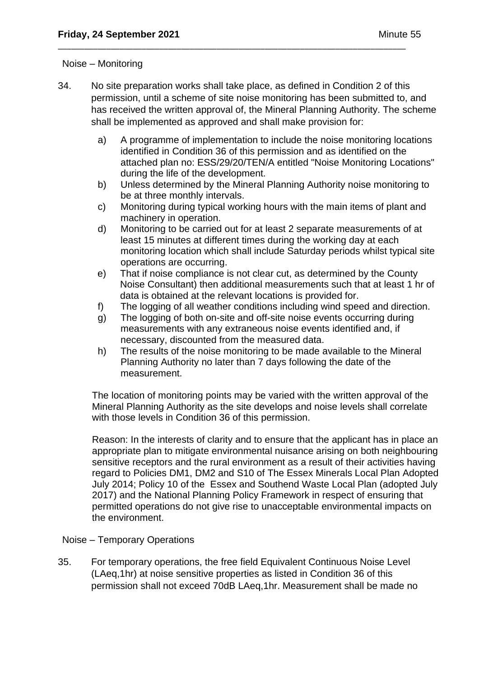### Noise – Monitoring

34. No site preparation works shall take place, as defined in Condition 2 of this permission, until a scheme of site noise monitoring has been submitted to, and has received the written approval of, the Mineral Planning Authority. The scheme shall be implemented as approved and shall make provision for:

\_\_\_\_\_\_\_\_\_\_\_\_\_\_\_\_\_\_\_\_\_\_\_\_\_\_\_\_\_\_\_\_\_\_\_\_\_\_\_\_\_\_\_\_\_\_\_\_\_\_\_\_\_\_\_\_\_\_\_\_\_\_\_\_\_\_\_\_\_\_\_\_\_\_\_\_\_\_\_

- a) A programme of implementation to include the noise monitoring locations identified in Condition 36 of this permission and as identified on the attached plan no: ESS/29/20/TEN/A entitled "Noise Monitoring Locations" during the life of the development.
- b) Unless determined by the Mineral Planning Authority noise monitoring to be at three monthly intervals.
- c) Monitoring during typical working hours with the main items of plant and machinery in operation.
- d) Monitoring to be carried out for at least 2 separate measurements of at least 15 minutes at different times during the working day at each monitoring location which shall include Saturday periods whilst typical site operations are occurring.
- e) That if noise compliance is not clear cut, as determined by the County Noise Consultant) then additional measurements such that at least 1 hr of data is obtained at the relevant locations is provided for.
- f) The logging of all weather conditions including wind speed and direction.
- g) The logging of both on-site and off-site noise events occurring during measurements with any extraneous noise events identified and, if necessary, discounted from the measured data.
- h) The results of the noise monitoring to be made available to the Mineral Planning Authority no later than 7 days following the date of the measurement.

The location of monitoring points may be varied with the written approval of the Mineral Planning Authority as the site develops and noise levels shall correlate with those levels in Condition 36 of this permission.

Reason: In the interests of clarity and to ensure that the applicant has in place an appropriate plan to mitigate environmental nuisance arising on both neighbouring sensitive receptors and the rural environment as a result of their activities having regard to Policies DM1, DM2 and S10 of The Essex Minerals Local Plan Adopted July 2014; Policy 10 of the Essex and Southend Waste Local Plan (adopted July 2017) and the National Planning Policy Framework in respect of ensuring that permitted operations do not give rise to unacceptable environmental impacts on the environment.

## Noise – Temporary Operations

35. For temporary operations, the free field Equivalent Continuous Noise Level (LAeq,1hr) at noise sensitive properties as listed in Condition 36 of this permission shall not exceed 70dB LAeq,1hr. Measurement shall be made no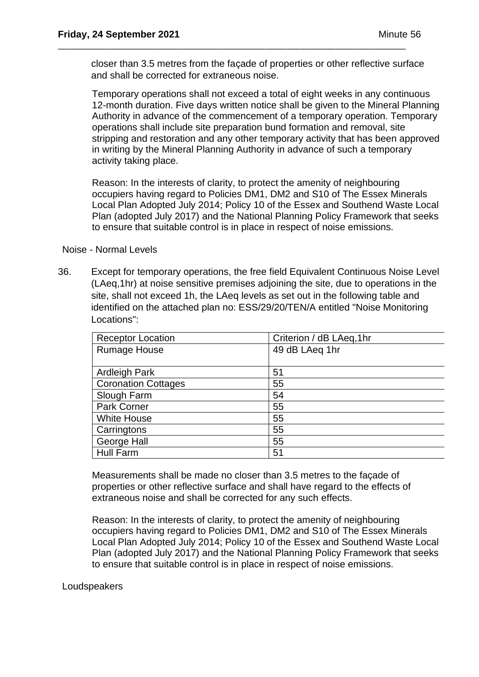closer than 3.5 metres from the façade of properties or other reflective surface and shall be corrected for extraneous noise.

\_\_\_\_\_\_\_\_\_\_\_\_\_\_\_\_\_\_\_\_\_\_\_\_\_\_\_\_\_\_\_\_\_\_\_\_\_\_\_\_\_\_\_\_\_\_\_\_\_\_\_\_\_\_\_\_\_\_\_\_\_\_\_\_\_\_\_\_\_\_\_\_\_\_\_\_\_\_\_

Temporary operations shall not exceed a total of eight weeks in any continuous 12-month duration. Five days written notice shall be given to the Mineral Planning Authority in advance of the commencement of a temporary operation. Temporary operations shall include site preparation bund formation and removal, site stripping and restoration and any other temporary activity that has been approved in writing by the Mineral Planning Authority in advance of such a temporary activity taking place.

Reason: In the interests of clarity, to protect the amenity of neighbouring occupiers having regard to Policies DM1, DM2 and S10 of The Essex Minerals Local Plan Adopted July 2014; Policy 10 of the Essex and Southend Waste Local Plan (adopted July 2017) and the National Planning Policy Framework that seeks to ensure that suitable control is in place in respect of noise emissions.

Noise - Normal Levels

36. Except for temporary operations, the free field Equivalent Continuous Noise Level (LAeq,1hr) at noise sensitive premises adjoining the site, due to operations in the site, shall not exceed 1h, the LAeq levels as set out in the following table and identified on the attached plan no: ESS/29/20/TEN/A entitled "Noise Monitoring Locations":

| <b>Receptor Location</b>   | Criterion / dB LAeq, 1hr |
|----------------------------|--------------------------|
| <b>Rumage House</b>        | 49 dB LAeq 1hr           |
|                            |                          |
| <b>Ardleigh Park</b>       | 51                       |
| <b>Coronation Cottages</b> | 55                       |
| Slough Farm                | 54                       |
| <b>Park Corner</b>         | 55                       |
| <b>White House</b>         | 55                       |
| Carringtons                | 55                       |
| George Hall                | 55                       |
| <b>Hull Farm</b>           | 51                       |

Measurements shall be made no closer than 3.5 metres to the façade of properties or other reflective surface and shall have regard to the effects of extraneous noise and shall be corrected for any such effects.

Reason: In the interests of clarity, to protect the amenity of neighbouring occupiers having regard to Policies DM1, DM2 and S10 of The Essex Minerals Local Plan Adopted July 2014; Policy 10 of the Essex and Southend Waste Local Plan (adopted July 2017) and the National Planning Policy Framework that seeks to ensure that suitable control is in place in respect of noise emissions.

### **Loudspeakers**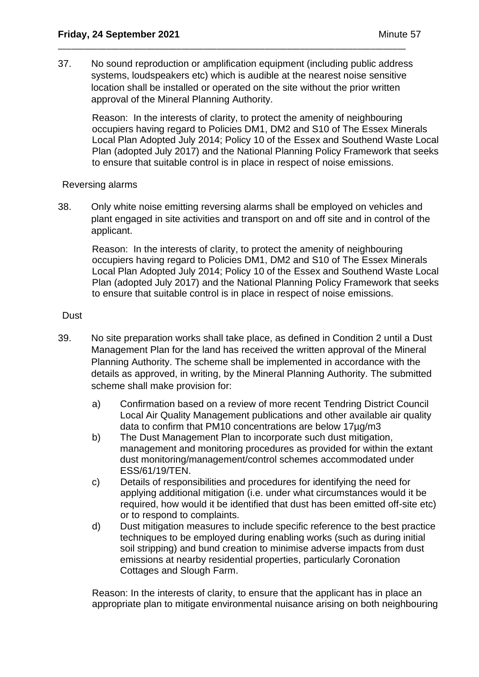37. No sound reproduction or amplification equipment (including public address systems, loudspeakers etc) which is audible at the nearest noise sensitive location shall be installed or operated on the site without the prior written approval of the Mineral Planning Authority.

\_\_\_\_\_\_\_\_\_\_\_\_\_\_\_\_\_\_\_\_\_\_\_\_\_\_\_\_\_\_\_\_\_\_\_\_\_\_\_\_\_\_\_\_\_\_\_\_\_\_\_\_\_\_\_\_\_\_\_\_\_\_\_\_\_\_\_\_\_\_\_\_\_\_\_\_\_\_\_

Reason: In the interests of clarity, to protect the amenity of neighbouring occupiers having regard to Policies DM1, DM2 and S10 of The Essex Minerals Local Plan Adopted July 2014; Policy 10 of the Essex and Southend Waste Local Plan (adopted July 2017) and the National Planning Policy Framework that seeks to ensure that suitable control is in place in respect of noise emissions.

### Reversing alarms

38. Only white noise emitting reversing alarms shall be employed on vehicles and plant engaged in site activities and transport on and off site and in control of the applicant.

Reason: In the interests of clarity, to protect the amenity of neighbouring occupiers having regard to Policies DM1, DM2 and S10 of The Essex Minerals Local Plan Adopted July 2014; Policy 10 of the Essex and Southend Waste Local Plan (adopted July 2017) and the National Planning Policy Framework that seeks to ensure that suitable control is in place in respect of noise emissions.

## **Dust**

- 39. No site preparation works shall take place, as defined in Condition 2 until a Dust Management Plan for the land has received the written approval of the Mineral Planning Authority. The scheme shall be implemented in accordance with the details as approved, in writing, by the Mineral Planning Authority. The submitted scheme shall make provision for:
	- a) Confirmation based on a review of more recent Tendring District Council Local Air Quality Management publications and other available air quality data to confirm that PM10 concentrations are below 17µg/m3
	- b) The Dust Management Plan to incorporate such dust mitigation, management and monitoring procedures as provided for within the extant dust monitoring/management/control schemes accommodated under ESS/61/19/TEN.
	- c) Details of responsibilities and procedures for identifying the need for applying additional mitigation (i.e. under what circumstances would it be required, how would it be identified that dust has been emitted off-site etc) or to respond to complaints.
	- d) Dust mitigation measures to include specific reference to the best practice techniques to be employed during enabling works (such as during initial soil stripping) and bund creation to minimise adverse impacts from dust emissions at nearby residential properties, particularly Coronation Cottages and Slough Farm.

Reason: In the interests of clarity, to ensure that the applicant has in place an appropriate plan to mitigate environmental nuisance arising on both neighbouring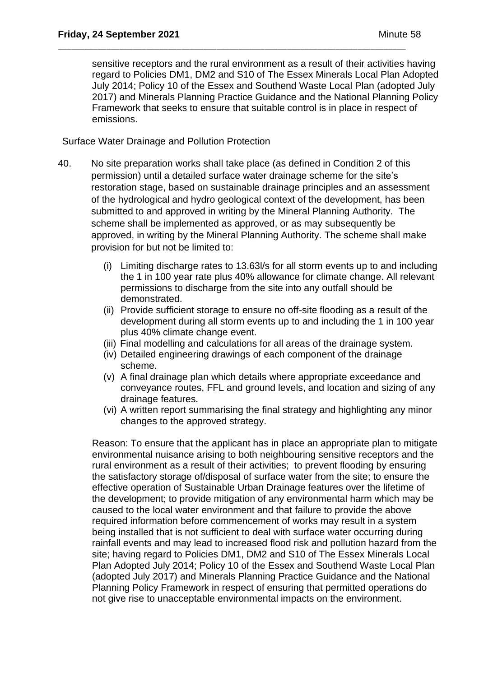sensitive receptors and the rural environment as a result of their activities having regard to Policies DM1, DM2 and S10 of The Essex Minerals Local Plan Adopted July 2014; Policy 10 of the Essex and Southend Waste Local Plan (adopted July 2017) and Minerals Planning Practice Guidance and the National Planning Policy Framework that seeks to ensure that suitable control is in place in respect of emissions.

\_\_\_\_\_\_\_\_\_\_\_\_\_\_\_\_\_\_\_\_\_\_\_\_\_\_\_\_\_\_\_\_\_\_\_\_\_\_\_\_\_\_\_\_\_\_\_\_\_\_\_\_\_\_\_\_\_\_\_\_\_\_\_\_\_\_\_\_\_\_\_\_\_\_\_\_\_\_\_

Surface Water Drainage and Pollution Protection

- 40. No site preparation works shall take place (as defined in Condition 2 of this permission) until a detailed surface water drainage scheme for the site's restoration stage, based on sustainable drainage principles and an assessment of the hydrological and hydro geological context of the development, has been submitted to and approved in writing by the Mineral Planning Authority. The scheme shall be implemented as approved, or as may subsequently be approved, in writing by the Mineral Planning Authority. The scheme shall make provision for but not be limited to:
	- (i) Limiting discharge rates to 13.63l/s for all storm events up to and including the 1 in 100 year rate plus 40% allowance for climate change. All relevant permissions to discharge from the site into any outfall should be demonstrated.
	- (ii) Provide sufficient storage to ensure no off-site flooding as a result of the development during all storm events up to and including the 1 in 100 year plus 40% climate change event.
	- (iii) Final modelling and calculations for all areas of the drainage system.
	- (iv) Detailed engineering drawings of each component of the drainage scheme.
	- (v) A final drainage plan which details where appropriate exceedance and conveyance routes, FFL and ground levels, and location and sizing of any drainage features.
	- (vi) A written report summarising the final strategy and highlighting any minor changes to the approved strategy.

Reason: To ensure that the applicant has in place an appropriate plan to mitigate environmental nuisance arising to both neighbouring sensitive receptors and the rural environment as a result of their activities; to prevent flooding by ensuring the satisfactory storage of/disposal of surface water from the site; to ensure the effective operation of Sustainable Urban Drainage features over the lifetime of the development; to provide mitigation of any environmental harm which may be caused to the local water environment and that failure to provide the above required information before commencement of works may result in a system being installed that is not sufficient to deal with surface water occurring during rainfall events and may lead to increased flood risk and pollution hazard from the site; having regard to Policies DM1, DM2 and S10 of The Essex Minerals Local Plan Adopted July 2014; Policy 10 of the Essex and Southend Waste Local Plan (adopted July 2017) and Minerals Planning Practice Guidance and the National Planning Policy Framework in respect of ensuring that permitted operations do not give rise to unacceptable environmental impacts on the environment.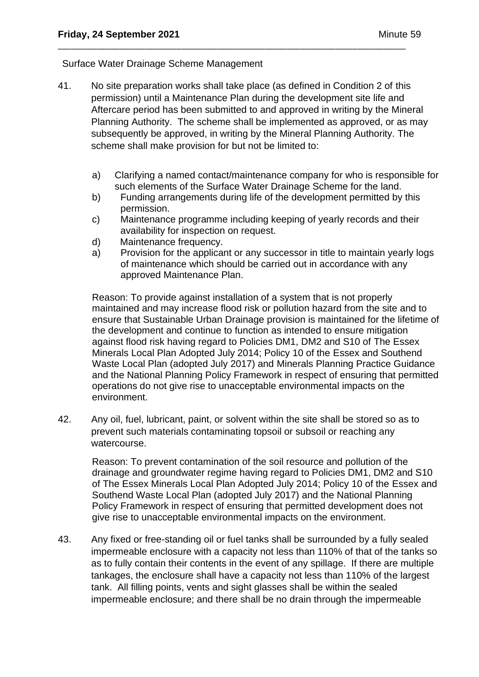### Surface Water Drainage Scheme Management

41. No site preparation works shall take place (as defined in Condition 2 of this permission) until a Maintenance Plan during the development site life and Aftercare period has been submitted to and approved in writing by the Mineral Planning Authority. The scheme shall be implemented as approved, or as may subsequently be approved, in writing by the Mineral Planning Authority. The scheme shall make provision for but not be limited to:

\_\_\_\_\_\_\_\_\_\_\_\_\_\_\_\_\_\_\_\_\_\_\_\_\_\_\_\_\_\_\_\_\_\_\_\_\_\_\_\_\_\_\_\_\_\_\_\_\_\_\_\_\_\_\_\_\_\_\_\_\_\_\_\_\_\_\_\_\_\_\_\_\_\_\_\_\_\_\_

- a) Clarifying a named contact/maintenance company for who is responsible for such elements of the Surface Water Drainage Scheme for the land.
- b) Funding arrangements during life of the development permitted by this permission.
- c) Maintenance programme including keeping of yearly records and their availability for inspection on request.
- d) Maintenance frequency.
- a) Provision for the applicant or any successor in title to maintain yearly logs of maintenance which should be carried out in accordance with any approved Maintenance Plan.

Reason: To provide against installation of a system that is not properly maintained and may increase flood risk or pollution hazard from the site and to ensure that Sustainable Urban Drainage provision is maintained for the lifetime of the development and continue to function as intended to ensure mitigation against flood risk having regard to Policies DM1, DM2 and S10 of The Essex Minerals Local Plan Adopted July 2014; Policy 10 of the Essex and Southend Waste Local Plan (adopted July 2017) and Minerals Planning Practice Guidance and the National Planning Policy Framework in respect of ensuring that permitted operations do not give rise to unacceptable environmental impacts on the environment.

42. Any oil, fuel, lubricant, paint, or solvent within the site shall be stored so as to prevent such materials contaminating topsoil or subsoil or reaching any watercourse.

Reason: To prevent contamination of the soil resource and pollution of the drainage and groundwater regime having regard to Policies DM1, DM2 and S10 of The Essex Minerals Local Plan Adopted July 2014; Policy 10 of the Essex and Southend Waste Local Plan (adopted July 2017) and the National Planning Policy Framework in respect of ensuring that permitted development does not give rise to unacceptable environmental impacts on the environment.

43. Any fixed or free-standing oil or fuel tanks shall be surrounded by a fully sealed impermeable enclosure with a capacity not less than 110% of that of the tanks so as to fully contain their contents in the event of any spillage. If there are multiple tankages, the enclosure shall have a capacity not less than 110% of the largest tank. All filling points, vents and sight glasses shall be within the sealed impermeable enclosure; and there shall be no drain through the impermeable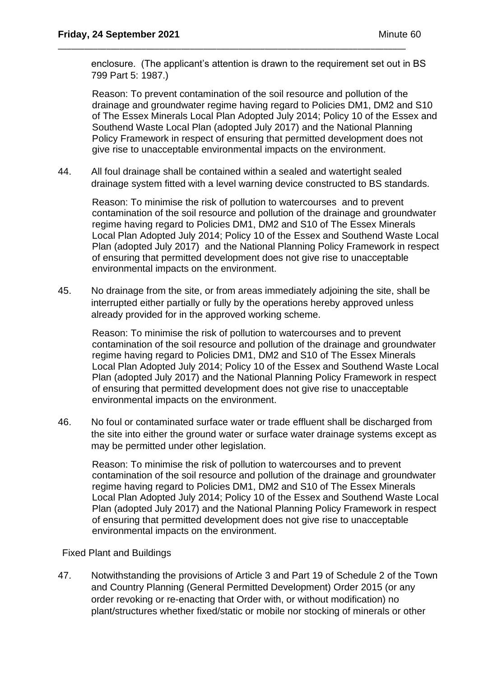enclosure. (The applicant's attention is drawn to the requirement set out in BS 799 Part 5: 1987.)

\_\_\_\_\_\_\_\_\_\_\_\_\_\_\_\_\_\_\_\_\_\_\_\_\_\_\_\_\_\_\_\_\_\_\_\_\_\_\_\_\_\_\_\_\_\_\_\_\_\_\_\_\_\_\_\_\_\_\_\_\_\_\_\_\_\_\_\_\_\_\_\_\_\_\_\_\_\_\_

Reason: To prevent contamination of the soil resource and pollution of the drainage and groundwater regime having regard to Policies DM1, DM2 and S10 of The Essex Minerals Local Plan Adopted July 2014; Policy 10 of the Essex and Southend Waste Local Plan (adopted July 2017) and the National Planning Policy Framework in respect of ensuring that permitted development does not give rise to unacceptable environmental impacts on the environment.

44. All foul drainage shall be contained within a sealed and watertight sealed drainage system fitted with a level warning device constructed to BS standards.

Reason: To minimise the risk of pollution to watercourses and to prevent contamination of the soil resource and pollution of the drainage and groundwater regime having regard to Policies DM1, DM2 and S10 of The Essex Minerals Local Plan Adopted July 2014; Policy 10 of the Essex and Southend Waste Local Plan (adopted July 2017) and the National Planning Policy Framework in respect of ensuring that permitted development does not give rise to unacceptable environmental impacts on the environment.

45. No drainage from the site, or from areas immediately adjoining the site, shall be interrupted either partially or fully by the operations hereby approved unless already provided for in the approved working scheme.

Reason: To minimise the risk of pollution to watercourses and to prevent contamination of the soil resource and pollution of the drainage and groundwater regime having regard to Policies DM1, DM2 and S10 of The Essex Minerals Local Plan Adopted July 2014; Policy 10 of the Essex and Southend Waste Local Plan (adopted July 2017) and the National Planning Policy Framework in respect of ensuring that permitted development does not give rise to unacceptable environmental impacts on the environment.

46. No foul or contaminated surface water or trade effluent shall be discharged from the site into either the ground water or surface water drainage systems except as may be permitted under other legislation.

Reason: To minimise the risk of pollution to watercourses and to prevent contamination of the soil resource and pollution of the drainage and groundwater regime having regard to Policies DM1, DM2 and S10 of The Essex Minerals Local Plan Adopted July 2014; Policy 10 of the Essex and Southend Waste Local Plan (adopted July 2017) and the National Planning Policy Framework in respect of ensuring that permitted development does not give rise to unacceptable environmental impacts on the environment.

## Fixed Plant and Buildings

47. Notwithstanding the provisions of Article 3 and Part 19 of Schedule 2 of the Town and Country Planning (General Permitted Development) Order 2015 (or any order revoking or re-enacting that Order with, or without modification) no plant/structures whether fixed/static or mobile nor stocking of minerals or other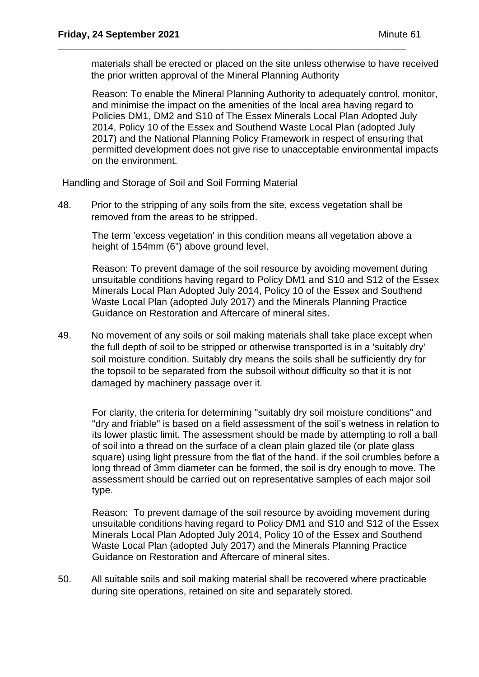materials shall be erected or placed on the site unless otherwise to have received the prior written approval of the Mineral Planning Authority

Reason: To enable the Mineral Planning Authority to adequately control, monitor, and minimise the impact on the amenities of the local area having regard to Policies DM1, DM2 and S10 of The Essex Minerals Local Plan Adopted July 2014, Policy 10 of the Essex and Southend Waste Local Plan (adopted July 2017) and the National Planning Policy Framework in respect of ensuring that permitted development does not give rise to unacceptable environmental impacts on the environment.

Handling and Storage of Soil and Soil Forming Material

48. Prior to the stripping of any soils from the site, excess vegetation shall be removed from the areas to be stripped.

\_\_\_\_\_\_\_\_\_\_\_\_\_\_\_\_\_\_\_\_\_\_\_\_\_\_\_\_\_\_\_\_\_\_\_\_\_\_\_\_\_\_\_\_\_\_\_\_\_\_\_\_\_\_\_\_\_\_\_\_\_\_\_\_\_\_\_\_\_\_\_\_\_\_\_\_\_\_\_

The term 'excess vegetation' in this condition means all vegetation above a height of 154mm (6") above ground level.

Reason: To prevent damage of the soil resource by avoiding movement during unsuitable conditions having regard to Policy DM1 and S10 and S12 of the Essex Minerals Local Plan Adopted July 2014, Policy 10 of the Essex and Southend Waste Local Plan (adopted July 2017) and the Minerals Planning Practice Guidance on Restoration and Aftercare of mineral sites.

49. No movement of any soils or soil making materials shall take place except when the full depth of soil to be stripped or otherwise transported is in a 'suitably dry' soil moisture condition. Suitably dry means the soils shall be sufficiently dry for the topsoil to be separated from the subsoil without difficulty so that it is not damaged by machinery passage over it.

For clarity, the criteria for determining "suitably dry soil moisture conditions" and "dry and friable" is based on a field assessment of the soil's wetness in relation to its lower plastic limit. The assessment should be made by attempting to roll a ball of soil into a thread on the surface of a clean plain glazed tile (or plate glass square) using light pressure from the flat of the hand. if the soil crumbles before a long thread of 3mm diameter can be formed, the soil is dry enough to move. The assessment should be carried out on representative samples of each major soil type.

Reason: To prevent damage of the soil resource by avoiding movement during unsuitable conditions having regard to Policy DM1 and S10 and S12 of the Essex Minerals Local Plan Adopted July 2014, Policy 10 of the Essex and Southend Waste Local Plan (adopted July 2017) and the Minerals Planning Practice Guidance on Restoration and Aftercare of mineral sites.

50. All suitable soils and soil making material shall be recovered where practicable during site operations, retained on site and separately stored.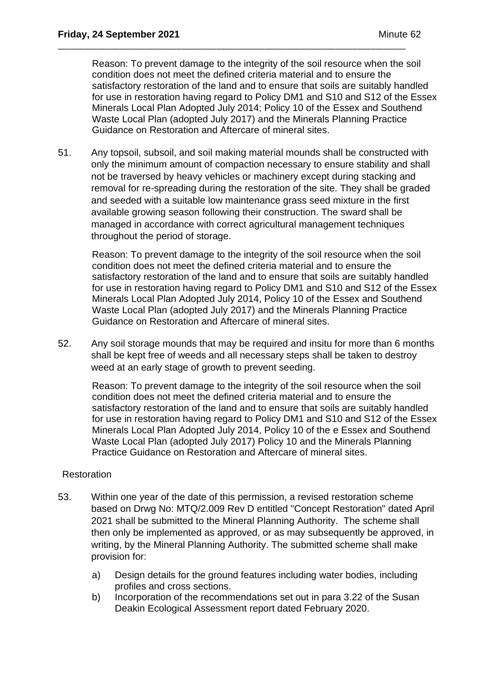Reason: To prevent damage to the integrity of the soil resource when the soil condition does not meet the defined criteria material and to ensure the satisfactory restoration of the land and to ensure that soils are suitably handled for use in restoration having regard to Policy DM1 and S10 and S12 of the Essex Minerals Local Plan Adopted July 2014; Policy 10 of the Essex and Southend Waste Local Plan (adopted July 2017) and the Minerals Planning Practice Guidance on Restoration and Aftercare of mineral sites.

51. Any topsoil, subsoil, and soil making material mounds shall be constructed with only the minimum amount of compaction necessary to ensure stability and shall not be traversed by heavy vehicles or machinery except during stacking and removal for re-spreading during the restoration of the site. They shall be graded and seeded with a suitable low maintenance grass seed mixture in the first available growing season following their construction. The sward shall be managed in accordance with correct agricultural management techniques throughout the period of storage.

\_\_\_\_\_\_\_\_\_\_\_\_\_\_\_\_\_\_\_\_\_\_\_\_\_\_\_\_\_\_\_\_\_\_\_\_\_\_\_\_\_\_\_\_\_\_\_\_\_\_\_\_\_\_\_\_\_\_\_\_\_\_\_\_\_\_\_\_\_\_\_\_\_\_\_\_\_\_\_

Reason: To prevent damage to the integrity of the soil resource when the soil condition does not meet the defined criteria material and to ensure the satisfactory restoration of the land and to ensure that soils are suitably handled for use in restoration having regard to Policy DM1 and S10 and S12 of the Essex Minerals Local Plan Adopted July 2014, Policy 10 of the Essex and Southend Waste Local Plan (adopted July 2017) and the Minerals Planning Practice Guidance on Restoration and Aftercare of mineral sites.

52. Any soil storage mounds that may be required and insitu for more than 6 months shall be kept free of weeds and all necessary steps shall be taken to destroy weed at an early stage of growth to prevent seeding.

Reason: To prevent damage to the integrity of the soil resource when the soil condition does not meet the defined criteria material and to ensure the satisfactory restoration of the land and to ensure that soils are suitably handled for use in restoration having regard to Policy DM1 and S10 and S12 of the Essex Minerals Local Plan Adopted July 2014, Policy 10 of the e Essex and Southend Waste Local Plan (adopted July 2017) Policy 10 and the Minerals Planning Practice Guidance on Restoration and Aftercare of mineral sites.

## **Restoration**

- 53. Within one year of the date of this permission, a revised restoration scheme based on Drwg No: MTQ/2.009 Rev D entitled "Concept Restoration" dated April 2021 shall be submitted to the Mineral Planning Authority. The scheme shall then only be implemented as approved, or as may subsequently be approved, in writing, by the Mineral Planning Authority. The submitted scheme shall make provision for:
	- a) Design details for the ground features including water bodies, including profiles and cross sections.
	- b) Incorporation of the recommendations set out in para 3.22 of the Susan Deakin Ecological Assessment report dated February 2020.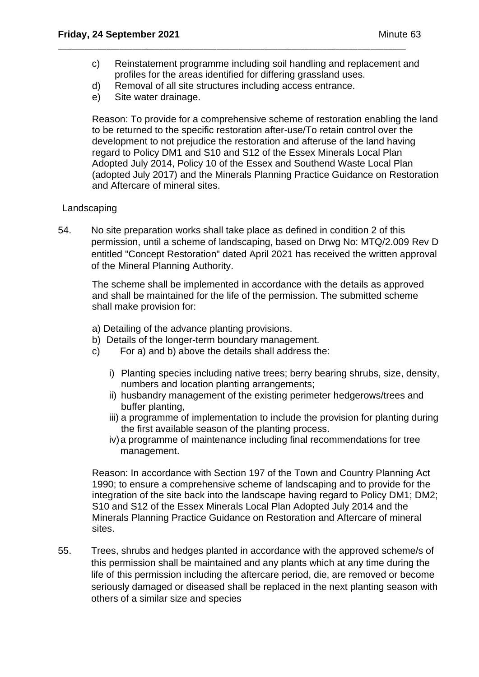- c) Reinstatement programme including soil handling and replacement and profiles for the areas identified for differing grassland uses.
- d) Removal of all site structures including access entrance.

\_\_\_\_\_\_\_\_\_\_\_\_\_\_\_\_\_\_\_\_\_\_\_\_\_\_\_\_\_\_\_\_\_\_\_\_\_\_\_\_\_\_\_\_\_\_\_\_\_\_\_\_\_\_\_\_\_\_\_\_\_\_\_\_\_\_\_\_\_\_\_\_\_\_\_\_\_\_\_

e) Site water drainage.

Reason: To provide for a comprehensive scheme of restoration enabling the land to be returned to the specific restoration after-use/To retain control over the development to not prejudice the restoration and afteruse of the land having regard to Policy DM1 and S10 and S12 of the Essex Minerals Local Plan Adopted July 2014, Policy 10 of the Essex and Southend Waste Local Plan (adopted July 2017) and the Minerals Planning Practice Guidance on Restoration and Aftercare of mineral sites.

## **Landscaping**

54. No site preparation works shall take place as defined in condition 2 of this permission, until a scheme of landscaping, based on Drwg No: MTQ/2.009 Rev D entitled "Concept Restoration" dated April 2021 has received the written approval of the Mineral Planning Authority.

The scheme shall be implemented in accordance with the details as approved and shall be maintained for the life of the permission. The submitted scheme shall make provision for:

- a) Detailing of the advance planting provisions.
- b) Details of the longer-term boundary management.
- c) For a) and b) above the details shall address the:
	- i) Planting species including native trees; berry bearing shrubs, size, density, numbers and location planting arrangements;
	- ii) husbandry management of the existing perimeter hedgerows/trees and buffer planting,
	- iii) a programme of implementation to include the provision for planting during the first available season of the planting process.
	- iv)a programme of maintenance including final recommendations for tree management.

Reason: In accordance with Section 197 of the Town and Country Planning Act 1990; to ensure a comprehensive scheme of landscaping and to provide for the integration of the site back into the landscape having regard to Policy DM1; DM2; S10 and S12 of the Essex Minerals Local Plan Adopted July 2014 and the Minerals Planning Practice Guidance on Restoration and Aftercare of mineral sites.

55. Trees, shrubs and hedges planted in accordance with the approved scheme/s of this permission shall be maintained and any plants which at any time during the life of this permission including the aftercare period, die, are removed or become seriously damaged or diseased shall be replaced in the next planting season with others of a similar size and species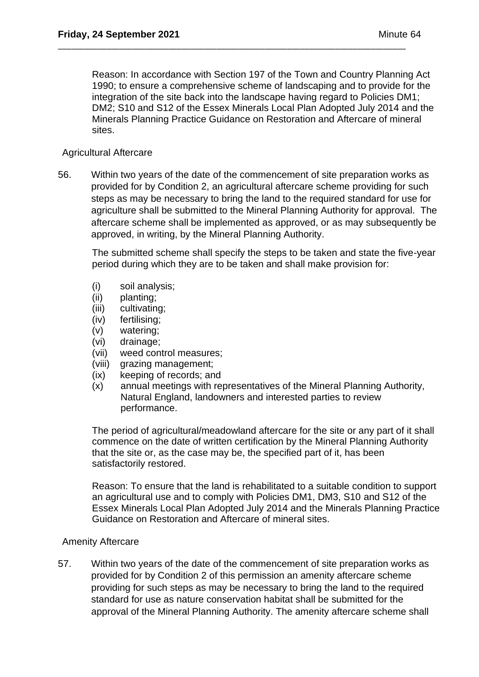Reason: In accordance with Section 197 of the Town and Country Planning Act 1990; to ensure a comprehensive scheme of landscaping and to provide for the integration of the site back into the landscape having regard to Policies DM1; DM2; S10 and S12 of the Essex Minerals Local Plan Adopted July 2014 and the Minerals Planning Practice Guidance on Restoration and Aftercare of mineral sites.

\_\_\_\_\_\_\_\_\_\_\_\_\_\_\_\_\_\_\_\_\_\_\_\_\_\_\_\_\_\_\_\_\_\_\_\_\_\_\_\_\_\_\_\_\_\_\_\_\_\_\_\_\_\_\_\_\_\_\_\_\_\_\_\_\_\_\_\_\_\_\_\_\_\_\_\_\_\_\_

## Agricultural Aftercare

56. Within two years of the date of the commencement of site preparation works as provided for by Condition 2, an agricultural aftercare scheme providing for such steps as may be necessary to bring the land to the required standard for use for agriculture shall be submitted to the Mineral Planning Authority for approval. The aftercare scheme shall be implemented as approved, or as may subsequently be approved, in writing, by the Mineral Planning Authority.

The submitted scheme shall specify the steps to be taken and state the five-year period during which they are to be taken and shall make provision for:

- (i) soil analysis;
- (ii) planting;
- (iii) cultivating;
- (iv) fertilising;
- (v) watering;
- (vi) drainage;
- (vii) weed control measures;
- (viii) grazing management;
- (ix) keeping of records; and
- (x) annual meetings with representatives of the Mineral Planning Authority, Natural England, landowners and interested parties to review performance.

The period of agricultural/meadowland aftercare for the site or any part of it shall commence on the date of written certification by the Mineral Planning Authority that the site or, as the case may be, the specified part of it, has been satisfactorily restored.

Reason: To ensure that the land is rehabilitated to a suitable condition to support an agricultural use and to comply with Policies DM1, DM3, S10 and S12 of the Essex Minerals Local Plan Adopted July 2014 and the Minerals Planning Practice Guidance on Restoration and Aftercare of mineral sites.

## Amenity Aftercare

57. Within two years of the date of the commencement of site preparation works as provided for by Condition 2 of this permission an amenity aftercare scheme providing for such steps as may be necessary to bring the land to the required standard for use as nature conservation habitat shall be submitted for the approval of the Mineral Planning Authority. The amenity aftercare scheme shall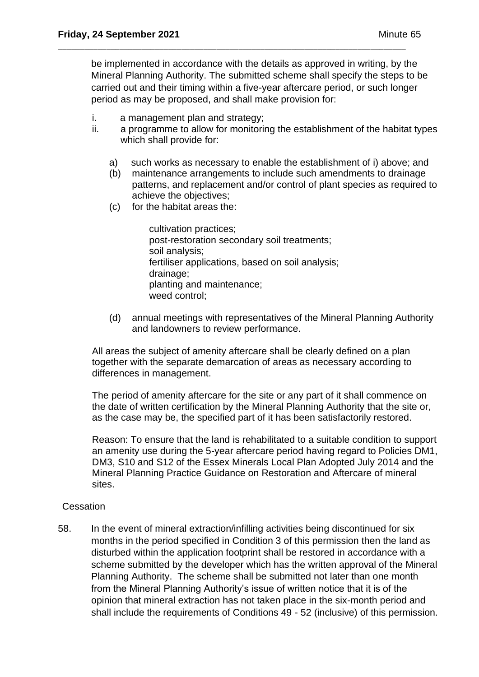be implemented in accordance with the details as approved in writing, by the Mineral Planning Authority. The submitted scheme shall specify the steps to be carried out and their timing within a five-year aftercare period, or such longer period as may be proposed, and shall make provision for:

\_\_\_\_\_\_\_\_\_\_\_\_\_\_\_\_\_\_\_\_\_\_\_\_\_\_\_\_\_\_\_\_\_\_\_\_\_\_\_\_\_\_\_\_\_\_\_\_\_\_\_\_\_\_\_\_\_\_\_\_\_\_\_\_\_\_\_\_\_\_\_\_\_\_\_\_\_\_\_

- i. a management plan and strategy;
- ii. a programme to allow for monitoring the establishment of the habitat types which shall provide for:
	- a) such works as necessary to enable the establishment of i) above; and
	- (b) maintenance arrangements to include such amendments to drainage patterns, and replacement and/or control of plant species as required to achieve the objectives;
	- (c) for the habitat areas the:

cultivation practices; post-restoration secondary soil treatments; soil analysis; fertiliser applications, based on soil analysis; drainage; planting and maintenance; weed control:

(d) annual meetings with representatives of the Mineral Planning Authority and landowners to review performance.

All areas the subject of amenity aftercare shall be clearly defined on a plan together with the separate demarcation of areas as necessary according to differences in management.

The period of amenity aftercare for the site or any part of it shall commence on the date of written certification by the Mineral Planning Authority that the site or, as the case may be, the specified part of it has been satisfactorily restored.

Reason: To ensure that the land is rehabilitated to a suitable condition to support an amenity use during the 5-year aftercare period having regard to Policies DM1, DM3, S10 and S12 of the Essex Minerals Local Plan Adopted July 2014 and the Mineral Planning Practice Guidance on Restoration and Aftercare of mineral sites.

## **Cessation**

58. In the event of mineral extraction/infilling activities being discontinued for six months in the period specified in Condition 3 of this permission then the land as disturbed within the application footprint shall be restored in accordance with a scheme submitted by the developer which has the written approval of the Mineral Planning Authority. The scheme shall be submitted not later than one month from the Mineral Planning Authority's issue of written notice that it is of the opinion that mineral extraction has not taken place in the six-month period and shall include the requirements of Conditions 49 - 52 (inclusive) of this permission.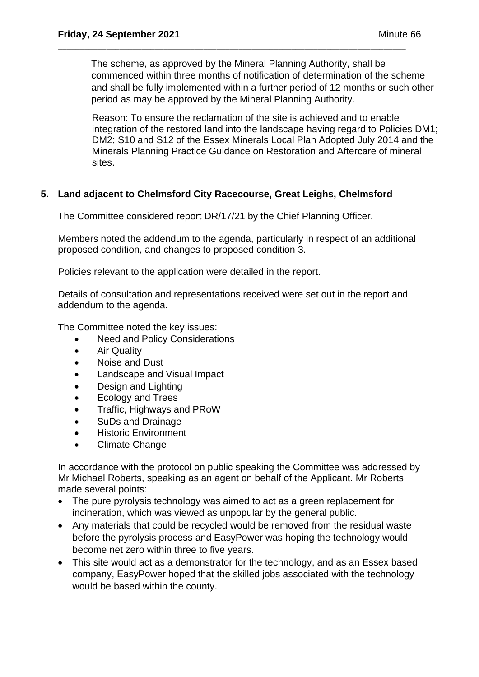The scheme, as approved by the Mineral Planning Authority, shall be commenced within three months of notification of determination of the scheme and shall be fully implemented within a further period of 12 months or such other period as may be approved by the Mineral Planning Authority.

\_\_\_\_\_\_\_\_\_\_\_\_\_\_\_\_\_\_\_\_\_\_\_\_\_\_\_\_\_\_\_\_\_\_\_\_\_\_\_\_\_\_\_\_\_\_\_\_\_\_\_\_\_\_\_\_\_\_\_\_\_\_\_\_\_\_\_\_\_\_\_\_\_\_\_\_\_\_\_

Reason: To ensure the reclamation of the site is achieved and to enable integration of the restored land into the landscape having regard to Policies DM1; DM2; S10 and S12 of the Essex Minerals Local Plan Adopted July 2014 and the Minerals Planning Practice Guidance on Restoration and Aftercare of mineral sites.

# **5. Land adjacent to Chelmsford City Racecourse, Great Leighs, Chelmsford**

The Committee considered report DR/17/21 by the Chief Planning Officer.

Members noted the addendum to the agenda, particularly in respect of an additional proposed condition, and changes to proposed condition 3.

Policies relevant to the application were detailed in the report.

Details of consultation and representations received were set out in the report and addendum to the agenda.

The Committee noted the key issues:

- Need and Policy Considerations
- Air Quality
- Noise and Dust
- Landscape and Visual Impact
- Design and Lighting
- Ecology and Trees
- Traffic, Highways and PRoW
- SuDs and Drainage
- Historic Environment
- Climate Change

In accordance with the protocol on public speaking the Committee was addressed by Mr Michael Roberts, speaking as an agent on behalf of the Applicant. Mr Roberts made several points:

- The pure pyrolysis technology was aimed to act as a green replacement for incineration, which was viewed as unpopular by the general public.
- Any materials that could be recycled would be removed from the residual waste before the pyrolysis process and EasyPower was hoping the technology would become net zero within three to five years.
- This site would act as a demonstrator for the technology, and as an Essex based company, EasyPower hoped that the skilled jobs associated with the technology would be based within the county.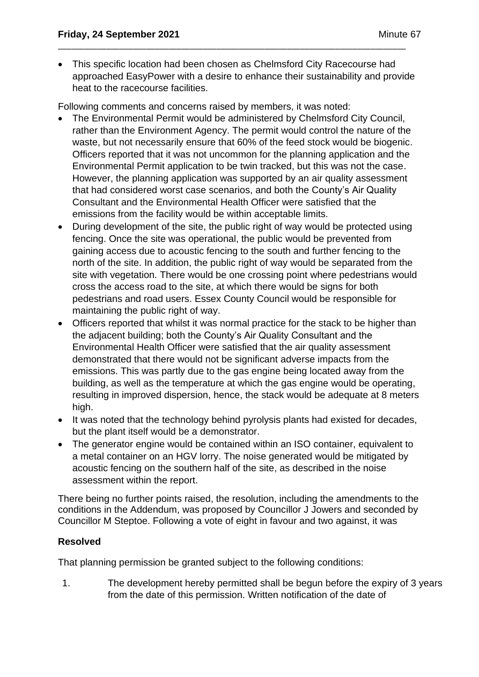• This specific location had been chosen as Chelmsford City Racecourse had approached EasyPower with a desire to enhance their sustainability and provide heat to the racecourse facilities.

\_\_\_\_\_\_\_\_\_\_\_\_\_\_\_\_\_\_\_\_\_\_\_\_\_\_\_\_\_\_\_\_\_\_\_\_\_\_\_\_\_\_\_\_\_\_\_\_\_\_\_\_\_\_\_\_\_\_\_\_\_\_\_\_\_\_\_\_\_\_\_\_\_\_\_\_\_\_\_

Following comments and concerns raised by members, it was noted:

- The Environmental Permit would be administered by Chelmsford City Council, rather than the Environment Agency. The permit would control the nature of the waste, but not necessarily ensure that 60% of the feed stock would be biogenic. Officers reported that it was not uncommon for the planning application and the Environmental Permit application to be twin tracked, but this was not the case. However, the planning application was supported by an air quality assessment that had considered worst case scenarios, and both the County's Air Quality Consultant and the Environmental Health Officer were satisfied that the emissions from the facility would be within acceptable limits.
- During development of the site, the public right of way would be protected using fencing. Once the site was operational, the public would be prevented from gaining access due to acoustic fencing to the south and further fencing to the north of the site. In addition, the public right of way would be separated from the site with vegetation. There would be one crossing point where pedestrians would cross the access road to the site, at which there would be signs for both pedestrians and road users. Essex County Council would be responsible for maintaining the public right of way.
- Officers reported that whilst it was normal practice for the stack to be higher than the adjacent building; both the County's Air Quality Consultant and the Environmental Health Officer were satisfied that the air quality assessment demonstrated that there would not be significant adverse impacts from the emissions. This was partly due to the gas engine being located away from the building, as well as the temperature at which the gas engine would be operating, resulting in improved dispersion, hence, the stack would be adequate at 8 meters high.
- It was noted that the technology behind pyrolysis plants had existed for decades, but the plant itself would be a demonstrator.
- The generator engine would be contained within an ISO container, equivalent to a metal container on an HGV lorry. The noise generated would be mitigated by acoustic fencing on the southern half of the site, as described in the noise assessment within the report.

There being no further points raised, the resolution, including the amendments to the conditions in the Addendum, was proposed by Councillor J Jowers and seconded by Councillor M Steptoe. Following a vote of eight in favour and two against, it was

# **Resolved**

That planning permission be granted subject to the following conditions:

1. The development hereby permitted shall be begun before the expiry of 3 years from the date of this permission. Written notification of the date of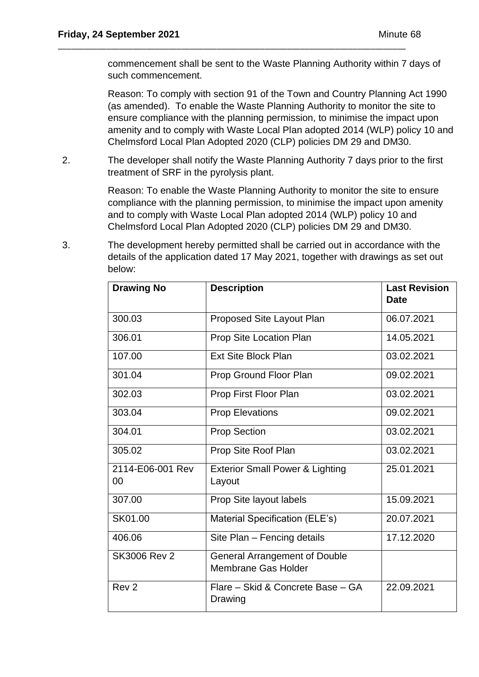commencement shall be sent to the Waste Planning Authority within 7 days of such commencement.

Reason: To comply with section 91 of the Town and Country Planning Act 1990 (as amended). To enable the Waste Planning Authority to monitor the site to ensure compliance with the planning permission, to minimise the impact upon amenity and to comply with Waste Local Plan adopted 2014 (WLP) policy 10 and Chelmsford Local Plan Adopted 2020 (CLP) policies DM 29 and DM30.

2. The developer shall notify the Waste Planning Authority 7 days prior to the first treatment of SRF in the pyrolysis plant.

\_\_\_\_\_\_\_\_\_\_\_\_\_\_\_\_\_\_\_\_\_\_\_\_\_\_\_\_\_\_\_\_\_\_\_\_\_\_\_\_\_\_\_\_\_\_\_\_\_\_\_\_\_\_\_\_\_\_\_\_\_\_\_\_\_\_\_\_\_\_\_\_\_\_\_\_\_\_\_

Reason: To enable the Waste Planning Authority to monitor the site to ensure compliance with the planning permission, to minimise the impact upon amenity and to comply with Waste Local Plan adopted 2014 (WLP) policy 10 and Chelmsford Local Plan Adopted 2020 (CLP) policies DM 29 and DM30.

3. The development hereby permitted shall be carried out in accordance with the details of the application dated 17 May 2021, together with drawings as set out below:

| <b>Drawing No</b>      | <b>Description</b>                                          | <b>Last Revision</b><br><b>Date</b> |
|------------------------|-------------------------------------------------------------|-------------------------------------|
| 300.03                 | Proposed Site Layout Plan                                   | 06.07.2021                          |
| 306.01                 | Prop Site Location Plan                                     | 14.05.2021                          |
| 107.00                 | <b>Ext Site Block Plan</b>                                  | 03.02.2021                          |
| 301.04                 | Prop Ground Floor Plan                                      | 09.02.2021                          |
| 302.03                 | Prop First Floor Plan                                       | 03.02.2021                          |
| 303.04                 | <b>Prop Elevations</b>                                      | 09.02.2021                          |
| 304.01                 | <b>Prop Section</b>                                         | 03.02.2021                          |
| 305.02                 | Prop Site Roof Plan                                         | 03.02.2021                          |
| 2114-E06-001 Rev<br>00 | <b>Exterior Small Power &amp; Lighting</b><br>Layout        | 25.01.2021                          |
| 307.00                 | Prop Site layout labels                                     | 15.09.2021                          |
| SK01.00                | Material Specification (ELE's)                              | 20.07.2021                          |
| 406.06                 | Site Plan - Fencing details                                 | 17.12.2020                          |
| <b>SK3006 Rev 2</b>    | <b>General Arrangement of Double</b><br>Membrane Gas Holder |                                     |
| Rev <sub>2</sub>       | Flare - Skid & Concrete Base - GA<br>Drawing                | 22.09.2021                          |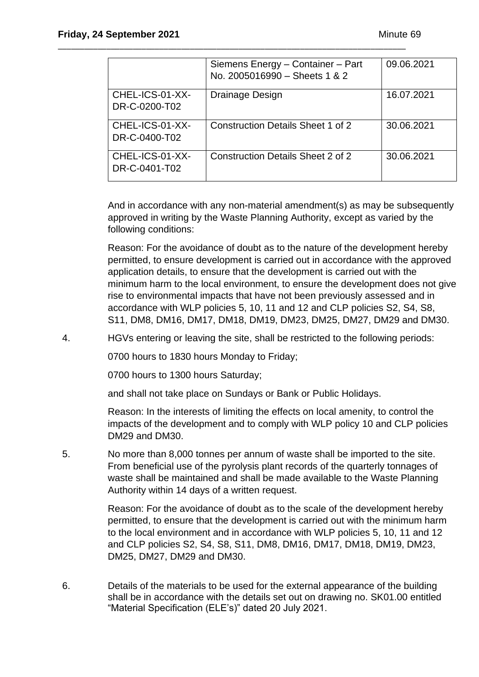|                                  | Siemens Energy - Container - Part<br>No. 2005016990 - Sheets 1 & 2 | 09.06.2021 |
|----------------------------------|--------------------------------------------------------------------|------------|
| CHEL-ICS-01-XX-<br>DR-C-0200-T02 | Drainage Design                                                    | 16.07.2021 |
| CHEL-ICS-01-XX-<br>DR-C-0400-T02 | <b>Construction Details Sheet 1 of 2</b>                           | 30.06.2021 |
| CHEL-ICS-01-XX-<br>DR-C-0401-T02 | <b>Construction Details Sheet 2 of 2</b>                           | 30.06.2021 |

\_\_\_\_\_\_\_\_\_\_\_\_\_\_\_\_\_\_\_\_\_\_\_\_\_\_\_\_\_\_\_\_\_\_\_\_\_\_\_\_\_\_\_\_\_\_\_\_\_\_\_\_\_\_\_\_\_\_\_\_\_\_\_\_\_\_\_\_\_\_\_\_\_\_\_\_\_\_\_

And in accordance with any non-material amendment(s) as may be subsequently approved in writing by the Waste Planning Authority, except as varied by the following conditions:

Reason: For the avoidance of doubt as to the nature of the development hereby permitted, to ensure development is carried out in accordance with the approved application details, to ensure that the development is carried out with the minimum harm to the local environment, to ensure the development does not give rise to environmental impacts that have not been previously assessed and in accordance with WLP policies 5, 10, 11 and 12 and CLP policies S2, S4, S8, S11, DM8, DM16, DM17, DM18, DM19, DM23, DM25, DM27, DM29 and DM30.

4. HGVs entering or leaving the site, shall be restricted to the following periods:

0700 hours to 1830 hours Monday to Friday;

0700 hours to 1300 hours Saturday;

and shall not take place on Sundays or Bank or Public Holidays.

Reason: In the interests of limiting the effects on local amenity, to control the impacts of the development and to comply with WLP policy 10 and CLP policies DM29 and DM30.

5. No more than 8,000 tonnes per annum of waste shall be imported to the site. From beneficial use of the pyrolysis plant records of the quarterly tonnages of waste shall be maintained and shall be made available to the Waste Planning Authority within 14 days of a written request.

> Reason: For the avoidance of doubt as to the scale of the development hereby permitted, to ensure that the development is carried out with the minimum harm to the local environment and in accordance with WLP policies 5, 10, 11 and 12 and CLP policies S2, S4, S8, S11, DM8, DM16, DM17, DM18, DM19, DM23, DM25, DM27, DM29 and DM30.

6. Details of the materials to be used for the external appearance of the building shall be in accordance with the details set out on drawing no. SK01.00 entitled "Material Specification (ELE's)" dated 20 July 2021.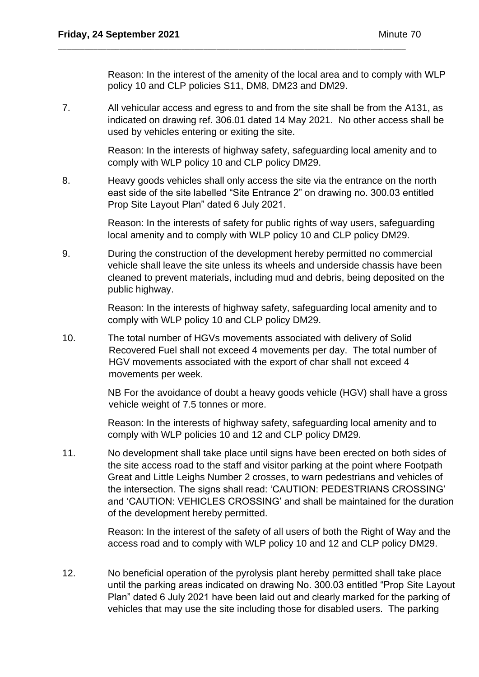Reason: In the interest of the amenity of the local area and to comply with WLP policy 10 and CLP policies S11, DM8, DM23 and DM29.

7. All vehicular access and egress to and from the site shall be from the A131, as indicated on drawing ref. 306.01 dated 14 May 2021. No other access shall be used by vehicles entering or exiting the site.

\_\_\_\_\_\_\_\_\_\_\_\_\_\_\_\_\_\_\_\_\_\_\_\_\_\_\_\_\_\_\_\_\_\_\_\_\_\_\_\_\_\_\_\_\_\_\_\_\_\_\_\_\_\_\_\_\_\_\_\_\_\_\_\_\_\_\_\_\_\_\_\_\_\_\_\_\_\_\_

Reason: In the interests of highway safety, safeguarding local amenity and to comply with WLP policy 10 and CLP policy DM29.

8. Heavy goods vehicles shall only access the site via the entrance on the north east side of the site labelled "Site Entrance 2" on drawing no. 300.03 entitled Prop Site Layout Plan" dated 6 July 2021.

> Reason: In the interests of safety for public rights of way users, safeguarding local amenity and to comply with WLP policy 10 and CLP policy DM29.

9. During the construction of the development hereby permitted no commercial vehicle shall leave the site unless its wheels and underside chassis have been cleaned to prevent materials, including mud and debris, being deposited on the public highway.

> Reason: In the interests of highway safety, safeguarding local amenity and to comply with WLP policy 10 and CLP policy DM29.

10. The total number of HGVs movements associated with delivery of Solid Recovered Fuel shall not exceed 4 movements per day. The total number of HGV movements associated with the export of char shall not exceed 4 movements per week.

> NB For the avoidance of doubt a heavy goods vehicle (HGV) shall have a gross vehicle weight of 7.5 tonnes or more.

Reason: In the interests of highway safety, safeguarding local amenity and to comply with WLP policies 10 and 12 and CLP policy DM29.

11. No development shall take place until signs have been erected on both sides of the site access road to the staff and visitor parking at the point where Footpath Great and Little Leighs Number 2 crosses, to warn pedestrians and vehicles of the intersection. The signs shall read: 'CAUTION: PEDESTRIANS CROSSING' and 'CAUTION: VEHICLES CROSSING' and shall be maintained for the duration of the development hereby permitted.

> Reason: In the interest of the safety of all users of both the Right of Way and the access road and to comply with WLP policy 10 and 12 and CLP policy DM29.

12. No beneficial operation of the pyrolysis plant hereby permitted shall take place until the parking areas indicated on drawing No. 300.03 entitled "Prop Site Layout Plan" dated 6 July 2021 have been laid out and clearly marked for the parking of vehicles that may use the site including those for disabled users. The parking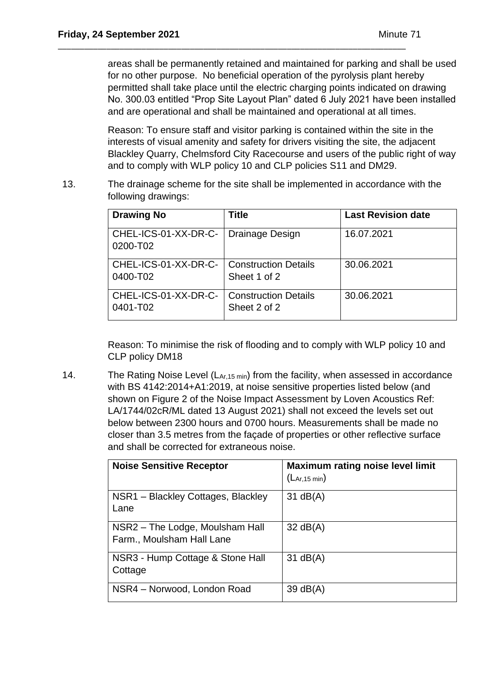areas shall be permanently retained and maintained for parking and shall be used for no other purpose. No beneficial operation of the pyrolysis plant hereby permitted shall take place until the electric charging points indicated on drawing No. 300.03 entitled "Prop Site Layout Plan" dated 6 July 2021 have been installed and are operational and shall be maintained and operational at all times.

Reason: To ensure staff and visitor parking is contained within the site in the interests of visual amenity and safety for drivers visiting the site, the adjacent Blackley Quarry, Chelmsford City Racecourse and users of the public right of way and to comply with WLP policy 10 and CLP policies S11 and DM29.

13. The drainage scheme for the site shall be implemented in accordance with the following drawings:

\_\_\_\_\_\_\_\_\_\_\_\_\_\_\_\_\_\_\_\_\_\_\_\_\_\_\_\_\_\_\_\_\_\_\_\_\_\_\_\_\_\_\_\_\_\_\_\_\_\_\_\_\_\_\_\_\_\_\_\_\_\_\_\_\_\_\_\_\_\_\_\_\_\_\_\_\_\_\_

| <b>Drawing No</b>                | <b>Title</b>                                | <b>Last Revision date</b> |
|----------------------------------|---------------------------------------------|---------------------------|
| CHEL-ICS-01-XX-DR-C-<br>0200-T02 | Drainage Design                             | 16.07.2021                |
| CHEL-ICS-01-XX-DR-C-<br>0400-T02 | Construction Details<br>Sheet 1 of 2        | 30.06.2021                |
| CHEL-ICS-01-XX-DR-C-<br>0401-T02 | <b>Construction Details</b><br>Sheet 2 of 2 | 30.06.2021                |

Reason: To minimise the risk of flooding and to comply with WLP policy 10 and CLP policy DM18

14. The Rating Noise Level  $(L_{Ar,15 min})$  from the facility, when assessed in accordance with BS 4142:2014+A1:2019, at noise sensitive properties listed below (and shown on Figure 2 of the Noise Impact Assessment by Loven Acoustics Ref: LA/1744/02cR/ML dated 13 August 2021) shall not exceed the levels set out below between 2300 hours and 0700 hours. Measurements shall be made no closer than 3.5 metres from the façade of properties or other reflective surface and shall be corrected for extraneous noise.

| <b>Noise Sensitive Receptor</b>                              | <b>Maximum rating noise level limit</b><br>(LAr, 15 min) |
|--------------------------------------------------------------|----------------------------------------------------------|
| NSR1 - Blackley Cottages, Blackley<br>Lane                   | $31$ dB(A)                                               |
| NSR2 – The Lodge, Moulsham Hall<br>Farm., Moulsham Hall Lane | $32 \text{ dB}(A)$                                       |
| NSR3 - Hump Cottage & Stone Hall<br>Cottage                  | $31$ dB(A)                                               |
| NSR4 - Norwood, London Road                                  | 39 dB(A)                                                 |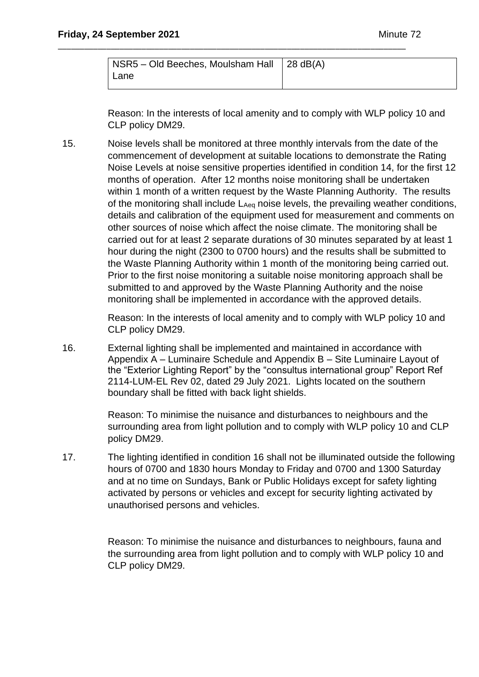| NSR5 – Old Beeches, Moulsham Hall   28 dB(A) |  |
|----------------------------------------------|--|
| Lane                                         |  |

\_\_\_\_\_\_\_\_\_\_\_\_\_\_\_\_\_\_\_\_\_\_\_\_\_\_\_\_\_\_\_\_\_\_\_\_\_\_\_\_\_\_\_\_\_\_\_\_\_\_\_\_\_\_\_\_\_\_\_\_\_\_\_\_\_\_\_\_\_\_\_\_\_\_\_\_\_\_\_

Reason: In the interests of local amenity and to comply with WLP policy 10 and CLP policy DM29.

15. Noise levels shall be monitored at three monthly intervals from the date of the commencement of development at suitable locations to demonstrate the Rating Noise Levels at noise sensitive properties identified in condition 14, for the first 12 months of operation. After 12 months noise monitoring shall be undertaken within 1 month of a written request by the Waste Planning Authority. The results of the monitoring shall include LAeq noise levels, the prevailing weather conditions, details and calibration of the equipment used for measurement and comments on other sources of noise which affect the noise climate. The monitoring shall be carried out for at least 2 separate durations of 30 minutes separated by at least 1 hour during the night (2300 to 0700 hours) and the results shall be submitted to the Waste Planning Authority within 1 month of the monitoring being carried out. Prior to the first noise monitoring a suitable noise monitoring approach shall be submitted to and approved by the Waste Planning Authority and the noise monitoring shall be implemented in accordance with the approved details.

> Reason: In the interests of local amenity and to comply with WLP policy 10 and CLP policy DM29.

16. External lighting shall be implemented and maintained in accordance with Appendix A – Luminaire Schedule and Appendix B – Site Luminaire Layout of the "Exterior Lighting Report" by the "consultus international group" Report Ref 2114-LUM-EL Rev 02, dated 29 July 2021. Lights located on the southern boundary shall be fitted with back light shields.

> Reason: To minimise the nuisance and disturbances to neighbours and the surrounding area from light pollution and to comply with WLP policy 10 and CLP policy DM29.

17. The lighting identified in condition 16 shall not be illuminated outside the following hours of 0700 and 1830 hours Monday to Friday and 0700 and 1300 Saturday and at no time on Sundays, Bank or Public Holidays except for safety lighting activated by persons or vehicles and except for security lighting activated by unauthorised persons and vehicles.

> Reason: To minimise the nuisance and disturbances to neighbours, fauna and the surrounding area from light pollution and to comply with WLP policy 10 and CLP policy DM29.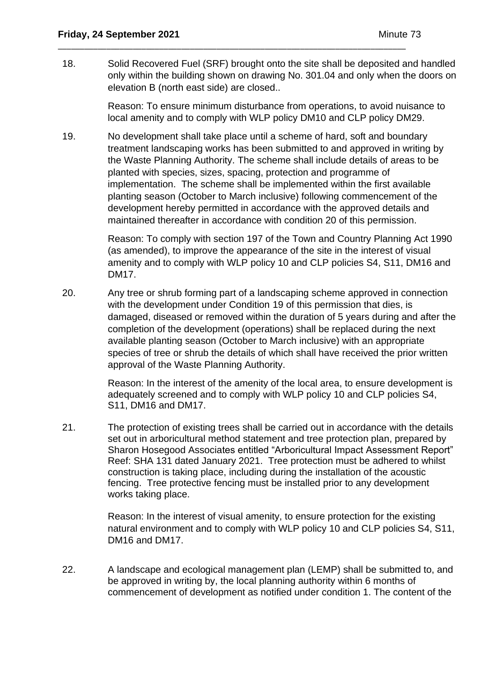18. Solid Recovered Fuel (SRF) brought onto the site shall be deposited and handled only within the building shown on drawing No. 301.04 and only when the doors on elevation B (north east side) are closed..

\_\_\_\_\_\_\_\_\_\_\_\_\_\_\_\_\_\_\_\_\_\_\_\_\_\_\_\_\_\_\_\_\_\_\_\_\_\_\_\_\_\_\_\_\_\_\_\_\_\_\_\_\_\_\_\_\_\_\_\_\_\_\_\_\_\_\_\_\_\_\_\_\_\_\_\_\_\_\_

Reason: To ensure minimum disturbance from operations, to avoid nuisance to local amenity and to comply with WLP policy DM10 and CLP policy DM29.

19. No development shall take place until a scheme of hard, soft and boundary treatment landscaping works has been submitted to and approved in writing by the Waste Planning Authority. The scheme shall include details of areas to be planted with species, sizes, spacing, protection and programme of implementation. The scheme shall be implemented within the first available planting season (October to March inclusive) following commencement of the development hereby permitted in accordance with the approved details and maintained thereafter in accordance with condition 20 of this permission.

> Reason: To comply with section 197 of the Town and Country Planning Act 1990 (as amended), to improve the appearance of the site in the interest of visual amenity and to comply with WLP policy 10 and CLP policies S4, S11, DM16 and DM17.

20. Any tree or shrub forming part of a landscaping scheme approved in connection with the development under Condition 19 of this permission that dies, is damaged, diseased or removed within the duration of 5 years during and after the completion of the development (operations) shall be replaced during the next available planting season (October to March inclusive) with an appropriate species of tree or shrub the details of which shall have received the prior written approval of the Waste Planning Authority.

> Reason: In the interest of the amenity of the local area, to ensure development is adequately screened and to comply with WLP policy 10 and CLP policies S4, S11, DM16 and DM17.

21. The protection of existing trees shall be carried out in accordance with the details set out in arboricultural method statement and tree protection plan, prepared by Sharon Hosegood Associates entitled "Arboricultural Impact Assessment Report" Reef: SHA 131 dated January 2021. Tree protection must be adhered to whilst construction is taking place, including during the installation of the acoustic fencing. Tree protective fencing must be installed prior to any development works taking place.

> Reason: In the interest of visual amenity, to ensure protection for the existing natural environment and to comply with WLP policy 10 and CLP policies S4, S11, DM16 and DM17.

22. A landscape and ecological management plan (LEMP) shall be submitted to, and be approved in writing by, the local planning authority within 6 months of commencement of development as notified under condition 1. The content of the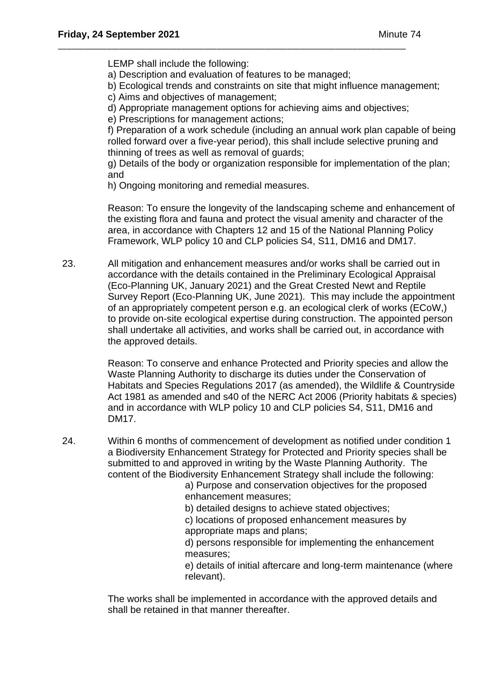LEMP shall include the following:

a) Description and evaluation of features to be managed;

\_\_\_\_\_\_\_\_\_\_\_\_\_\_\_\_\_\_\_\_\_\_\_\_\_\_\_\_\_\_\_\_\_\_\_\_\_\_\_\_\_\_\_\_\_\_\_\_\_\_\_\_\_\_\_\_\_\_\_\_\_\_\_\_\_\_\_\_\_\_\_\_\_\_\_\_\_\_\_

- b) Ecological trends and constraints on site that might influence management;
- c) Aims and objectives of management;
- d) Appropriate management options for achieving aims and objectives;
- e) Prescriptions for management actions;

f) Preparation of a work schedule (including an annual work plan capable of being rolled forward over a five-year period), this shall include selective pruning and thinning of trees as well as removal of guards;

g) Details of the body or organization responsible for implementation of the plan; and

h) Ongoing monitoring and remedial measures.

Reason: To ensure the longevity of the landscaping scheme and enhancement of the existing flora and fauna and protect the visual amenity and character of the area, in accordance with Chapters 12 and 15 of the National Planning Policy Framework, WLP policy 10 and CLP policies S4, S11, DM16 and DM17.

23. All mitigation and enhancement measures and/or works shall be carried out in accordance with the details contained in the Preliminary Ecological Appraisal (Eco-Planning UK, January 2021) and the Great Crested Newt and Reptile Survey Report (Eco-Planning UK, June 2021). This may include the appointment of an appropriately competent person e.g. an ecological clerk of works (ECoW,) to provide on-site ecological expertise during construction. The appointed person shall undertake all activities, and works shall be carried out, in accordance with the approved details.

> Reason: To conserve and enhance Protected and Priority species and allow the Waste Planning Authority to discharge its duties under the Conservation of Habitats and Species Regulations 2017 (as amended), the Wildlife & Countryside Act 1981 as amended and s40 of the NERC Act 2006 (Priority habitats & species) and in accordance with WLP policy 10 and CLP policies S4, S11, DM16 and DM17.

24. Within 6 months of commencement of development as notified under condition 1 a Biodiversity Enhancement Strategy for Protected and Priority species shall be submitted to and approved in writing by the Waste Planning Authority. The content of the Biodiversity Enhancement Strategy shall include the following:

a) Purpose and conservation objectives for the proposed enhancement measures;

b) detailed designs to achieve stated objectives;

c) locations of proposed enhancement measures by appropriate maps and plans;

d) persons responsible for implementing the enhancement measures;

e) details of initial aftercare and long-term maintenance (where relevant).

The works shall be implemented in accordance with the approved details and shall be retained in that manner thereafter.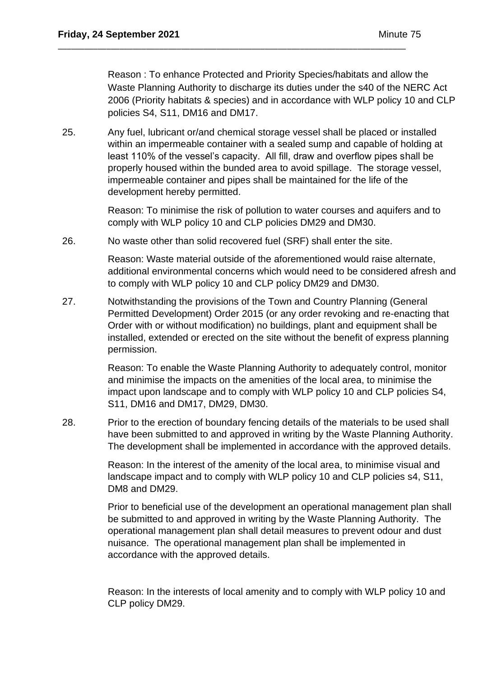Reason : To enhance Protected and Priority Species/habitats and allow the Waste Planning Authority to discharge its duties under the s40 of the NERC Act 2006 (Priority habitats & species) and in accordance with WLP policy 10 and CLP policies S4, S11, DM16 and DM17.

25. Any fuel, lubricant or/and chemical storage vessel shall be placed or installed within an impermeable container with a sealed sump and capable of holding at least 110% of the vessel's capacity. All fill, draw and overflow pipes shall be properly housed within the bunded area to avoid spillage. The storage vessel, impermeable container and pipes shall be maintained for the life of the development hereby permitted.

> Reason: To minimise the risk of pollution to water courses and aquifers and to comply with WLP policy 10 and CLP policies DM29 and DM30.

26. No waste other than solid recovered fuel (SRF) shall enter the site.

\_\_\_\_\_\_\_\_\_\_\_\_\_\_\_\_\_\_\_\_\_\_\_\_\_\_\_\_\_\_\_\_\_\_\_\_\_\_\_\_\_\_\_\_\_\_\_\_\_\_\_\_\_\_\_\_\_\_\_\_\_\_\_\_\_\_\_\_\_\_\_\_\_\_\_\_\_\_\_

Reason: Waste material outside of the aforementioned would raise alternate, additional environmental concerns which would need to be considered afresh and to comply with WLP policy 10 and CLP policy DM29 and DM30.

27. Notwithstanding the provisions of the Town and Country Planning (General Permitted Development) Order 2015 (or any order revoking and re-enacting that Order with or without modification) no buildings, plant and equipment shall be installed, extended or erected on the site without the benefit of express planning permission.

> Reason: To enable the Waste Planning Authority to adequately control, monitor and minimise the impacts on the amenities of the local area, to minimise the impact upon landscape and to comply with WLP policy 10 and CLP policies S4, S11, DM16 and DM17, DM29, DM30.

28. Prior to the erection of boundary fencing details of the materials to be used shall have been submitted to and approved in writing by the Waste Planning Authority. The development shall be implemented in accordance with the approved details.

> Reason: In the interest of the amenity of the local area, to minimise visual and landscape impact and to comply with WLP policy 10 and CLP policies s4, S11, DM8 and DM29.

Prior to beneficial use of the development an operational management plan shall be submitted to and approved in writing by the Waste Planning Authority. The operational management plan shall detail measures to prevent odour and dust nuisance. The operational management plan shall be implemented in accordance with the approved details.

Reason: In the interests of local amenity and to comply with WLP policy 10 and CLP policy DM29.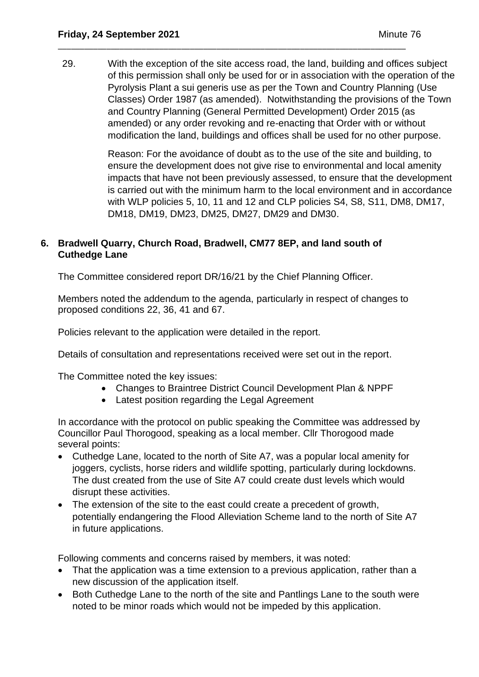29. With the exception of the site access road, the land, building and offices subject of this permission shall only be used for or in association with the operation of the Pyrolysis Plant a sui generis use as per the Town and Country Planning (Use Classes) Order 1987 (as amended). Notwithstanding the provisions of the Town and Country Planning (General Permitted Development) Order 2015 (as amended) or any order revoking and re-enacting that Order with or without modification the land, buildings and offices shall be used for no other purpose.

\_\_\_\_\_\_\_\_\_\_\_\_\_\_\_\_\_\_\_\_\_\_\_\_\_\_\_\_\_\_\_\_\_\_\_\_\_\_\_\_\_\_\_\_\_\_\_\_\_\_\_\_\_\_\_\_\_\_\_\_\_\_\_\_\_\_\_\_\_\_\_\_\_\_\_\_\_\_\_

Reason: For the avoidance of doubt as to the use of the site and building, to ensure the development does not give rise to environmental and local amenity impacts that have not been previously assessed, to ensure that the development is carried out with the minimum harm to the local environment and in accordance with WLP policies 5, 10, 11 and 12 and CLP policies S4, S8, S11, DM8, DM17, DM18, DM19, DM23, DM25, DM27, DM29 and DM30.

### **6. Bradwell Quarry, Church Road, Bradwell, CM77 8EP, and land south of Cuthedge Lane**

The Committee considered report DR/16/21 by the Chief Planning Officer.

Members noted the addendum to the agenda, particularly in respect of changes to proposed conditions 22, 36, 41 and 67.

Policies relevant to the application were detailed in the report.

Details of consultation and representations received were set out in the report.

The Committee noted the key issues:

- Changes to Braintree District Council Development Plan & NPPF
- Latest position regarding the Legal Agreement

In accordance with the protocol on public speaking the Committee was addressed by Councillor Paul Thorogood, speaking as a local member. Cllr Thorogood made several points:

- Cuthedge Lane, located to the north of Site A7, was a popular local amenity for joggers, cyclists, horse riders and wildlife spotting, particularly during lockdowns. The dust created from the use of Site A7 could create dust levels which would disrupt these activities.
- The extension of the site to the east could create a precedent of growth, potentially endangering the Flood Alleviation Scheme land to the north of Site A7 in future applications.

Following comments and concerns raised by members, it was noted:

- That the application was a time extension to a previous application, rather than a new discussion of the application itself.
- Both Cuthedge Lane to the north of the site and Pantlings Lane to the south were noted to be minor roads which would not be impeded by this application.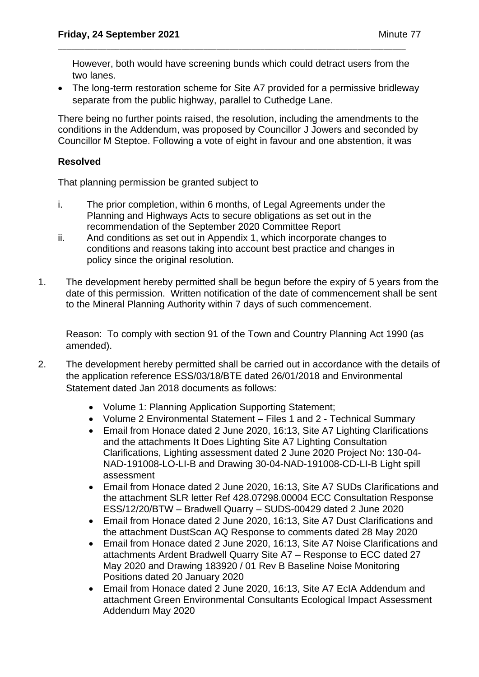However, both would have screening bunds which could detract users from the two lanes.

\_\_\_\_\_\_\_\_\_\_\_\_\_\_\_\_\_\_\_\_\_\_\_\_\_\_\_\_\_\_\_\_\_\_\_\_\_\_\_\_\_\_\_\_\_\_\_\_\_\_\_\_\_\_\_\_\_\_\_\_\_\_\_\_\_\_\_\_\_\_\_\_\_\_\_\_\_\_\_

• The long-term restoration scheme for Site A7 provided for a permissive bridleway separate from the public highway, parallel to Cuthedge Lane.

There being no further points raised, the resolution, including the amendments to the conditions in the Addendum, was proposed by Councillor J Jowers and seconded by Councillor M Steptoe. Following a vote of eight in favour and one abstention, it was

# **Resolved**

That planning permission be granted subject to

- i. The prior completion, within 6 months, of Legal Agreements under the Planning and Highways Acts to secure obligations as set out in the recommendation of the September 2020 Committee Report
- ii. And conditions as set out in Appendix 1, which incorporate changes to conditions and reasons taking into account best practice and changes in policy since the original resolution.
- 1. The development hereby permitted shall be begun before the expiry of 5 years from the date of this permission. Written notification of the date of commencement shall be sent to the Mineral Planning Authority within 7 days of such commencement.

Reason: To comply with section 91 of the Town and Country Planning Act 1990 (as amended).

- 2. The development hereby permitted shall be carried out in accordance with the details of the application reference ESS/03/18/BTE dated 26/01/2018 and Environmental Statement dated Jan 2018 documents as follows:
	- Volume 1: Planning Application Supporting Statement;
	- Volume 2 Environmental Statement Files 1 and 2 Technical Summary
	- Email from Honace dated 2 June 2020, 16:13, Site A7 Lighting Clarifications and the attachments It Does Lighting Site A7 Lighting Consultation Clarifications, Lighting assessment dated 2 June 2020 Project No: 130-04- NAD-191008-LO-LI-B and Drawing 30-04-NAD-191008-CD-LI-B Light spill assessment
	- Email from Honace dated 2 June 2020, 16:13, Site A7 SUDs Clarifications and the attachment SLR letter Ref 428.07298.00004 ECC Consultation Response ESS/12/20/BTW – Bradwell Quarry – SUDS-00429 dated 2 June 2020
	- Email from Honace dated 2 June 2020, 16:13, Site A7 Dust Clarifications and the attachment DustScan AQ Response to comments dated 28 May 2020
	- Email from Honace dated 2 June 2020, 16:13, Site A7 Noise Clarifications and attachments Ardent Bradwell Quarry Site A7 – Response to ECC dated 27 May 2020 and Drawing 183920 / 01 Rev B Baseline Noise Monitoring Positions dated 20 January 2020
	- Email from Honace dated 2 June 2020, 16:13, Site A7 EcIA Addendum and attachment Green Environmental Consultants Ecological Impact Assessment Addendum May 2020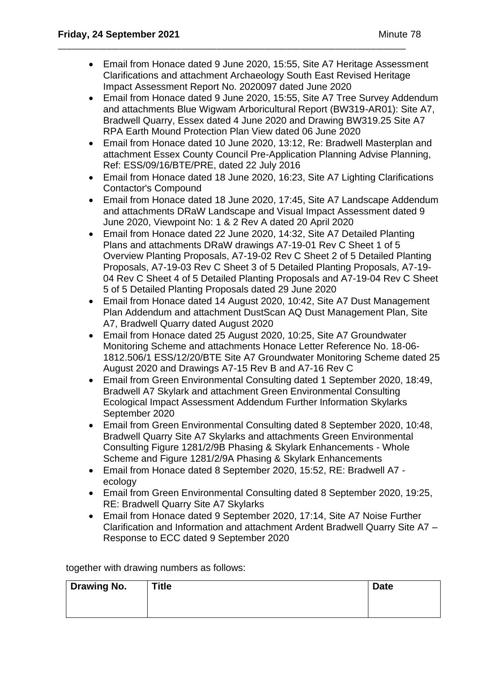• Email from Honace dated 9 June 2020, 15:55, Site A7 Heritage Assessment Clarifications and attachment Archaeology South East Revised Heritage Impact Assessment Report No. 2020097 dated June 2020

\_\_\_\_\_\_\_\_\_\_\_\_\_\_\_\_\_\_\_\_\_\_\_\_\_\_\_\_\_\_\_\_\_\_\_\_\_\_\_\_\_\_\_\_\_\_\_\_\_\_\_\_\_\_\_\_\_\_\_\_\_\_\_\_\_\_\_\_\_\_\_\_\_\_\_\_\_\_\_

- Email from Honace dated 9 June 2020, 15:55, Site A7 Tree Survey Addendum and attachments Blue Wigwam Arboricultural Report (BW319-AR01): Site A7, Bradwell Quarry, Essex dated 4 June 2020 and Drawing BW319.25 Site A7 RPA Earth Mound Protection Plan View dated 06 June 2020
- Email from Honace dated 10 June 2020, 13:12, Re: Bradwell Masterplan and attachment Essex County Council Pre-Application Planning Advise Planning, Ref: ESS/09/16/BTE/PRE, dated 22 July 2016
- Email from Honace dated 18 June 2020, 16:23, Site A7 Lighting Clarifications Contactor's Compound
- Email from Honace dated 18 June 2020, 17:45, Site A7 Landscape Addendum and attachments DRaW Landscape and Visual Impact Assessment dated 9 June 2020, Viewpoint No: 1 & 2 Rev A dated 20 April 2020
- Email from Honace dated 22 June 2020, 14:32, Site A7 Detailed Planting Plans and attachments DRaW drawings A7-19-01 Rev C Sheet 1 of 5 Overview Planting Proposals, A7-19-02 Rev C Sheet 2 of 5 Detailed Planting Proposals, A7-19-03 Rev C Sheet 3 of 5 Detailed Planting Proposals, A7-19- 04 Rev C Sheet 4 of 5 Detailed Planting Proposals and A7-19-04 Rev C Sheet 5 of 5 Detailed Planting Proposals dated 29 June 2020
- Email from Honace dated 14 August 2020, 10:42, Site A7 Dust Management Plan Addendum and attachment DustScan AQ Dust Management Plan, Site A7, Bradwell Quarry dated August 2020
- Email from Honace dated 25 August 2020, 10:25, Site A7 Groundwater Monitoring Scheme and attachments Honace Letter Reference No. 18-06- 1812.506/1 ESS/12/20/BTE Site A7 Groundwater Monitoring Scheme dated 25 August 2020 and Drawings A7-15 Rev B and A7-16 Rev C
- Email from Green Environmental Consulting dated 1 September 2020, 18:49, Bradwell A7 Skylark and attachment Green Environmental Consulting Ecological Impact Assessment Addendum Further Information Skylarks September 2020
- Email from Green Environmental Consulting dated 8 September 2020, 10:48, Bradwell Quarry Site A7 Skylarks and attachments Green Environmental Consulting Figure 1281/2/9B Phasing & Skylark Enhancements - Whole Scheme and Figure 1281/2/9A Phasing & Skylark Enhancements
- Email from Honace dated 8 September 2020, 15:52, RE: Bradwell A7 ecology
- Email from Green Environmental Consulting dated 8 September 2020, 19:25, RE: Bradwell Quarry Site A7 Skylarks
- Email from Honace dated 9 September 2020, 17:14, Site A7 Noise Further Clarification and Information and attachment Ardent Bradwell Quarry Site A7 – Response to ECC dated 9 September 2020

together with drawing numbers as follows:

| <b>Drawing No.</b> | Title | <b>Date</b> |
|--------------------|-------|-------------|
|                    |       |             |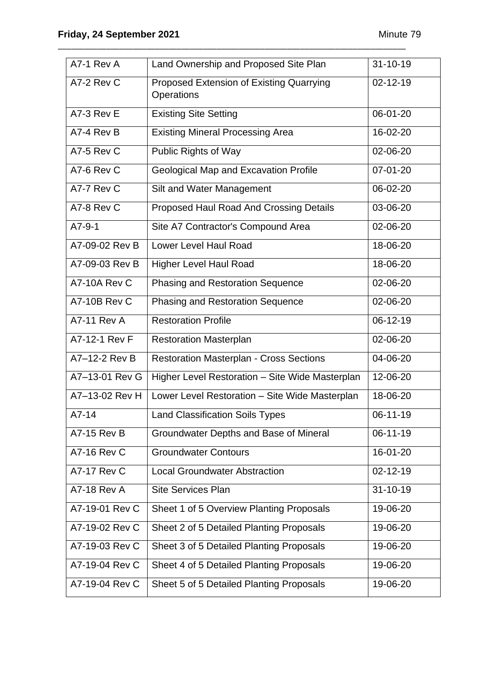| A7-1 Rev A         | Land Ownership and Proposed Site Plan                  | $31 - 10 - 19$ |
|--------------------|--------------------------------------------------------|----------------|
| A7-2 Rev C         | Proposed Extension of Existing Quarrying<br>Operations | $02 - 12 - 19$ |
| A7-3 Rev E         | <b>Existing Site Setting</b>                           | 06-01-20       |
| A7-4 Rev B         | <b>Existing Mineral Processing Area</b>                | 16-02-20       |
| A7-5 Rev C         | Public Rights of Way                                   | 02-06-20       |
| A7-6 Rev C         | <b>Geological Map and Excavation Profile</b>           | 07-01-20       |
| A7-7 Rev C         | Silt and Water Management                              | 06-02-20       |
| A7-8 Rev C         | Proposed Haul Road And Crossing Details                | 03-06-20       |
| $A7-9-1$           | Site A7 Contractor's Compound Area                     | 02-06-20       |
| A7-09-02 Rev B     | Lower Level Haul Road                                  | 18-06-20       |
| A7-09-03 Rev B     | <b>Higher Level Haul Road</b>                          | 18-06-20       |
| A7-10A Rev C       | <b>Phasing and Restoration Sequence</b>                | 02-06-20       |
| A7-10B Rev C       | <b>Phasing and Restoration Sequence</b>                | 02-06-20       |
| <b>A7-11 Rev A</b> | <b>Restoration Profile</b>                             | 06-12-19       |
| A7-12-1 Rev F      | <b>Restoration Masterplan</b>                          | 02-06-20       |
| A7-12-2 Rev B      | <b>Restoration Masterplan - Cross Sections</b>         | 04-06-20       |
| A7-13-01 Rev G     | Higher Level Restoration - Site Wide Masterplan        | 12-06-20       |
| A7-13-02 Rev H     | Lower Level Restoration - Site Wide Masterplan         | 18-06-20       |
| A7-14              | <b>Land Classification Soils Types</b>                 | $06-11-19$     |
| <b>A7-15 Rev B</b> | Groundwater Depths and Base of Mineral                 | 06-11-19       |
| <b>A7-16 Rev C</b> | <b>Groundwater Contours</b>                            | 16-01-20       |
| <b>A7-17 Rev C</b> | <b>Local Groundwater Abstraction</b>                   | 02-12-19       |
| <b>A7-18 Rev A</b> | <b>Site Services Plan</b>                              | $31 - 10 - 19$ |
| A7-19-01 Rev C     | Sheet 1 of 5 Overview Planting Proposals               | 19-06-20       |
| A7-19-02 Rev C     | Sheet 2 of 5 Detailed Planting Proposals               | 19-06-20       |
| A7-19-03 Rev C     | Sheet 3 of 5 Detailed Planting Proposals               | 19-06-20       |
| A7-19-04 Rev C     | Sheet 4 of 5 Detailed Planting Proposals               | 19-06-20       |
| A7-19-04 Rev C     | Sheet 5 of 5 Detailed Planting Proposals               | 19-06-20       |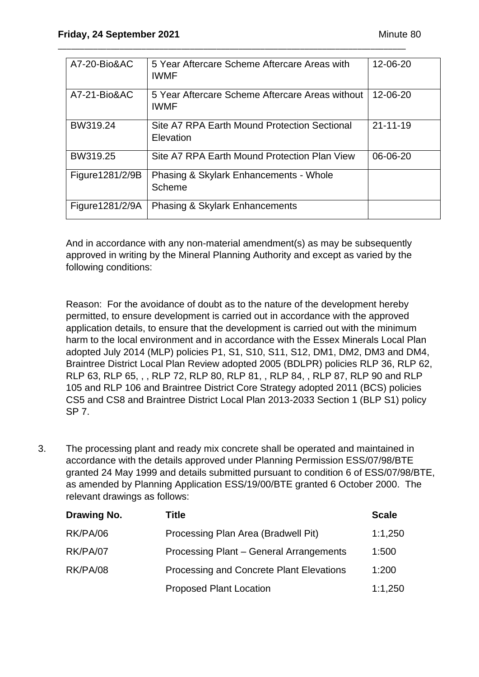| A7-20-Bio&AC    | 5 Year Aftercare Scheme Aftercare Areas with<br><b>IWMF</b>    | 12-06-20       |
|-----------------|----------------------------------------------------------------|----------------|
| A7-21-Bio&AC    | 5 Year Aftercare Scheme Aftercare Areas without<br><b>IWMF</b> | 12-06-20       |
| BW319.24        | Site A7 RPA Earth Mound Protection Sectional<br>Elevation      | $21 - 11 - 19$ |
| BW319.25        | Site A7 RPA Earth Mound Protection Plan View                   | 06-06-20       |
| Figure1281/2/9B | Phasing & Skylark Enhancements - Whole<br>Scheme               |                |
| Figure1281/2/9A | Phasing & Skylark Enhancements                                 |                |

And in accordance with any non-material amendment(s) as may be subsequently approved in writing by the Mineral Planning Authority and except as varied by the following conditions:

Reason: For the avoidance of doubt as to the nature of the development hereby permitted, to ensure development is carried out in accordance with the approved application details, to ensure that the development is carried out with the minimum harm to the local environment and in accordance with the Essex Minerals Local Plan adopted July 2014 (MLP) policies P1, S1, S10, S11, S12, DM1, DM2, DM3 and DM4, Braintree District Local Plan Review adopted 2005 (BDLPR) policies RLP 36, RLP 62, RLP 63, RLP 65, , , RLP 72, RLP 80, RLP 81, , RLP 84, , RLP 87, RLP 90 and RLP 105 and RLP 106 and Braintree District Core Strategy adopted 2011 (BCS) policies CS5 and CS8 and Braintree District Local Plan 2013-2033 Section 1 (BLP S1) policy SP 7.

3. The processing plant and ready mix concrete shall be operated and maintained in accordance with the details approved under Planning Permission ESS/07/98/BTE granted 24 May 1999 and details submitted pursuant to condition 6 of ESS/07/98/BTE, as amended by Planning Application ESS/19/00/BTE granted 6 October 2000. The relevant drawings as follows:

| Drawing No. | Title                                    | <b>Scale</b> |
|-------------|------------------------------------------|--------------|
| RK/PA/06    | Processing Plan Area (Bradwell Pit)      | 1:1,250      |
| RK/PA/07    | Processing Plant - General Arrangements  | 1:500        |
| RK/PA/08    | Processing and Concrete Plant Elevations | 1:200        |
|             | <b>Proposed Plant Location</b>           | 1:1,250      |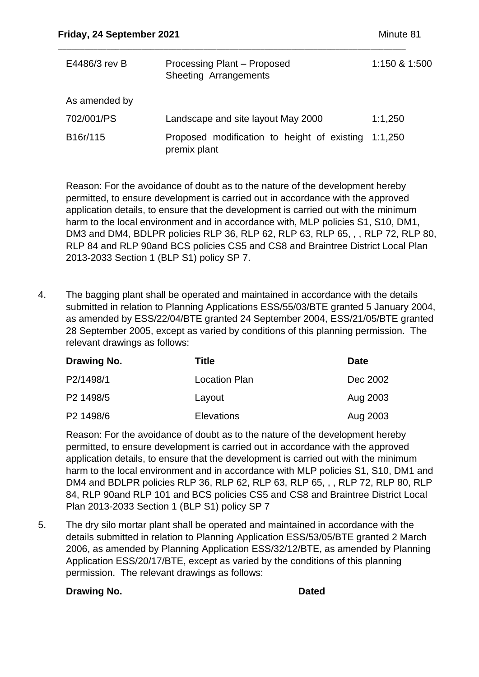| E4486/3 rev B | Processing Plant - Proposed<br>Sheeting Arrangements                | 1:150 & 1:500 |
|---------------|---------------------------------------------------------------------|---------------|
| As amended by |                                                                     |               |
| 702/001/PS    | Landscape and site layout May 2000                                  | 1:1,250       |
| B16r/115      | Proposed modification to height of existing 1:1,250<br>premix plant |               |

Reason: For the avoidance of doubt as to the nature of the development hereby permitted, to ensure development is carried out in accordance with the approved application details, to ensure that the development is carried out with the minimum harm to the local environment and in accordance with, MLP policies S1, S10, DM1, DM3 and DM4, BDLPR policies RLP 36, RLP 62, RLP 63, RLP 65, , , RLP 72, RLP 80, RLP 84 and RLP 90and BCS policies CS5 and CS8 and Braintree District Local Plan 2013-2033 Section 1 (BLP S1) policy SP 7.

4. The bagging plant shall be operated and maintained in accordance with the details submitted in relation to Planning Applications ESS/55/03/BTE granted 5 January 2004, as amended by ESS/22/04/BTE granted 24 September 2004, ESS/21/05/BTE granted 28 September 2005, except as varied by conditions of this planning permission. The relevant drawings as follows:

| Drawing No. | Title                | <b>Date</b> |
|-------------|----------------------|-------------|
| P2/1498/1   | <b>Location Plan</b> | Dec 2002    |
| P2 1498/5   | Layout               | Aug 2003    |
| P2 1498/6   | <b>Elevations</b>    | Aug 2003    |

Reason: For the avoidance of doubt as to the nature of the development hereby permitted, to ensure development is carried out in accordance with the approved application details, to ensure that the development is carried out with the minimum harm to the local environment and in accordance with MLP policies S1, S10, DM1 and DM4 and BDLPR policies RLP 36, RLP 62, RLP 63, RLP 65, , , RLP 72, RLP 80, RLP 84, RLP 90and RLP 101 and BCS policies CS5 and CS8 and Braintree District Local Plan 2013-2033 Section 1 (BLP S1) policy SP 7

5. The dry silo mortar plant shall be operated and maintained in accordance with the details submitted in relation to Planning Application ESS/53/05/BTE granted 2 March 2006, as amended by Planning Application ESS/32/12/BTE, as amended by Planning Application ESS/20/17/BTE, except as varied by the conditions of this planning permission. The relevant drawings as follows:

#### **Drawing No. Drawing No. Dated**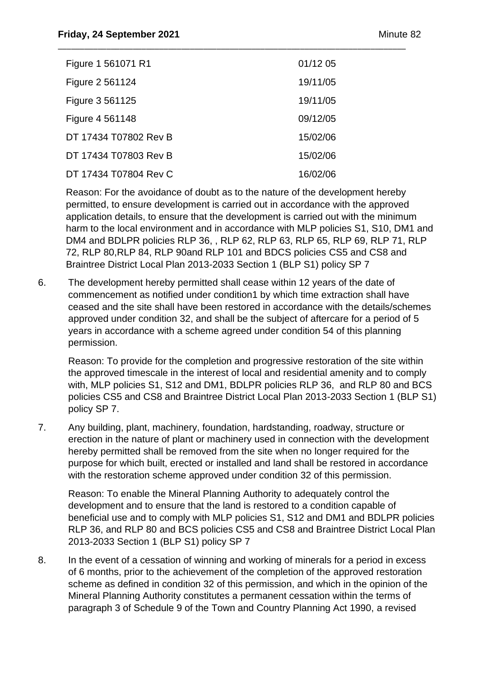| Figure 1 561071 R1    | 01/12 05 |
|-----------------------|----------|
| Figure 2 561124       | 19/11/05 |
| Figure 3 561125       | 19/11/05 |
| Figure 4 561148       | 09/12/05 |
| DT 17434 T07802 Rev B | 15/02/06 |
| DT 17434 T07803 Rev B | 15/02/06 |
| DT 17434 T07804 Rev C | 16/02/06 |

Reason: For the avoidance of doubt as to the nature of the development hereby permitted, to ensure development is carried out in accordance with the approved application details, to ensure that the development is carried out with the minimum harm to the local environment and in accordance with MLP policies S1, S10, DM1 and DM4 and BDLPR policies RLP 36, , RLP 62, RLP 63, RLP 65, RLP 69, RLP 71, RLP 72, RLP 80,RLP 84, RLP 90and RLP 101 and BDCS policies CS5 and CS8 and Braintree District Local Plan 2013-2033 Section 1 (BLP S1) policy SP 7

6. The development hereby permitted shall cease within 12 years of the date of commencement as notified under condition1 by which time extraction shall have ceased and the site shall have been restored in accordance with the details/schemes approved under condition 32, and shall be the subject of aftercare for a period of 5 years in accordance with a scheme agreed under condition 54 of this planning permission.

Reason: To provide for the completion and progressive restoration of the site within the approved timescale in the interest of local and residential amenity and to comply with, MLP policies S1, S12 and DM1, BDLPR policies RLP 36, and RLP 80 and BCS policies CS5 and CS8 and Braintree District Local Plan 2013-2033 Section 1 (BLP S1) policy SP 7.

7. Any building, plant, machinery, foundation, hardstanding, roadway, structure or erection in the nature of plant or machinery used in connection with the development hereby permitted shall be removed from the site when no longer required for the purpose for which built, erected or installed and land shall be restored in accordance with the restoration scheme approved under condition 32 of this permission.

Reason: To enable the Mineral Planning Authority to adequately control the development and to ensure that the land is restored to a condition capable of beneficial use and to comply with MLP policies S1, S12 and DM1 and BDLPR policies RLP 36, and RLP 80 and BCS policies CS5 and CS8 and Braintree District Local Plan 2013-2033 Section 1 (BLP S1) policy SP 7

8. In the event of a cessation of winning and working of minerals for a period in excess of 6 months, prior to the achievement of the completion of the approved restoration scheme as defined in condition 32 of this permission, and which in the opinion of the Mineral Planning Authority constitutes a permanent cessation within the terms of paragraph 3 of Schedule 9 of the Town and Country Planning Act 1990, a revised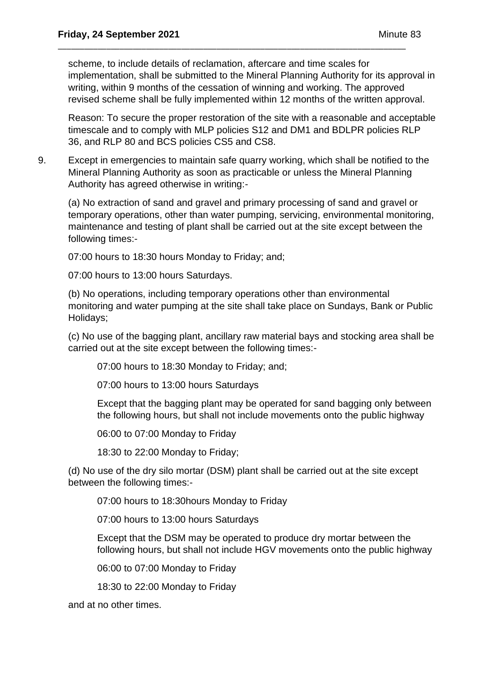scheme, to include details of reclamation, aftercare and time scales for implementation, shall be submitted to the Mineral Planning Authority for its approval in writing, within 9 months of the cessation of winning and working. The approved revised scheme shall be fully implemented within 12 months of the written approval.

\_\_\_\_\_\_\_\_\_\_\_\_\_\_\_\_\_\_\_\_\_\_\_\_\_\_\_\_\_\_\_\_\_\_\_\_\_\_\_\_\_\_\_\_\_\_\_\_\_\_\_\_\_\_\_\_\_\_\_\_\_\_\_\_\_\_\_\_\_\_\_\_\_\_\_\_\_\_\_

Reason: To secure the proper restoration of the site with a reasonable and acceptable timescale and to comply with MLP policies S12 and DM1 and BDLPR policies RLP 36, and RLP 80 and BCS policies CS5 and CS8.

9. Except in emergencies to maintain safe quarry working, which shall be notified to the Mineral Planning Authority as soon as practicable or unless the Mineral Planning Authority has agreed otherwise in writing:-

(a) No extraction of sand and gravel and primary processing of sand and gravel or temporary operations, other than water pumping, servicing, environmental monitoring, maintenance and testing of plant shall be carried out at the site except between the following times:-

07:00 hours to 18:30 hours Monday to Friday; and;

07:00 hours to 13:00 hours Saturdays.

(b) No operations, including temporary operations other than environmental monitoring and water pumping at the site shall take place on Sundays, Bank or Public Holidays;

(c) No use of the bagging plant, ancillary raw material bays and stocking area shall be carried out at the site except between the following times:-

07:00 hours to 18:30 Monday to Friday; and;

07:00 hours to 13:00 hours Saturdays

Except that the bagging plant may be operated for sand bagging only between the following hours, but shall not include movements onto the public highway

06:00 to 07:00 Monday to Friday

18:30 to 22:00 Monday to Friday;

(d) No use of the dry silo mortar (DSM) plant shall be carried out at the site except between the following times:-

07:00 hours to 18:30hours Monday to Friday

07:00 hours to 13:00 hours Saturdays

Except that the DSM may be operated to produce dry mortar between the following hours, but shall not include HGV movements onto the public highway

06:00 to 07:00 Monday to Friday

18:30 to 22:00 Monday to Friday

and at no other times.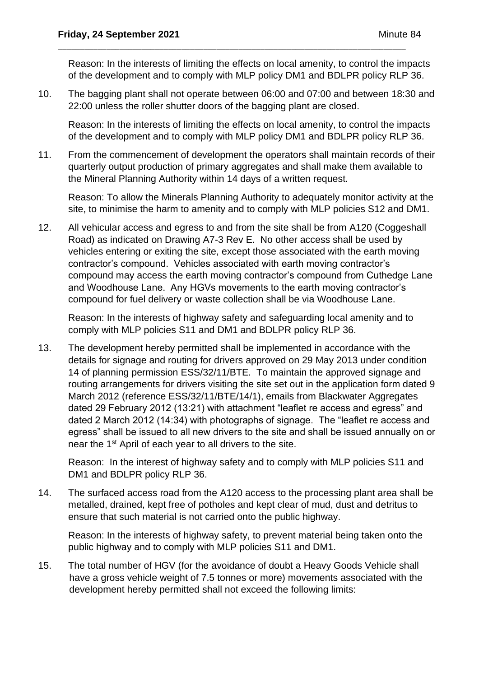Reason: In the interests of limiting the effects on local amenity, to control the impacts of the development and to comply with MLP policy DM1 and BDLPR policy RLP 36.

10. The bagging plant shall not operate between 06:00 and 07:00 and between 18:30 and 22:00 unless the roller shutter doors of the bagging plant are closed.

\_\_\_\_\_\_\_\_\_\_\_\_\_\_\_\_\_\_\_\_\_\_\_\_\_\_\_\_\_\_\_\_\_\_\_\_\_\_\_\_\_\_\_\_\_\_\_\_\_\_\_\_\_\_\_\_\_\_\_\_\_\_\_\_\_\_\_\_\_\_\_\_\_\_\_\_\_\_\_

Reason: In the interests of limiting the effects on local amenity, to control the impacts of the development and to comply with MLP policy DM1 and BDLPR policy RLP 36.

11. From the commencement of development the operators shall maintain records of their quarterly output production of primary aggregates and shall make them available to the Mineral Planning Authority within 14 days of a written request.

Reason: To allow the Minerals Planning Authority to adequately monitor activity at the site, to minimise the harm to amenity and to comply with MLP policies S12 and DM1.

12. All vehicular access and egress to and from the site shall be from A120 (Coggeshall Road) as indicated on Drawing A7-3 Rev E. No other access shall be used by vehicles entering or exiting the site, except those associated with the earth moving contractor's compound. Vehicles associated with earth moving contractor's compound may access the earth moving contractor's compound from Cuthedge Lane and Woodhouse Lane. Any HGVs movements to the earth moving contractor's compound for fuel delivery or waste collection shall be via Woodhouse Lane.

Reason: In the interests of highway safety and safeguarding local amenity and to comply with MLP policies S11 and DM1 and BDLPR policy RLP 36.

13. The development hereby permitted shall be implemented in accordance with the details for signage and routing for drivers approved on 29 May 2013 under condition 14 of planning permission ESS/32/11/BTE. To maintain the approved signage and routing arrangements for drivers visiting the site set out in the application form dated 9 March 2012 (reference ESS/32/11/BTE/14/1), emails from Blackwater Aggregates dated 29 February 2012 (13:21) with attachment "leaflet re access and egress" and dated 2 March 2012 (14:34) with photographs of signage. The "leaflet re access and egress" shall be issued to all new drivers to the site and shall be issued annually on or near the 1st April of each year to all drivers to the site.

Reason: In the interest of highway safety and to comply with MLP policies S11 and DM1 and BDLPR policy RLP 36.

14. The surfaced access road from the A120 access to the processing plant area shall be metalled, drained, kept free of potholes and kept clear of mud, dust and detritus to ensure that such material is not carried onto the public highway.

Reason: In the interests of highway safety, to prevent material being taken onto the public highway and to comply with MLP policies S11 and DM1.

15. The total number of HGV (for the avoidance of doubt a Heavy Goods Vehicle shall have a gross vehicle weight of 7.5 tonnes or more) movements associated with the development hereby permitted shall not exceed the following limits: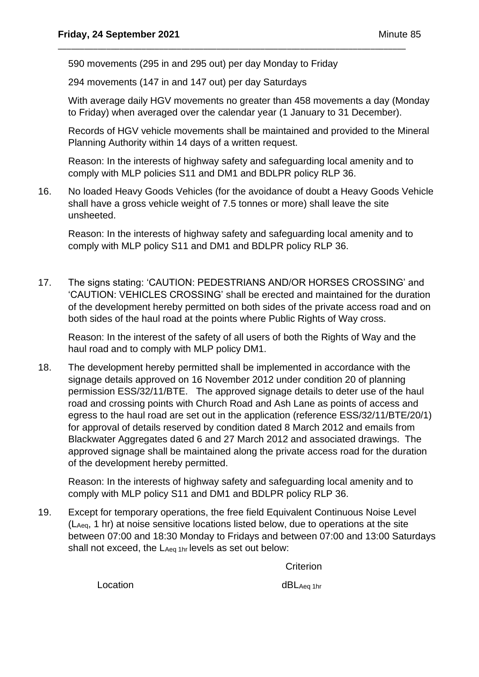590 movements (295 in and 295 out) per day Monday to Friday

294 movements (147 in and 147 out) per day Saturdays

With average daily HGV movements no greater than 458 movements a day (Monday to Friday) when averaged over the calendar year (1 January to 31 December).

\_\_\_\_\_\_\_\_\_\_\_\_\_\_\_\_\_\_\_\_\_\_\_\_\_\_\_\_\_\_\_\_\_\_\_\_\_\_\_\_\_\_\_\_\_\_\_\_\_\_\_\_\_\_\_\_\_\_\_\_\_\_\_\_\_\_\_\_\_\_\_\_\_\_\_\_\_\_\_

Records of HGV vehicle movements shall be maintained and provided to the Mineral Planning Authority within 14 days of a written request.

Reason: In the interests of highway safety and safeguarding local amenity and to comply with MLP policies S11 and DM1 and BDLPR policy RLP 36.

16. No loaded Heavy Goods Vehicles (for the avoidance of doubt a Heavy Goods Vehicle shall have a gross vehicle weight of 7.5 tonnes or more) shall leave the site unsheeted.

Reason: In the interests of highway safety and safeguarding local amenity and to comply with MLP policy S11 and DM1 and BDLPR policy RLP 36.

17. The signs stating: 'CAUTION: PEDESTRIANS AND/OR HORSES CROSSING' and 'CAUTION: VEHICLES CROSSING' shall be erected and maintained for the duration of the development hereby permitted on both sides of the private access road and on both sides of the haul road at the points where Public Rights of Way cross.

Reason: In the interest of the safety of all users of both the Rights of Way and the haul road and to comply with MLP policy DM1.

18. The development hereby permitted shall be implemented in accordance with the signage details approved on 16 November 2012 under condition 20 of planning permission ESS/32/11/BTE. The approved signage details to deter use of the haul road and crossing points with Church Road and Ash Lane as points of access and egress to the haul road are set out in the application (reference ESS/32/11/BTE/20/1) for approval of details reserved by condition dated 8 March 2012 and emails from Blackwater Aggregates dated 6 and 27 March 2012 and associated drawings. The approved signage shall be maintained along the private access road for the duration of the development hereby permitted.

Reason: In the interests of highway safety and safeguarding local amenity and to comply with MLP policy S11 and DM1 and BDLPR policy RLP 36.

19. Except for temporary operations, the free field Equivalent Continuous Noise Level (LAeq, 1 hr) at noise sensitive locations listed below, due to operations at the site between 07:00 and 18:30 Monday to Fridays and between 07:00 and 13:00 Saturdays shall not exceed, the LAeq 1hr levels as set out below:

**Criterion** 

Location dBLAeq 1hr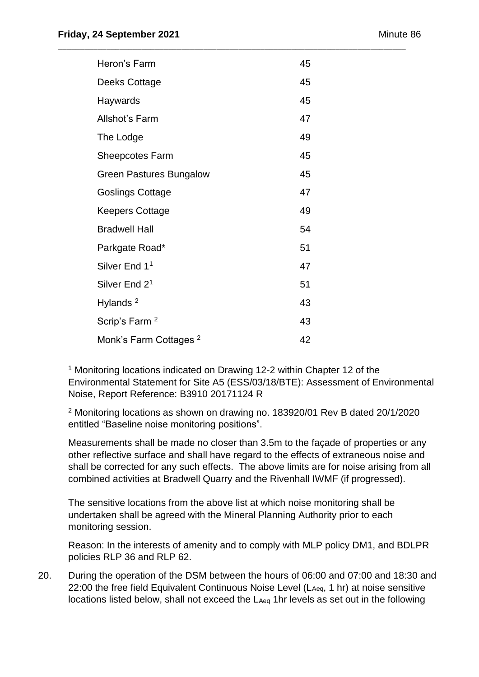| Heron's Farm                      | 45 |
|-----------------------------------|----|
| Deeks Cottage                     | 45 |
| Haywards                          | 45 |
| <b>Allshot's Farm</b>             | 47 |
| The Lodge                         | 49 |
| <b>Sheepcotes Farm</b>            | 45 |
| <b>Green Pastures Bungalow</b>    | 45 |
| <b>Goslings Cottage</b>           | 47 |
| <b>Keepers Cottage</b>            | 49 |
| <b>Bradwell Hall</b>              | 54 |
| Parkgate Road*                    | 51 |
| Silver End 1 <sup>1</sup>         | 47 |
| Silver End 2 <sup>1</sup>         | 51 |
| Hylands <sup>2</sup>              | 43 |
| Scrip's Farm <sup>2</sup>         | 43 |
| Monk's Farm Cottages <sup>2</sup> | 42 |

<sup>1</sup> Monitoring locations indicated on Drawing 12-2 within Chapter 12 of the Environmental Statement for Site A5 (ESS/03/18/BTE): Assessment of Environmental Noise, Report Reference: B3910 20171124 R

<sup>2</sup> Monitoring locations as shown on drawing no. 183920/01 Rev B dated 20/1/2020 entitled "Baseline noise monitoring positions".

Measurements shall be made no closer than 3.5m to the façade of properties or any other reflective surface and shall have regard to the effects of extraneous noise and shall be corrected for any such effects. The above limits are for noise arising from all combined activities at Bradwell Quarry and the Rivenhall IWMF (if progressed).

The sensitive locations from the above list at which noise monitoring shall be undertaken shall be agreed with the Mineral Planning Authority prior to each monitoring session.

Reason: In the interests of amenity and to comply with MLP policy DM1, and BDLPR policies RLP 36 and RLP 62.

20. During the operation of the DSM between the hours of 06:00 and 07:00 and 18:30 and 22:00 the free field Equivalent Continuous Noise Level (LAeq, 1 hr) at noise sensitive locations listed below, shall not exceed the LAeq 1hr levels as set out in the following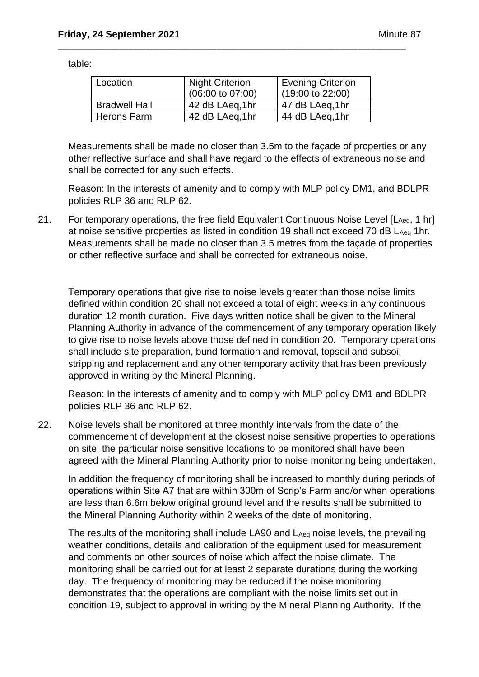table:

| Location             | <b>Night Criterion</b><br>$(06:00 \text{ to } 07:00)$ | <b>Evening Criterion</b><br>$(19:00 \text{ to } 22:00)$ |
|----------------------|-------------------------------------------------------|---------------------------------------------------------|
| <b>Bradwell Hall</b> | 42 dB LAeq,1hr                                        | 47 dB LAeg, 1hr                                         |
| Herons Farm          | 42 dB LAeq,1hr                                        | 44 dB LAeq, 1hr                                         |

\_\_\_\_\_\_\_\_\_\_\_\_\_\_\_\_\_\_\_\_\_\_\_\_\_\_\_\_\_\_\_\_\_\_\_\_\_\_\_\_\_\_\_\_\_\_\_\_\_\_\_\_\_\_\_\_\_\_\_\_\_\_\_\_\_\_\_\_\_\_\_\_\_\_\_\_\_\_\_

Measurements shall be made no closer than 3.5m to the façade of properties or any other reflective surface and shall have regard to the effects of extraneous noise and shall be corrected for any such effects.

Reason: In the interests of amenity and to comply with MLP policy DM1, and BDLPR policies RLP 36 and RLP 62.

21. For temporary operations, the free field Equivalent Continuous Noise Level [LAeq, 1 hr] at noise sensitive properties as listed in condition 19 shall not exceed 70 dB LAeq 1hr. Measurements shall be made no closer than 3.5 metres from the façade of properties or other reflective surface and shall be corrected for extraneous noise.

Temporary operations that give rise to noise levels greater than those noise limits defined within condition 20 shall not exceed a total of eight weeks in any continuous duration 12 month duration. Five days written notice shall be given to the Mineral Planning Authority in advance of the commencement of any temporary operation likely to give rise to noise levels above those defined in condition 20. Temporary operations shall include site preparation, bund formation and removal, topsoil and subsoil stripping and replacement and any other temporary activity that has been previously approved in writing by the Mineral Planning.

Reason: In the interests of amenity and to comply with MLP policy DM1 and BDLPR policies RLP 36 and RLP 62.

22. Noise levels shall be monitored at three monthly intervals from the date of the commencement of development at the closest noise sensitive properties to operations on site, the particular noise sensitive locations to be monitored shall have been agreed with the Mineral Planning Authority prior to noise monitoring being undertaken.

In addition the frequency of monitoring shall be increased to monthly during periods of operations within Site A7 that are within 300m of Scrip's Farm and/or when operations are less than 6.6m below original ground level and the results shall be submitted to the Mineral Planning Authority within 2 weeks of the date of monitoring.

The results of the monitoring shall include LA90 and L<sub>Aeg</sub> noise levels, the prevailing weather conditions, details and calibration of the equipment used for measurement and comments on other sources of noise which affect the noise climate. The monitoring shall be carried out for at least 2 separate durations during the working day. The frequency of monitoring may be reduced if the noise monitoring demonstrates that the operations are compliant with the noise limits set out in condition 19, subject to approval in writing by the Mineral Planning Authority. If the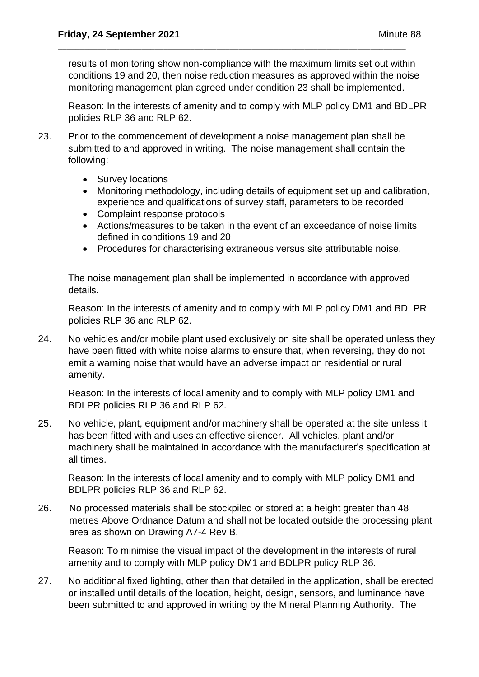results of monitoring show non-compliance with the maximum limits set out within conditions 19 and 20, then noise reduction measures as approved within the noise monitoring management plan agreed under condition 23 shall be implemented.

\_\_\_\_\_\_\_\_\_\_\_\_\_\_\_\_\_\_\_\_\_\_\_\_\_\_\_\_\_\_\_\_\_\_\_\_\_\_\_\_\_\_\_\_\_\_\_\_\_\_\_\_\_\_\_\_\_\_\_\_\_\_\_\_\_\_\_\_\_\_\_\_\_\_\_\_\_\_\_

Reason: In the interests of amenity and to comply with MLP policy DM1 and BDLPR policies RLP 36 and RLP 62.

- 23. Prior to the commencement of development a noise management plan shall be submitted to and approved in writing. The noise management shall contain the following:
	- Survey locations
	- Monitoring methodology, including details of equipment set up and calibration, experience and qualifications of survey staff, parameters to be recorded
	- Complaint response protocols
	- Actions/measures to be taken in the event of an exceedance of noise limits defined in conditions 19 and 20
	- Procedures for characterising extraneous versus site attributable noise.

The noise management plan shall be implemented in accordance with approved details.

Reason: In the interests of amenity and to comply with MLP policy DM1 and BDLPR policies RLP 36 and RLP 62.

24. No vehicles and/or mobile plant used exclusively on site shall be operated unless they have been fitted with white noise alarms to ensure that, when reversing, they do not emit a warning noise that would have an adverse impact on residential or rural amenity.

Reason: In the interests of local amenity and to comply with MLP policy DM1 and BDLPR policies RLP 36 and RLP 62.

25. No vehicle, plant, equipment and/or machinery shall be operated at the site unless it has been fitted with and uses an effective silencer. All vehicles, plant and/or machinery shall be maintained in accordance with the manufacturer's specification at all times.

Reason: In the interests of local amenity and to comply with MLP policy DM1 and BDLPR policies RLP 36 and RLP 62.

26. No processed materials shall be stockpiled or stored at a height greater than 48 metres Above Ordnance Datum and shall not be located outside the processing plant area as shown on Drawing A7-4 Rev B.

Reason: To minimise the visual impact of the development in the interests of rural amenity and to comply with MLP policy DM1 and BDLPR policy RLP 36.

27. No additional fixed lighting, other than that detailed in the application, shall be erected or installed until details of the location, height, design, sensors, and luminance have been submitted to and approved in writing by the Mineral Planning Authority. The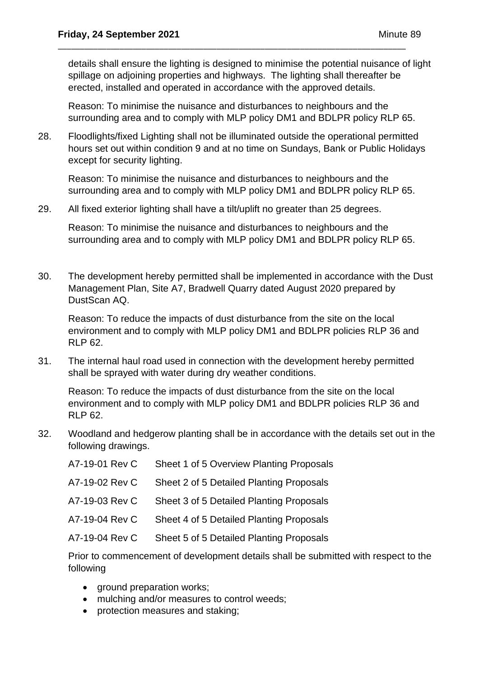details shall ensure the lighting is designed to minimise the potential nuisance of light spillage on adjoining properties and highways. The lighting shall thereafter be erected, installed and operated in accordance with the approved details.

Reason: To minimise the nuisance and disturbances to neighbours and the surrounding area and to comply with MLP policy DM1 and BDLPR policy RLP 65.

28. Floodlights/fixed Lighting shall not be illuminated outside the operational permitted hours set out within condition 9 and at no time on Sundays, Bank or Public Holidays except for security lighting.

\_\_\_\_\_\_\_\_\_\_\_\_\_\_\_\_\_\_\_\_\_\_\_\_\_\_\_\_\_\_\_\_\_\_\_\_\_\_\_\_\_\_\_\_\_\_\_\_\_\_\_\_\_\_\_\_\_\_\_\_\_\_\_\_\_\_\_\_\_\_\_\_\_\_\_\_\_\_\_

Reason: To minimise the nuisance and disturbances to neighbours and the surrounding area and to comply with MLP policy DM1 and BDLPR policy RLP 65.

29. All fixed exterior lighting shall have a tilt/uplift no greater than 25 degrees.

Reason: To minimise the nuisance and disturbances to neighbours and the surrounding area and to comply with MLP policy DM1 and BDLPR policy RLP 65.

30. The development hereby permitted shall be implemented in accordance with the Dust Management Plan, Site A7, Bradwell Quarry dated August 2020 prepared by DustScan AQ.

Reason: To reduce the impacts of dust disturbance from the site on the local environment and to comply with MLP policy DM1 and BDLPR policies RLP 36 and RLP 62.

31. The internal haul road used in connection with the development hereby permitted shall be sprayed with water during dry weather conditions.

Reason: To reduce the impacts of dust disturbance from the site on the local environment and to comply with MLP policy DM1 and BDLPR policies RLP 36 and RLP 62.

32. Woodland and hedgerow planting shall be in accordance with the details set out in the following drawings.

| A7-19-01 Rev C | Sheet 1 of 5 Overview Planting Proposals |
|----------------|------------------------------------------|
| A7-19-02 Rev C | Sheet 2 of 5 Detailed Planting Proposals |
| A7-19-03 Rev C | Sheet 3 of 5 Detailed Planting Proposals |
| A7-19-04 Rev C | Sheet 4 of 5 Detailed Planting Proposals |
| A7-19-04 Rev C | Sheet 5 of 5 Detailed Planting Proposals |
|                |                                          |

Prior to commencement of development details shall be submitted with respect to the following

- ground preparation works;
- mulching and/or measures to control weeds;
- protection measures and staking;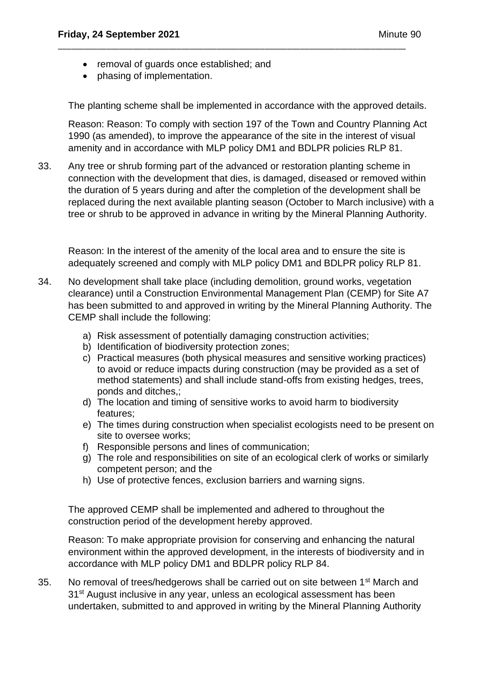- removal of guards once established; and
- phasing of implementation.

The planting scheme shall be implemented in accordance with the approved details.

\_\_\_\_\_\_\_\_\_\_\_\_\_\_\_\_\_\_\_\_\_\_\_\_\_\_\_\_\_\_\_\_\_\_\_\_\_\_\_\_\_\_\_\_\_\_\_\_\_\_\_\_\_\_\_\_\_\_\_\_\_\_\_\_\_\_\_\_\_\_\_\_\_\_\_\_\_\_\_

Reason: Reason: To comply with section 197 of the Town and Country Planning Act 1990 (as amended), to improve the appearance of the site in the interest of visual amenity and in accordance with MLP policy DM1 and BDLPR policies RLP 81.

33. Any tree or shrub forming part of the advanced or restoration planting scheme in connection with the development that dies, is damaged, diseased or removed within the duration of 5 years during and after the completion of the development shall be replaced during the next available planting season (October to March inclusive) with a tree or shrub to be approved in advance in writing by the Mineral Planning Authority.

Reason: In the interest of the amenity of the local area and to ensure the site is adequately screened and comply with MLP policy DM1 and BDLPR policy RLP 81.

- 34. No development shall take place (including demolition, ground works, vegetation clearance) until a Construction Environmental Management Plan (CEMP) for Site A7 has been submitted to and approved in writing by the Mineral Planning Authority. The CEMP shall include the following:
	- a) Risk assessment of potentially damaging construction activities;
	- b) Identification of biodiversity protection zones;
	- c) Practical measures (both physical measures and sensitive working practices) to avoid or reduce impacts during construction (may be provided as a set of method statements) and shall include stand-offs from existing hedges, trees, ponds and ditches,;
	- d) The location and timing of sensitive works to avoid harm to biodiversity features;
	- e) The times during construction when specialist ecologists need to be present on site to oversee works;
	- f) Responsible persons and lines of communication;
	- g) The role and responsibilities on site of an ecological clerk of works or similarly competent person; and the
	- h) Use of protective fences, exclusion barriers and warning signs.

The approved CEMP shall be implemented and adhered to throughout the construction period of the development hereby approved.

Reason: To make appropriate provision for conserving and enhancing the natural environment within the approved development, in the interests of biodiversity and in accordance with MLP policy DM1 and BDLPR policy RLP 84.

35. No removal of trees/hedgerows shall be carried out on site between 1<sup>st</sup> March and 31<sup>st</sup> August inclusive in any year, unless an ecological assessment has been undertaken, submitted to and approved in writing by the Mineral Planning Authority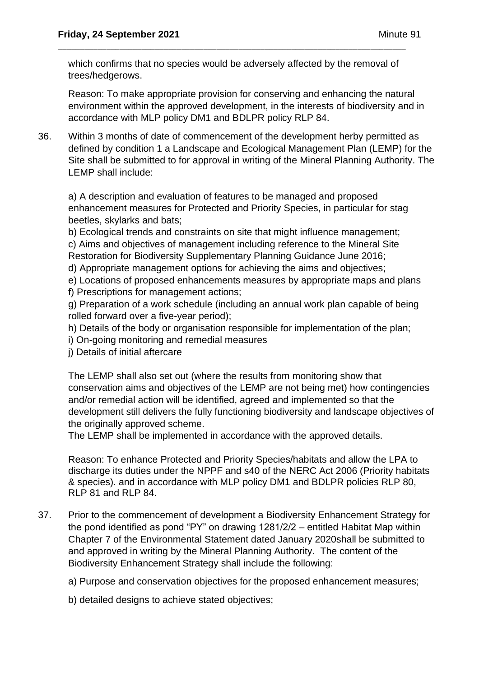which confirms that no species would be adversely affected by the removal of trees/hedgerows.

\_\_\_\_\_\_\_\_\_\_\_\_\_\_\_\_\_\_\_\_\_\_\_\_\_\_\_\_\_\_\_\_\_\_\_\_\_\_\_\_\_\_\_\_\_\_\_\_\_\_\_\_\_\_\_\_\_\_\_\_\_\_\_\_\_\_\_\_\_\_\_\_\_\_\_\_\_\_\_

Reason: To make appropriate provision for conserving and enhancing the natural environment within the approved development, in the interests of biodiversity and in accordance with MLP policy DM1 and BDLPR policy RLP 84.

36. Within 3 months of date of commencement of the development herby permitted as defined by condition 1 a Landscape and Ecological Management Plan (LEMP) for the Site shall be submitted to for approval in writing of the Mineral Planning Authority. The LEMP shall include:

a) A description and evaluation of features to be managed and proposed enhancement measures for Protected and Priority Species, in particular for stag beetles, skylarks and bats;

b) Ecological trends and constraints on site that might influence management;

c) Aims and objectives of management including reference to the Mineral Site Restoration for Biodiversity Supplementary Planning Guidance June 2016;

d) Appropriate management options for achieving the aims and objectives;

e) Locations of proposed enhancements measures by appropriate maps and plans

f) Prescriptions for management actions;

g) Preparation of a work schedule (including an annual work plan capable of being rolled forward over a five-year period);

- h) Details of the body or organisation responsible for implementation of the plan;
- i) On-going monitoring and remedial measures
- j) Details of initial aftercare

The LEMP shall also set out (where the results from monitoring show that conservation aims and objectives of the LEMP are not being met) how contingencies and/or remedial action will be identified, agreed and implemented so that the development still delivers the fully functioning biodiversity and landscape objectives of the originally approved scheme.

The LEMP shall be implemented in accordance with the approved details.

Reason: To enhance Protected and Priority Species/habitats and allow the LPA to discharge its duties under the NPPF and s40 of the NERC Act 2006 (Priority habitats & species). and in accordance with MLP policy DM1 and BDLPR policies RLP 80, RLP 81 and RLP 84.

37. Prior to the commencement of development a Biodiversity Enhancement Strategy for the pond identified as pond "PY" on drawing 1281/2/2 – entitled Habitat Map within Chapter 7 of the Environmental Statement dated January 2020shall be submitted to and approved in writing by the Mineral Planning Authority. The content of the Biodiversity Enhancement Strategy shall include the following:

a) Purpose and conservation objectives for the proposed enhancement measures;

b) detailed designs to achieve stated objectives;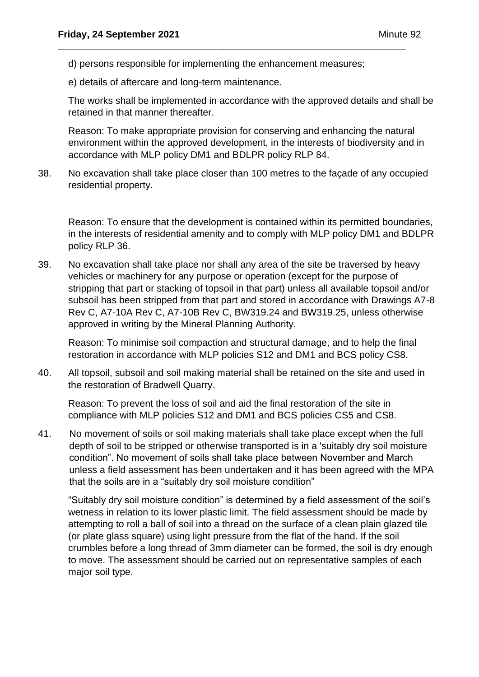d) persons responsible for implementing the enhancement measures;

\_\_\_\_\_\_\_\_\_\_\_\_\_\_\_\_\_\_\_\_\_\_\_\_\_\_\_\_\_\_\_\_\_\_\_\_\_\_\_\_\_\_\_\_\_\_\_\_\_\_\_\_\_\_\_\_\_\_\_\_\_\_\_\_\_\_\_\_\_\_\_\_\_\_\_\_\_\_\_

e) details of aftercare and long-term maintenance.

The works shall be implemented in accordance with the approved details and shall be retained in that manner thereafter.

Reason: To make appropriate provision for conserving and enhancing the natural environment within the approved development, in the interests of biodiversity and in accordance with MLP policy DM1 and BDLPR policy RLP 84.

38. No excavation shall take place closer than 100 metres to the façade of any occupied residential property.

Reason: To ensure that the development is contained within its permitted boundaries, in the interests of residential amenity and to comply with MLP policy DM1 and BDLPR policy RLP 36.

39. No excavation shall take place nor shall any area of the site be traversed by heavy vehicles or machinery for any purpose or operation (except for the purpose of stripping that part or stacking of topsoil in that part) unless all available topsoil and/or subsoil has been stripped from that part and stored in accordance with Drawings A7-8 Rev C, A7-10A Rev C, A7-10B Rev C, BW319.24 and BW319.25, unless otherwise approved in writing by the Mineral Planning Authority.

Reason: To minimise soil compaction and structural damage, and to help the final restoration in accordance with MLP policies S12 and DM1 and BCS policy CS8.

40. All topsoil, subsoil and soil making material shall be retained on the site and used in the restoration of Bradwell Quarry.

Reason: To prevent the loss of soil and aid the final restoration of the site in compliance with MLP policies S12 and DM1 and BCS policies CS5 and CS8.

41. No movement of soils or soil making materials shall take place except when the full depth of soil to be stripped or otherwise transported is in a 'suitably dry soil moisture condition". No movement of soils shall take place between November and March unless a field assessment has been undertaken and it has been agreed with the MPA that the soils are in a "suitably dry soil moisture condition"

"Suitably dry soil moisture condition" is determined by a field assessment of the soil's wetness in relation to its lower plastic limit. The field assessment should be made by attempting to roll a ball of soil into a thread on the surface of a clean plain glazed tile (or plate glass square) using light pressure from the flat of the hand. If the soil crumbles before a long thread of 3mm diameter can be formed, the soil is dry enough to move. The assessment should be carried out on representative samples of each major soil type.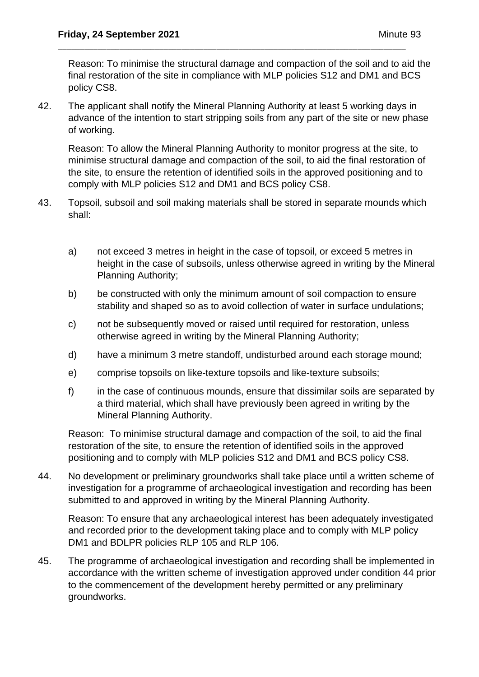Reason: To minimise the structural damage and compaction of the soil and to aid the final restoration of the site in compliance with MLP policies S12 and DM1 and BCS policy CS8.

42. The applicant shall notify the Mineral Planning Authority at least 5 working days in advance of the intention to start stripping soils from any part of the site or new phase of working.

\_\_\_\_\_\_\_\_\_\_\_\_\_\_\_\_\_\_\_\_\_\_\_\_\_\_\_\_\_\_\_\_\_\_\_\_\_\_\_\_\_\_\_\_\_\_\_\_\_\_\_\_\_\_\_\_\_\_\_\_\_\_\_\_\_\_\_\_\_\_\_\_\_\_\_\_\_\_\_

Reason: To allow the Mineral Planning Authority to monitor progress at the site, to minimise structural damage and compaction of the soil, to aid the final restoration of the site, to ensure the retention of identified soils in the approved positioning and to comply with MLP policies S12 and DM1 and BCS policy CS8.

- 43. Topsoil, subsoil and soil making materials shall be stored in separate mounds which shall:
	- a) not exceed 3 metres in height in the case of topsoil, or exceed 5 metres in height in the case of subsoils, unless otherwise agreed in writing by the Mineral Planning Authority;
	- b) be constructed with only the minimum amount of soil compaction to ensure stability and shaped so as to avoid collection of water in surface undulations;
	- c) not be subsequently moved or raised until required for restoration, unless otherwise agreed in writing by the Mineral Planning Authority;
	- d) have a minimum 3 metre standoff, undisturbed around each storage mound;
	- e) comprise topsoils on like-texture topsoils and like-texture subsoils;
	- f) in the case of continuous mounds, ensure that dissimilar soils are separated by a third material, which shall have previously been agreed in writing by the Mineral Planning Authority.

Reason: To minimise structural damage and compaction of the soil, to aid the final restoration of the site, to ensure the retention of identified soils in the approved positioning and to comply with MLP policies S12 and DM1 and BCS policy CS8.

44. No development or preliminary groundworks shall take place until a written scheme of investigation for a programme of archaeological investigation and recording has been submitted to and approved in writing by the Mineral Planning Authority.

Reason: To ensure that any archaeological interest has been adequately investigated and recorded prior to the development taking place and to comply with MLP policy DM1 and BDLPR policies RLP 105 and RLP 106.

45. The programme of archaeological investigation and recording shall be implemented in accordance with the written scheme of investigation approved under condition 44 prior to the commencement of the development hereby permitted or any preliminary groundworks.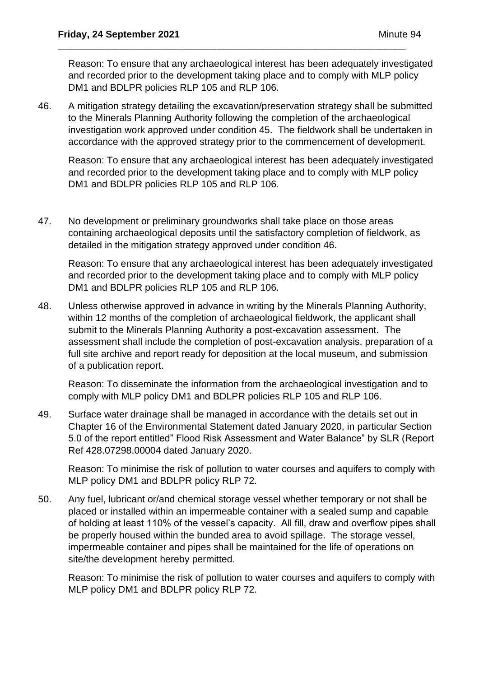Reason: To ensure that any archaeological interest has been adequately investigated and recorded prior to the development taking place and to comply with MLP policy DM1 and BDLPR policies RLP 105 and RLP 106.

46. A mitigation strategy detailing the excavation/preservation strategy shall be submitted to the Minerals Planning Authority following the completion of the archaeological investigation work approved under condition 45. The fieldwork shall be undertaken in accordance with the approved strategy prior to the commencement of development.

\_\_\_\_\_\_\_\_\_\_\_\_\_\_\_\_\_\_\_\_\_\_\_\_\_\_\_\_\_\_\_\_\_\_\_\_\_\_\_\_\_\_\_\_\_\_\_\_\_\_\_\_\_\_\_\_\_\_\_\_\_\_\_\_\_\_\_\_\_\_\_\_\_\_\_\_\_\_\_

Reason: To ensure that any archaeological interest has been adequately investigated and recorded prior to the development taking place and to comply with MLP policy DM1 and BDLPR policies RLP 105 and RLP 106.

47. No development or preliminary groundworks shall take place on those areas containing archaeological deposits until the satisfactory completion of fieldwork, as detailed in the mitigation strategy approved under condition 46.

Reason: To ensure that any archaeological interest has been adequately investigated and recorded prior to the development taking place and to comply with MLP policy DM1 and BDLPR policies RLP 105 and RLP 106.

48. Unless otherwise approved in advance in writing by the Minerals Planning Authority, within 12 months of the completion of archaeological fieldwork, the applicant shall submit to the Minerals Planning Authority a post-excavation assessment. The assessment shall include the completion of post-excavation analysis, preparation of a full site archive and report ready for deposition at the local museum, and submission of a publication report.

Reason: To disseminate the information from the archaeological investigation and to comply with MLP policy DM1 and BDLPR policies RLP 105 and RLP 106.

49. Surface water drainage shall be managed in accordance with the details set out in Chapter 16 of the Environmental Statement dated January 2020, in particular Section 5.0 of the report entitled" Flood Risk Assessment and Water Balance" by SLR (Report Ref 428.07298.00004 dated January 2020.

Reason: To minimise the risk of pollution to water courses and aquifers to comply with MLP policy DM1 and BDLPR policy RLP 72.

50. Any fuel, lubricant or/and chemical storage vessel whether temporary or not shall be placed or installed within an impermeable container with a sealed sump and capable of holding at least 110% of the vessel's capacity. All fill, draw and overflow pipes shall be properly housed within the bunded area to avoid spillage. The storage vessel, impermeable container and pipes shall be maintained for the life of operations on site/the development hereby permitted.

Reason: To minimise the risk of pollution to water courses and aquifers to comply with MLP policy DM1 and BDLPR policy RLP 72.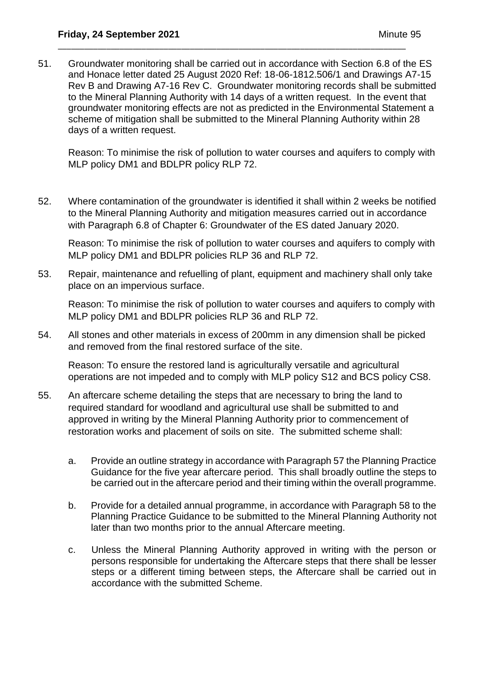51. Groundwater monitoring shall be carried out in accordance with Section 6.8 of the ES and Honace letter dated 25 August 2020 Ref: 18-06-1812.506/1 and Drawings A7-15 Rev B and Drawing A7-16 Rev C. Groundwater monitoring records shall be submitted to the Mineral Planning Authority with 14 days of a written request. In the event that groundwater monitoring effects are not as predicted in the Environmental Statement a scheme of mitigation shall be submitted to the Mineral Planning Authority within 28 days of a written request.

\_\_\_\_\_\_\_\_\_\_\_\_\_\_\_\_\_\_\_\_\_\_\_\_\_\_\_\_\_\_\_\_\_\_\_\_\_\_\_\_\_\_\_\_\_\_\_\_\_\_\_\_\_\_\_\_\_\_\_\_\_\_\_\_\_\_\_\_\_\_\_\_\_\_\_\_\_\_\_

Reason: To minimise the risk of pollution to water courses and aquifers to comply with MLP policy DM1 and BDLPR policy RLP 72.

52. Where contamination of the groundwater is identified it shall within 2 weeks be notified to the Mineral Planning Authority and mitigation measures carried out in accordance with Paragraph 6.8 of Chapter 6: Groundwater of the ES dated January 2020.

Reason: To minimise the risk of pollution to water courses and aquifers to comply with MLP policy DM1 and BDLPR policies RLP 36 and RLP 72.

53. Repair, maintenance and refuelling of plant, equipment and machinery shall only take place on an impervious surface.

Reason: To minimise the risk of pollution to water courses and aquifers to comply with MLP policy DM1 and BDLPR policies RLP 36 and RLP 72.

54. All stones and other materials in excess of 200mm in any dimension shall be picked and removed from the final restored surface of the site.

Reason: To ensure the restored land is agriculturally versatile and agricultural operations are not impeded and to comply with MLP policy S12 and BCS policy CS8.

- 55. An aftercare scheme detailing the steps that are necessary to bring the land to required standard for woodland and agricultural use shall be submitted to and approved in writing by the Mineral Planning Authority prior to commencement of restoration works and placement of soils on site. The submitted scheme shall:
	- a. Provide an outline strategy in accordance with Paragraph 57 the Planning Practice Guidance for the five year aftercare period. This shall broadly outline the steps to be carried out in the aftercare period and their timing within the overall programme.
	- b. Provide for a detailed annual programme, in accordance with Paragraph 58 to the Planning Practice Guidance to be submitted to the Mineral Planning Authority not later than two months prior to the annual Aftercare meeting.
	- c. Unless the Mineral Planning Authority approved in writing with the person or persons responsible for undertaking the Aftercare steps that there shall be lesser steps or a different timing between steps, the Aftercare shall be carried out in accordance with the submitted Scheme.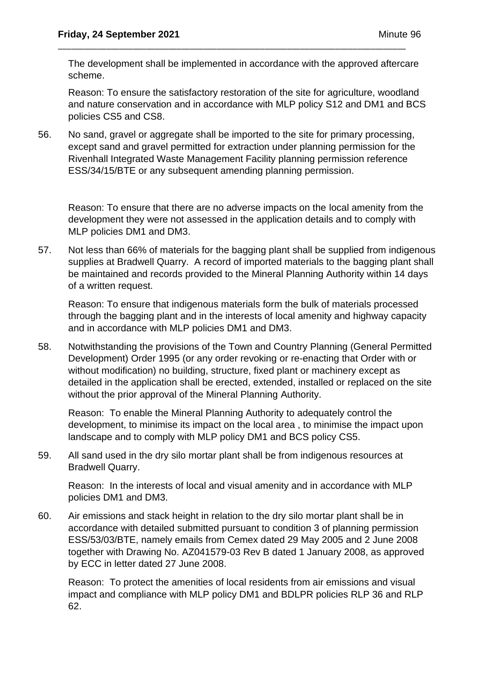The development shall be implemented in accordance with the approved aftercare scheme.

\_\_\_\_\_\_\_\_\_\_\_\_\_\_\_\_\_\_\_\_\_\_\_\_\_\_\_\_\_\_\_\_\_\_\_\_\_\_\_\_\_\_\_\_\_\_\_\_\_\_\_\_\_\_\_\_\_\_\_\_\_\_\_\_\_\_\_\_\_\_\_\_\_\_\_\_\_\_\_

Reason: To ensure the satisfactory restoration of the site for agriculture, woodland and nature conservation and in accordance with MLP policy S12 and DM1 and BCS policies CS5 and CS8.

56. No sand, gravel or aggregate shall be imported to the site for primary processing, except sand and gravel permitted for extraction under planning permission for the Rivenhall Integrated Waste Management Facility planning permission reference ESS/34/15/BTE or any subsequent amending planning permission.

Reason: To ensure that there are no adverse impacts on the local amenity from the development they were not assessed in the application details and to comply with MLP policies DM1 and DM3.

57. Not less than 66% of materials for the bagging plant shall be supplied from indigenous supplies at Bradwell Quarry. A record of imported materials to the bagging plant shall be maintained and records provided to the Mineral Planning Authority within 14 days of a written request.

Reason: To ensure that indigenous materials form the bulk of materials processed through the bagging plant and in the interests of local amenity and highway capacity and in accordance with MLP policies DM1 and DM3.

58. Notwithstanding the provisions of the Town and Country Planning (General Permitted Development) Order 1995 (or any order revoking or re-enacting that Order with or without modification) no building, structure, fixed plant or machinery except as detailed in the application shall be erected, extended, installed or replaced on the site without the prior approval of the Mineral Planning Authority.

Reason: To enable the Mineral Planning Authority to adequately control the development, to minimise its impact on the local area , to minimise the impact upon landscape and to comply with MLP policy DM1 and BCS policy CS5.

59. All sand used in the dry silo mortar plant shall be from indigenous resources at Bradwell Quarry.

Reason: In the interests of local and visual amenity and in accordance with MLP policies DM1 and DM3.

60. Air emissions and stack height in relation to the dry silo mortar plant shall be in accordance with detailed submitted pursuant to condition 3 of planning permission ESS/53/03/BTE, namely emails from Cemex dated 29 May 2005 and 2 June 2008 together with Drawing No. AZ041579-03 Rev B dated 1 January 2008, as approved by ECC in letter dated 27 June 2008.

Reason: To protect the amenities of local residents from air emissions and visual impact and compliance with MLP policy DM1 and BDLPR policies RLP 36 and RLP 62.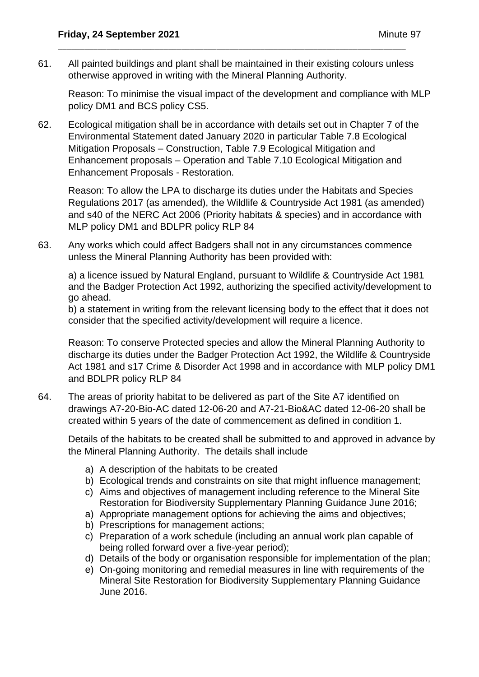61. All painted buildings and plant shall be maintained in their existing colours unless otherwise approved in writing with the Mineral Planning Authority.

\_\_\_\_\_\_\_\_\_\_\_\_\_\_\_\_\_\_\_\_\_\_\_\_\_\_\_\_\_\_\_\_\_\_\_\_\_\_\_\_\_\_\_\_\_\_\_\_\_\_\_\_\_\_\_\_\_\_\_\_\_\_\_\_\_\_\_\_\_\_\_\_\_\_\_\_\_\_\_

Reason: To minimise the visual impact of the development and compliance with MLP policy DM1 and BCS policy CS5.

62. Ecological mitigation shall be in accordance with details set out in Chapter 7 of the Environmental Statement dated January 2020 in particular Table 7.8 Ecological Mitigation Proposals – Construction, Table 7.9 Ecological Mitigation and Enhancement proposals – Operation and Table 7.10 Ecological Mitigation and Enhancement Proposals - Restoration.

Reason: To allow the LPA to discharge its duties under the Habitats and Species Regulations 2017 (as amended), the Wildlife & Countryside Act 1981 (as amended) and s40 of the NERC Act 2006 (Priority habitats & species) and in accordance with MLP policy DM1 and BDLPR policy RLP 84

63. Any works which could affect Badgers shall not in any circumstances commence unless the Mineral Planning Authority has been provided with:

a) a licence issued by Natural England, pursuant to Wildlife & Countryside Act 1981 and the Badger Protection Act 1992, authorizing the specified activity/development to go ahead.

b) a statement in writing from the relevant licensing body to the effect that it does not consider that the specified activity/development will require a licence.

Reason: To conserve Protected species and allow the Mineral Planning Authority to discharge its duties under the Badger Protection Act 1992, the Wildlife & Countryside Act 1981 and s17 Crime & Disorder Act 1998 and in accordance with MLP policy DM1 and BDLPR policy RLP 84

64. The areas of priority habitat to be delivered as part of the Site A7 identified on drawings A7-20-Bio-AC dated 12-06-20 and A7-21-Bio&AC dated 12-06-20 shall be created within 5 years of the date of commencement as defined in condition 1.

Details of the habitats to be created shall be submitted to and approved in advance by the Mineral Planning Authority. The details shall include

- a) A description of the habitats to be created
- b) Ecological trends and constraints on site that might influence management;
- c) Aims and objectives of management including reference to the Mineral Site Restoration for Biodiversity Supplementary Planning Guidance June 2016;
- a) Appropriate management options for achieving the aims and objectives;
- b) Prescriptions for management actions;
- c) Preparation of a work schedule (including an annual work plan capable of being rolled forward over a five-year period);
- d) Details of the body or organisation responsible for implementation of the plan;
- e) On-going monitoring and remedial measures in line with requirements of the Mineral Site Restoration for Biodiversity Supplementary Planning Guidance June 2016.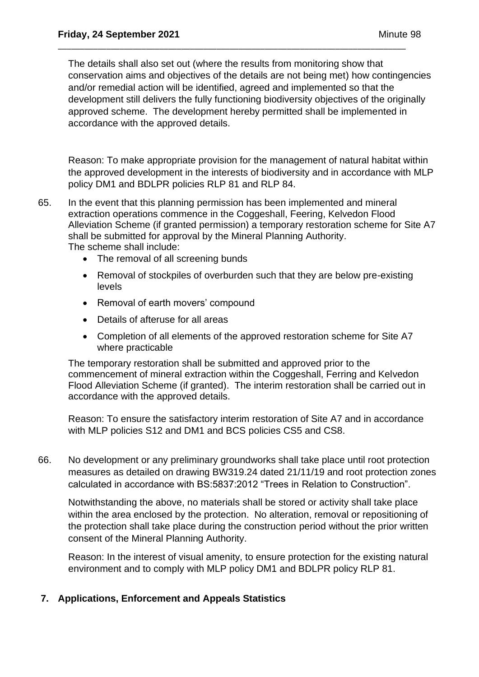The details shall also set out (where the results from monitoring show that conservation aims and objectives of the details are not being met) how contingencies and/or remedial action will be identified, agreed and implemented so that the development still delivers the fully functioning biodiversity objectives of the originally approved scheme. The development hereby permitted shall be implemented in accordance with the approved details.

\_\_\_\_\_\_\_\_\_\_\_\_\_\_\_\_\_\_\_\_\_\_\_\_\_\_\_\_\_\_\_\_\_\_\_\_\_\_\_\_\_\_\_\_\_\_\_\_\_\_\_\_\_\_\_\_\_\_\_\_\_\_\_\_\_\_\_\_\_\_\_\_\_\_\_\_\_\_\_

Reason: To make appropriate provision for the management of natural habitat within the approved development in the interests of biodiversity and in accordance with MLP policy DM1 and BDLPR policies RLP 81 and RLP 84.

- 65. In the event that this planning permission has been implemented and mineral extraction operations commence in the Coggeshall, Feering, Kelvedon Flood Alleviation Scheme (if granted permission) a temporary restoration scheme for Site A7 shall be submitted for approval by the Mineral Planning Authority. The scheme shall include:
	- The removal of all screening bunds
	- Removal of stockpiles of overburden such that they are below pre-existing levels
	- Removal of earth movers' compound
	- Details of afteruse for all areas
	- Completion of all elements of the approved restoration scheme for Site A7 where practicable

The temporary restoration shall be submitted and approved prior to the commencement of mineral extraction within the Coggeshall, Ferring and Kelvedon Flood Alleviation Scheme (if granted). The interim restoration shall be carried out in accordance with the approved details.

Reason: To ensure the satisfactory interim restoration of Site A7 and in accordance with MLP policies S12 and DM1 and BCS policies CS5 and CS8.

66. No development or any preliminary groundworks shall take place until root protection measures as detailed on drawing BW319.24 dated 21/11/19 and root protection zones calculated in accordance with BS:5837:2012 "Trees in Relation to Construction".

Notwithstanding the above, no materials shall be stored or activity shall take place within the area enclosed by the protection. No alteration, removal or repositioning of the protection shall take place during the construction period without the prior written consent of the Mineral Planning Authority.

Reason: In the interest of visual amenity, to ensure protection for the existing natural environment and to comply with MLP policy DM1 and BDLPR policy RLP 81.

# **7. Applications, Enforcement and Appeals Statistics**